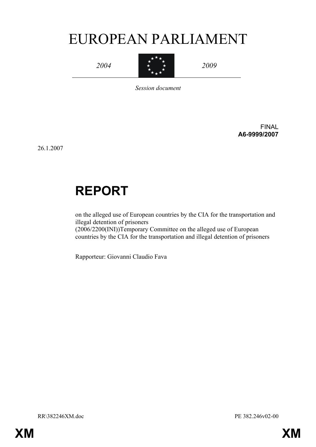# EUROPEAN PARLIAMENT

*2004* 



*2009* 

*Session document* 

FINAL **A6-9999/2007** 

26.1.2007

# **REPORT**

on the alleged use of European countries by the CIA for the transportation and illegal detention of prisoners (2006/2200(INI))Temporary Committee on the alleged use of European

countries by the CIA for the transportation and illegal detention of prisoners

Rapporteur: Giovanni Claudio Fava

RR\382246XM.doc PE 382.246v02-00

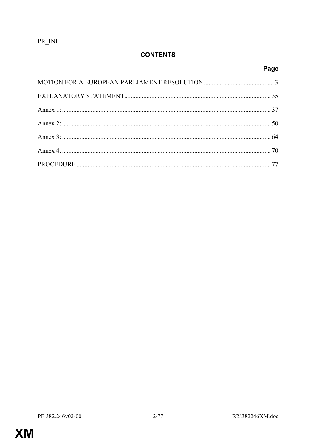$PR$ <sub>\_INI</sub>

## **CONTENTS**

Page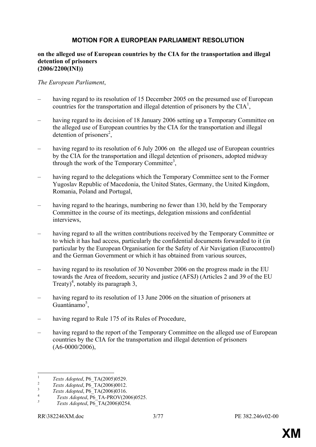## **MOTION FOR A EUROPEAN PARLIAMENT RESOLUTION**

#### **on the alleged use of European countries by the CIA for the transportation and illegal detention of prisoners (2006/2200(INI))**

#### *The European Parliament*,

- having regard to its resolution of 15 December 2005 on the presumed use of European countries for the transportation and illegal detention of prisoners by the  $CIA<sup>1</sup>$ ,
- having regard to its decision of 18 January 2006 setting up a Temporary Committee on the alleged use of European countries by the CIA for the transportation and illegal detention of prisoners<sup>2</sup>,
- having regard to its resolution of 6 July 2006 on the alleged use of European countries by the CIA for the transportation and illegal detention of prisoners, adopted midway through the work of the Temporary Committee<sup>3</sup>,
- having regard to the delegations which the Temporary Committee sent to the Former Yugoslav Republic of Macedonia, the United States, Germany, the United Kingdom, Romania, Poland and Portugal,
- having regard to the hearings, numbering no fewer than 130, held by the Temporary Committee in the course of its meetings, delegation missions and confidential interviews,
- having regard to all the written contributions received by the Temporary Committee or to which it has had access, particularly the confidential documents forwarded to it (in particular by the European Organisation for the Safety of Air Navigation (Eurocontrol) and the German Government or which it has obtained from various sources,
- having regard to its resolution of 30 November 2006 on the progress made in the EU towards the Area of freedom, security and justice (AFSJ) (Articles 2 and 39 of the EU Treaty)<sup>4</sup>, notably its paragraph 3,
- having regard to its resolution of 13 June 2006 on the situation of prisoners at Guantánamo $5$ ,
- having regard to Rule 175 of its Rules of Procedure,
- having regard to the report of the Temporary Committee on the alleged use of European countries by the CIA for the transportation and illegal detention of prisoners  $(A6-0000/2006)$



 $\mathbf{1}$ 

*Texts Adopted*, P6\_TA(2005)0529.<br>
<sup>2</sup> *Texts Adopted*, P6\_TA(2006)0012.<br>
<sup>4</sup> *Texts Adopted*, P6\_TA-PROV(2006)0525.<br>
<sup>5</sup>

*Texts Adopted*, P6\_TA(2006)0254.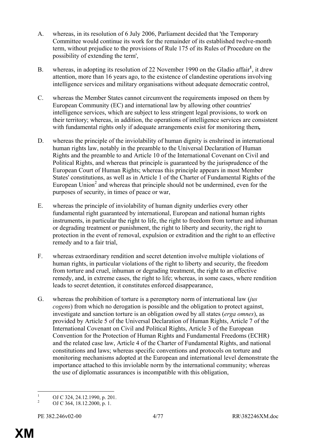- A. whereas, in its resolution of 6 July 2006, Parliament decided that 'the Temporary Committee would continue its work for the remainder of its established twelve-month term, without prejudice to the provisions of Rule 175 of its Rules of Procedure on the possibility of extending the term',
- B. whereas, in adopting its resolution of 22 November 1990 on the Gladio affair<sup>1</sup>, it drew attention, more than 16 years ago, to the existence of clandestine operations involving intelligence services and military organisations without adequate democratic control,
- C. whereas the Member States cannot circumvent the requirements imposed on them by European Community (EC) and international law by allowing other countries' intelligence services, which are subject to less stringent legal provisions, to work on their territory; whereas, in addition, the operations of intelligence services are consistent with fundamental rights only if adequate arrangements exist for monitoring them*,*
- D. whereas the principle of the inviolability of human dignity is enshrined in international human rights law, notably in the preamble to the Universal Declaration of Human Rights and the preamble to and Article 10 of the International Covenant on Civil and Political Rights, and whereas that principle is guaranteed by the jurisprudence of the European Court of Human Rights; whereas this principle appears in most Member States' constitutions, as well as in Article 1 of the Charter of Fundamental Rights of the European Union<sup>2</sup> and whereas that principle should not be undermined, even for the purposes of security, in times of peace or war,
- E. whereas the principle of inviolability of human dignity underlies every other fundamental right guaranteed by international, European and national human rights instruments, in particular the right to life, the right to freedom from torture and inhuman or degrading treatment or punishment, the right to liberty and security, the right to protection in the event of removal, expulsion or extradition and the right to an effective remedy and to a fair trial,
- F. whereas extraordinary rendition and secret detention involve multiple violations of human rights, in particular violations of the right to liberty and security, the freedom from torture and cruel, inhuman or degrading treatment, the right to an effective remedy, and, in extreme cases, the right to life; whereas, in some cases, where rendition leads to secret detention, it constitutes enforced disappearance,
- G. whereas the prohibition of torture is a peremptory norm of international law (*jus cogens*) from which no derogation is possible and the obligation to protect against, investigate and sanction torture is an obligation owed by all states (*erga omnes*), as provided by Article 5 of the Universal Declaration of Human Rights, Article 7 of the International Covenant on Civil and Political Rights, Article 3 of the European Convention for the Protection of Human Rights and Fundamental Freedoms (ECHR) and the related case law, Article 4 of the Charter of Fundamental Rights, and national constitutions and laws; whereas specific conventions and protocols on torture and monitoring mechanisms adopted at the European and international level demonstrate the importance attached to this inviolable norm by the international community; whereas the use of diplomatic assurances is incompatible with this obligation,

 $\frac{1}{1}$ OJ C 324, 24.12.1990, p. 201.

<sup>2</sup> OJ C 364, 18.12.2000, p. 1.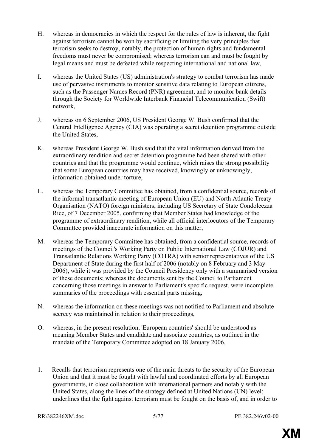- H. whereas in democracies in which the respect for the rules of law is inherent, the fight against terrorism cannot be won by sacrificing or limiting the very principles that terrorism seeks to destroy, notably, the protection of human rights and fundamental freedoms must never be compromised; whereas terrorism can and must be fought by legal means and must be defeated while respecting international and national law,
- I. whereas the United States (US) administration's strategy to combat terrorism has made use of pervasive instruments to monitor sensitive data relating to European citizens, such as the Passenger Names Record (PNR) agreement, and to monitor bank details through the Society for Worldwide Interbank Financial Telecommunication (Swift) network,
- J. whereas on 6 September 2006, US President George W. Bush confirmed that the Central Intelligence Agency (CIA) was operating a secret detention programme outside the United States,
- K. whereas President George W. Bush said that the vital information derived from the extraordinary rendition and secret detention programme had been shared with other countries and that the programme would continue, which raises the strong possibility that some European countries may have received, knowingly or unknowingly, information obtained under torture,
- L. whereas the Temporary Committee has obtained, from a confidential source, records of the informal transatlantic meeting of European Union (EU) and North Atlantic Treaty Organisation (NATO) foreign ministers, including US Secretary of State Condoleezza Rice, of 7 December 2005, confirming that Member States had knowledge of the programme of extraordinary rendition, while all official interlocutors of the Temporary Committee provided inaccurate information on this matter,
- M. whereas the Temporary Committee has obtained, from a confidential source, records of meetings of the Council's Working Party on Public International Law (COJUR) and Transatlantic Relations Working Party (COTRA) with senior representatives of the US Department of State during the first half of 2006 (notably on 8 February and 3 May 2006), while it was provided by the Council Presidency only with a summarised version of these documents; whereas the documents sent by the Council to Parliament concerning those meetings in answer to Parliament's specific request, were incomplete summaries of the proceedings with essential parts missing*,*
- N. whereas the information on these meetings was not notified to Parliament and absolute secrecy was maintained in relation to their proceedings,
- O. whereas, in the present resolution, 'European countries' should be understood as meaning Member States and candidate and associate countries, as outlined in the mandate of the Temporary Committee adopted on 18 January 2006,
- 1. Recalls that terrorism represents one of the main threats to the security of the European Union and that it must be fought with lawful and coordinated efforts by all European governments, in close collaboration with international partners and notably with the United States, along the lines of the strategy defined at United Nations (UN) level; underlines that the fight against terrorism must be fought on the basis of, and in order to

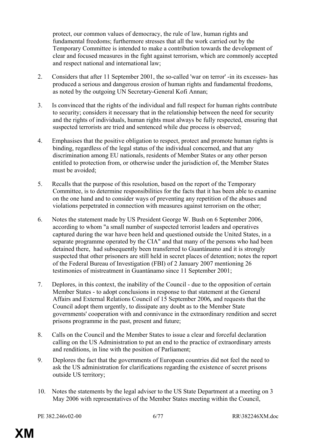protect, our common values of democracy, the rule of law, human rights and fundamental freedoms; furthermore stresses that all the work carried out by the Temporary Committee is intended to make a contribution towards the development of clear and focused measures in the fight against terrorism, which are commonly accepted and respect national and international law;

- 2. Considers that after 11 September 2001, the so-called 'war on terror' -in its excesses- has produced a serious and dangerous erosion of human rights and fundamental freedoms, as noted by the outgoing UN Secretary-General Kofi Annan;
- 3. Is convinced that the rights of the individual and full respect for human rights contribute to security; considers it necessary that in the relationship between the need for security and the rights of individuals, human rights must always be fully respected, ensuring that suspected terrorists are tried and sentenced while due process is observed;
- 4. Emphasises that the positive obligation to respect, protect and promote human rights is binding, regardless of the legal status of the individual concerned, and that any discrimination among EU nationals, residents of Member States or any other person entitled to protection from, or otherwise under the jurisdiction of, the Member States must be avoided;
- 5. Recalls that the purpose of this resolution, based on the report of the Temporary Committee, is to determine responsibilities for the facts that it has been able to examine on the one hand and to consider ways of preventing any repetition of the abuses and violations perpetrated in connection with measures against terrorism on the other;
- 6. Notes the statement made by US President George W. Bush on 6 September 2006, according to whom "a small number of suspected terrorist leaders and operatives captured during the war have been held and questioned outside the United States, in a separate programme operated by the CIA" and that many of the persons who had been detained there, had subsequently been transferred to Guantánamo and it is strongly suspected that other prisoners are still held in secret places of detention; notes the report of the Federal Bureau of Investigation (FBI) of 2 January 2007 mentioning 26 testimonies of mistreatment in Guantánamo since 11 September 2001;
- 7. Deplores, in this context, the inability of the Council due to the opposition of certain Member States - to adopt conclusions in response to that statement at the General Affairs and External Relations Council of 15 September 2006*,* and requests that the Council adopt them urgently, to dissipate any doubt as to the Member State governments' cooperation with and connivance in the extraordinary rendition and secret prisons programme in the past, present and future;
- 8. Calls on the Council and the Member States to issue a clear and forceful declaration calling on the US Administration to put an end to the practice of extraordinary arrests and renditions, in line with the position of Parliament;
- 9. Deplores the fact that the governments of European countries did not feel the need to ask the US administration for clarifications regarding the existence of secret prisons outside US territory;
- 10. Notes the statements by the legal adviser to the US State Department at a meeting on 3 May 2006 with representatives of the Member States meeting within the Council,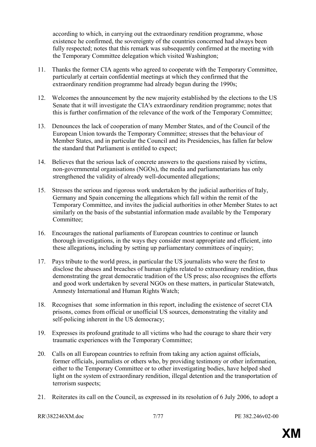according to which, in carrying out the extraordinary rendition programme, whose existence he confirmed, the sovereignty of the countries concerned had always been fully respected; notes that this remark was subsequently confirmed at the meeting with the Temporary Committee delegation which visited Washington;

- 11. Thanks the former CIA agents who agreed to cooperate with the Temporary Committee, particularly at certain confidential meetings at which they confirmed that the extraordinary rendition programme had already begun during the 1990s;
- 12. Welcomes the announcement by the new majority established by the elections to the US Senate that it will investigate the CIA's extraordinary rendition programme; notes that this is further confirmation of the relevance of the work of the Temporary Committee;
- 13. Denounces the lack of cooperation of many Member States, and of the Council of the European Union towards the Temporary Committee; stresses that the behaviour of Member States, and in particular the Council and its Presidencies, has fallen far below the standard that Parliament is entitled to expect;
- 14. Believes that the serious lack of concrete answers to the questions raised by victims, non-governmental organisations (NGOs), the media and parliamentarians has only strengthened the validity of already well-documented allegations;
- 15. Stresses the serious and rigorous work undertaken by the judicial authorities of Italy, Germany and Spain concerning the allegations which fall within the remit of the Temporary Committee, and invites the judicial authorities in other Member States to act similarly on the basis of the substantial information made available by the Temporary Committee;
- 16. Encourages the national parliaments of European countries to continue or launch thorough investigations, in the ways they consider most appropriate and efficient, into these allegations*,* including by setting up parliamentary committees of inquiry;
- 17. Pays tribute to the world press, in particular the US journalists who were the first to disclose the abuses and breaches of human rights related to extraordinary rendition, thus demonstrating the great democratic tradition of the US press; also recognises the efforts and good work undertaken by several NGOs on these matters, in particular Statewatch, Amnesty International and Human Rights Watch;
- 18. Recognises that some information in this report, including the existence of secret CIA prisons, comes from official or unofficial US sources, demonstrating the vitality and self-policing inherent in the US democracy;
- 19. Expresses its profound gratitude to all victims who had the courage to share their very traumatic experiences with the Temporary Committee;
- 20. Calls on all European countries to refrain from taking any action against officials, former officials, journalists or others who, by providing testimony or other information, either to the Temporary Committee or to other investigating bodies, have helped shed light on the system of extraordinary rendition, illegal detention and the transportation of terrorism suspects;
- 21. Reiterates its call on the Council, as expressed in its resolution of 6 July 2006, to adopt a

```
RR\382246XM doc 7/77 PE 382.246x02-00
```
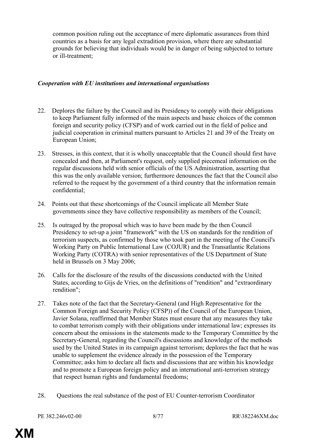common position ruling out the acceptance of mere diplomatic assurances from third countries as a basis for any legal extradition provision, where there are substantial grounds for believing that individuals would be in danger of being subjected to torture or ill-treatment;

## *Cooperation with EU institutions and international organisations*

- 22. Deplores the failure by the Council and its Presidency to comply with their obligations to keep Parliament fully informed of the main aspects and basic choices of the common foreign and security policy (CFSP) and of work carried out in the field of police and judicial cooperation in criminal matters pursuant to Articles 21 and 39 of the Treaty on European Union;
- 23. Stresses, in this context, that it is wholly unacceptable that the Council should first have concealed and then, at Parliament's request, only supplied piecemeal information on the regular discussions held with senior officials of the US Administration, asserting that this was the only available version; furthermore denounces the fact that the Council also referred to the request by the government of a third country that the information remain confidential;
- 24. Points out that these shortcomings of the Council implicate all Member State governments since they have collective responsibility as members of the Council;
- 25. Is outraged by the proposal which was to have been made by the then Council Presidency to set-up a joint "framework" with the US on standards for the rendition of terrorism suspects, as confirmed by those who took part in the meeting of the Council's Working Party on Public International Law (COJUR) and the Transatlantic Relations Working Party (COTRA) with senior representatives of the US Department of State held in Brussels on 3 May 2006;
- 26. Calls for the disclosure of the results of the discussions conducted with the United States, according to Gijs de Vries, on the definitions of "rendition" and "extraordinary rendition";
- 27. Takes note of the fact that the Secretary-General (and High Representative for the Common Foreign and Security Policy (CFSP)) of the Council of the European Union, Javier Solana, reaffirmed that Member States must ensure that any measures they take to combat terrorism comply with their obligations under international law; expresses its concern about the omissions in the statements made to the Temporary Committee by the Secretary-General, regarding the Council's discussions and knowledge of the methods used by the United States in its campaign against terrorism; deplores the fact that he was unable to supplement the evidence already in the possession of the Temporary Committee; asks him to declare all facts and discussions that are within his knowledge and to promote a European foreign policy and an international anti-terrorism strategy that respect human rights and fundamental freedoms;
- 28. Questions the real substance of the post of EU Counter-terrorism Coordinator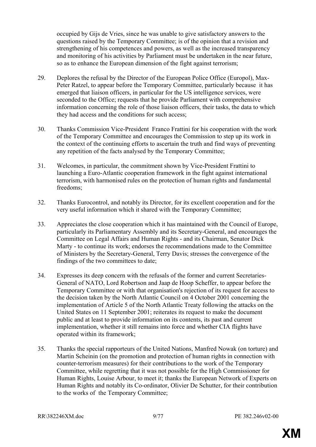occupied by Gijs de Vries, since he was unable to give satisfactory answers to the questions raised by the Temporary Committee; is of the opinion that a revision and strengthening of his competences and powers, as well as the increased transparency and monitoring of his activities by Parliament must be undertaken in the near future, so as to enhance the European dimension of the fight against terrorism;

- 29. Deplores the refusal by the Director of the European Police Office (Europol), Max-Peter Ratzel, to appear before the Temporary Committee, particularly because it has emerged that liaison officers, in particular for the US intelligence services, were seconded to the Office; requests that he provide Parliament with comprehensive information concerning the role of those liaison officers, their tasks, the data to which they had access and the conditions for such access;
- 30. Thanks Commission Vice-President Franco Frattini for his cooperation with the work of the Temporary Committee and encourages the Commission to step up its work in the context of the continuing efforts to ascertain the truth and find ways of preventing any repetition of the facts analysed by the Temporary Committee;
- 31. Welcomes, in particular, the commitment shown by Vice-President Frattini to launching a Euro-Atlantic cooperation framework in the fight against international terrorism, with harmonised rules on the protection of human rights and fundamental freedoms;
- 32. Thanks Eurocontrol, and notably its Director, for its excellent cooperation and for the very useful information which it shared with the Temporary Committee;
- 33. Appreciates the close cooperation which it has maintained with the Council of Europe, particularly its Parliamentary Assembly and its Secretary-General, and encourages the Committee on Legal Affairs and Human Rights - and its Chairman, Senator Dick Marty - to continue its work; endorses the recommendations made to the Committee of Ministers by the Secretary-General, Terry Davis; stresses the convergence of the findings of the two committees to date;
- 34. Expresses its deep concern with the refusals of the former and current Secretaries-General of NATO, Lord Robertson and Jaap de Hoop Scheffer, to appear before the Temporary Committee or with that organisation's rejection of its request for access to the decision taken by the North Atlantic Council on 4 October 2001 concerning the implementation of Article 5 of the North Atlantic Treaty following the attacks on the United States on 11 September 2001; reiterates its request to make the document public and at least to provide information on its contents, its past and current implementation, whether it still remains into force and whether CIA flights have operated within its framework;
- 35. Thanks the special rapporteurs of the United Nations, Manfred Nowak (on torture) and Martin Scheinin (on the promotion and protection of human rights in connection with counter-terrorism measures) for their contributions to the work of the Temporary Committee, while regretting that it was not possible for the High Commissioner for Human Rights, Louise Arbour, to meet it; thanks the European Network of Experts on Human Rights and notably its Co-ordinator, Olivier De Schutter, for their contribution to the works of the Temporary Committee;

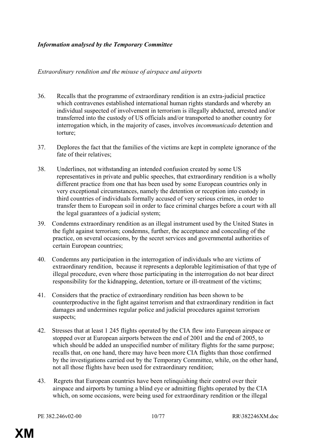## *Information analysed by the Temporary Committee*

### *Extraordinary rendition and the misuse of airspace and airports*

- 36. Recalls that the programme of extraordinary rendition is an extra-judicial practice which contravenes established international human rights standards and whereby an individual suspected of involvement in terrorism is illegally abducted, arrested and/or transferred into the custody of US officials and/or transported to another country for interrogation which, in the majority of cases, involves *incommunicado* detention and torture;
- 37. Deplores the fact that the families of the victims are kept in complete ignorance of the fate of their relatives;
- 38. Underlines, not withstanding an intended confusion created by some US representatives in private and public speeches, that extraordinary rendition is a wholly different practice from one that has been used by some European countries only in very exceptional circumstances, namely the detention or reception into custody in third countries of individuals formally accused of very serious crimes, in order to transfer them to European soil in order to face criminal charges before a court with all the legal guarantees of a judicial system;
- 39. Condemns extraordinary rendition as an illegal instrument used by the United States in the fight against terrorism; condemns, further, the acceptance and concealing of the practice, on several occasions, by the secret services and governmental authorities of certain European countries;
- 40. Condemns any participation in the interrogation of individuals who are victims of extraordinary rendition, because it represents a deplorable legitimisation of that type of illegal procedure, even where those participating in the interrogation do not bear direct responsibility for the kidnapping, detention, torture or ill-treatment of the victims;
- 41. Considers that the practice of extraordinary rendition has been shown to be counterproductive in the fight against terrorism and that extraordinary rendition in fact damages and undermines regular police and judicial procedures against terrorism suspects;
- 42. Stresses that at least 1 245 flights operated by the CIA flew into European airspace or stopped over at European airports between the end of 2001 and the end of 2005, to which should be added an unspecified number of military flights for the same purpose; recalls that, on one hand, there may have been more CIA flights than those confirmed by the investigations carried out by the Temporary Committee, while, on the other hand, not all those flights have been used for extraordinary rendition;
- 43. Regrets that European countries have been relinquishing their control over their airspace and airports by turning a blind eye or admitting flights operated by the CIA which, on some occasions, were being used for extraordinary rendition or the illegal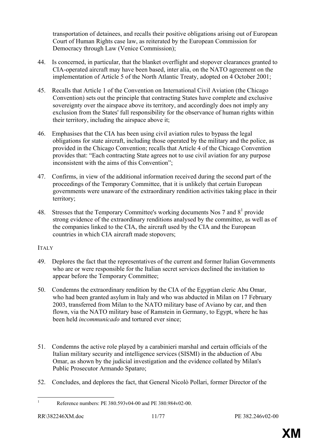transportation of detainees, and recalls their positive obligations arising out of European Court of Human Rights case law, as reiterated by the European Commission for Democracy through Law (Venice Commission);

- 44. Is concerned, in particular, that the blanket overflight and stopover clearances granted to CIA-operated aircraft may have been based, inter alia, on the NATO agreement on the implementation of Article 5 of the North Atlantic Treaty, adopted on 4 October 2001;
- 45. Recalls that Article 1 of the Convention on International Civil Aviation (the Chicago Convention) sets out the principle that contracting States have complete and exclusive sovereignty over the airspace above its territory, and accordingly does not imply any exclusion from the States' full responsibility for the observance of human rights within their territory, including the airspace above it;
- 46. Emphasises that the CIA has been using civil aviation rules to bypass the legal obligations for state aircraft, including those operated by the military and the police, as provided in the Chicago Convention; recalls that Article 4 of the Chicago Convention provides that: "Each contracting State agrees not to use civil aviation for any purpose inconsistent with the aims of this Convention";
- 47. Confirms, in view of the additional information received during the second part of the proceedings of the Temporary Committee, that it is unlikely that certain European governments were unaware of the extraordinary rendition activities taking place in their territory;
- 48. Stresses that the Temporary Committee's working documents Nos 7 and  $8<sup>1</sup>$  provide strong evidence of the extraordinary renditions analysed by the committee, as well as of the companies linked to the CIA, the aircraft used by the CIA and the European countries in which CIA aircraft made stopovers;

## ITALY

- 49. Deplores the fact that the representatives of the current and former Italian Governments who are or were responsible for the Italian secret services declined the invitation to appear before the Temporary Committee;
- 50. Condemns the extraordinary rendition by the CIA of the Egyptian cleric Abu Omar, who had been granted asylum in Italy and who was abducted in Milan on 17 February 2003, transferred from Milan to the NATO military base of Aviano by car, and then flown, via the NATO military base of Ramstein in Germany, to Egypt, where he has been held *incommunicado* and tortured ever since;
- 51. Condemns the active role played by a carabinieri marshal and certain officials of the Italian military security and intelligence services (SISMI) in the abduction of Abu Omar, as shown by the judicial investigation and the evidence collated by Milan's Public Prosecutor Armando Spataro;
- 52. Concludes, and deplores the fact, that General Nicolò Pollari, former Director of the

 $\frac{1}{1}$ 



Reference numbers: PE 380.593v04-00 and PE 380.984v02-00.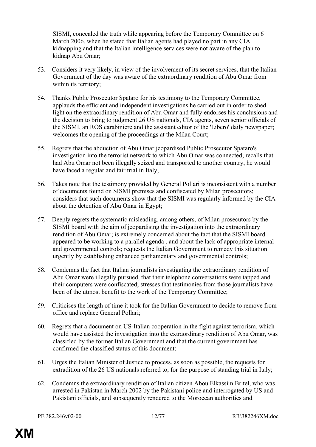SISMI, concealed the truth while appearing before the Temporary Committee on 6 March 2006, when he stated that Italian agents had played no part in any CIA kidnapping and that the Italian intelligence services were not aware of the plan to kidnap Abu Omar;

- 53. Considers it very likely, in view of the involvement of its secret services, that the Italian Government of the day was aware of the extraordinary rendition of Abu Omar from within its territory;
- 54. Thanks Public Prosecutor Spataro for his testimony to the Temporary Committee, applauds the efficient and independent investigations he carried out in order to shed light on the extraordinary rendition of Abu Omar and fully endorses his conclusions and the decision to bring to judgment 26 US nationals, CIA agents, seven senior officials of the SISMI, an ROS carabiniere and the assistant editor of the 'Libero' daily newspaper; welcomes the opening of the proceedings at the Milan Court;
- 55. Regrets that the abduction of Abu Omar jeopardised Public Prosecutor Spataro's investigation into the terrorist network to which Abu Omar was connected; recalls that had Abu Omar not been illegally seized and transported to another country, he would have faced a regular and fair trial in Italy;
- 56. Takes note that the testimony provided by General Pollari is inconsistent with a number of documents found on SISMI premises and confiscated by Milan prosecutors; considers that such documents show that the SISMI was regularly informed by the CIA about the detention of Abu Omar in Egypt;
- 57. Deeply regrets the systematic misleading, among others, of Milan prosecutors by the SISMI board with the aim of jeopardising the investigation into the extraordinary rendition of Abu Omar; is extremely concerned about the fact that the SISMI board appeared to be working to a parallel agenda , and about the lack of appropriate internal and governmental controls; requests the Italian Government to remedy this situation urgently by establishing enhanced parliamentary and governmental controls;
- 58. Condemns the fact that Italian journalists investigating the extraordinary rendition of Abu Omar were illegally pursued, that their telephone conversations were tapped and their computers were confiscated; stresses that testimonies from those journalists have been of the utmost benefit to the work of the Temporary Committee;
- 59. Criticises the length of time it took for the Italian Government to decide to remove from office and replace General Pollari;
- 60. Regrets that a document on US-Italian cooperation in the fight against terrorism, which would have assisted the investigation into the extraordinary rendition of Abu Omar, was classified by the former Italian Government and that the current government has confirmed the classified status of this document;
- 61. Urges the Italian Minister of Justice to process, as soon as possible, the requests for extradition of the 26 US nationals referred to, for the purpose of standing trial in Italy;
- 62. Condemns the extraordinary rendition of Italian citizen Abou Elkassim Britel, who was arrested in Pakistan in March 2002 by the Pakistani police and interrogated by US and Pakistani officials, and subsequently rendered to the Moroccan authorities and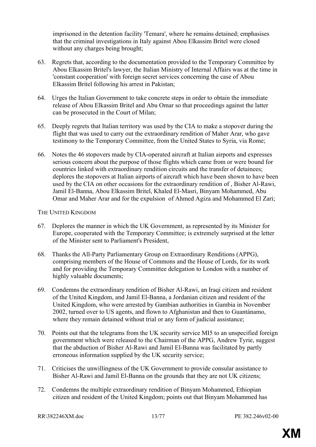imprisoned in the detention facility 'Temara', where he remains detained; emphasises that the criminal investigations in Italy against Abou Elkassim Britel were closed without any charges being brought;

- 63. Regrets that, according to the documentation provided to the Temporary Committee by Abou Elkassim Britel's lawyer, the Italian Ministry of Internal Affairs was at the time in 'constant cooperation' with foreign secret services concerning the case of Abou Elkassim Britel following his arrest in Pakistan;
- 64. Urges the Italian Government to take concrete steps in order to obtain the immediate release of Abou Elkassim Britel and Abu Omar so that proceedings against the latter can be prosecuted in the Court of Milan;
- 65. Deeply regrets that Italian territory was used by the CIA to make a stopover during the flight that was used to carry out the extraordinary rendition of Maher Arar, who gave testimony to the Temporary Committee, from the United States to Syria, via Rome;
- 66. Notes the 46 stopovers made by CIA-operated aircraft at Italian airports and expresses serious concern about the purpose of those flights which came from or were bound for countries linked with extraordinary rendition circuits and the transfer of detainees; deplores the stopovers at Italian airports of aircraft which have been shown to have been used by the CIA on other occasions for the extraordinary rendition of , Bisher Al-Rawi, Jamil El-Banna, Abou Elkassim Britel, Khaled El-Masri, Binyam Mohammed, Abu Omar and Maher Arar and for the expulsion of Ahmed Agiza and Mohammed El Zari;

### THE UNITED KINGDOM

- 67. Deplores the manner in which the UK Government, as represented by its Minister for Europe, cooperated with the Temporary Committee; is extremely surprised at the letter of the Minister sent to Parliament's President,
- 68. Thanks the All-Party Parliamentary Group on Extraordinary Renditions (APPG), comprising members of the House of Commons and the House of Lords, for its work and for providing the Temporary Committee delegation to London with a number of highly valuable documents;
- 69. Condemns the extraordinary rendition of Bisher Al-Rawi, an Iraqi citizen and resident of the United Kingdom, and Jamil El-Banna, a Jordanian citizen and resident of the United Kingdom, who were arrested by Gambian authorities in Gambia in November 2002, turned over to US agents, and flown to Afghanistan and then to Guantánamo, where they remain detained without trial or any form of judicial assistance;
- 70. Points out that the telegrams from the UK security service MI5 to an unspecified foreign government which were released to the Chairman of the APPG, Andrew Tyrie, suggest that the abduction of Bisher Al-Rawi and Jamil El-Banna was facilitated by partly erroneous information supplied by the UK security service;
- 71. Criticises the unwillingness of the UK Government to provide consular assistance to Bisher Al-Rawi and Jamil El-Banna on the grounds that they are not UK citizens;
- 72. Condemns the multiple extraordinary rendition of Binyam Mohammed, Ethiopian citizen and resident of the United Kingdom; points out that Binyam Mohammed has

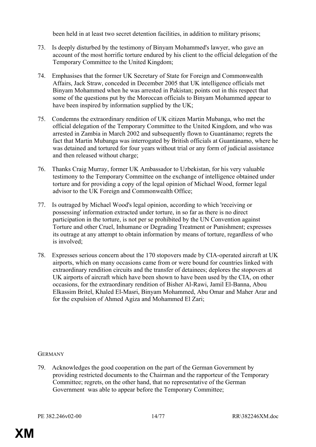been held in at least two secret detention facilities, in addition to military prisons;

- 73. Is deeply disturbed by the testimony of Binyam Mohammed's lawyer, who gave an account of the most horrific torture endured by his client to the official delegation of the Temporary Committee to the United Kingdom;
- 74. Emphasises that the former UK Secretary of State for Foreign and Commonwealth Affairs, Jack Straw, conceded in December 2005 that UK intelligence officials met Binyam Mohammed when he was arrested in Pakistan; points out in this respect that some of the questions put by the Moroccan officials to Binyam Mohammed appear to have been inspired by information supplied by the UK;
- 75. Condemns the extraordinary rendition of UK citizen Martin Mubanga, who met the official delegation of the Temporary Committee to the United Kingdom, and who was arrested in Zambia in March 2002 and subsequently flown to Guantánamo; regrets the fact that Martin Mubanga was interrogated by British officials at Guantánamo, where he was detained and tortured for four years without trial or any form of judicial assistance and then released without charge;
- 76. Thanks Craig Murray, former UK Ambassador to Uzbekistan, for his very valuable testimony to the Temporary Committee on the exchange of intelligence obtained under torture and for providing a copy of the legal opinion of Michael Wood, former legal advisor to the UK Foreign and Commonwealth Office;
- 77. Is outraged by Michael Wood's legal opinion, according to which 'receiving or possessing' information extracted under torture, in so far as there is no direct participation in the torture, is not per se prohibited by the UN Convention against Torture and other Cruel, Inhumane or Degrading Treatment or Punishment; expresses its outrage at any attempt to obtain information by means of torture, regardless of who is involved;
- 78. Expresses serious concern about the 170 stopovers made by CIA-operated aircraft at UK airports, which on many occasions came from or were bound for countries linked with extraordinary rendition circuits and the transfer of detainees; deplores the stopovers at UK airports of aircraft which have been shown to have been used by the CIA, on other occasions, for the extraordinary rendition of Bisher Al-Rawi, Jamil El-Banna, Abou Elkassim Britel, Khaled El-Masri, Binyam Mohammed, Abu Omar and Maher Arar and for the expulsion of Ahmed Agiza and Mohammed El Zari;

#### **GERMANY**

79. Acknowledges the good cooperation on the part of the German Government by providing restricted documents to the Chairman and the rapporteur of the Temporary Committee; regrets, on the other hand, that no representative of the German Government was able to appear before the Temporary Committee;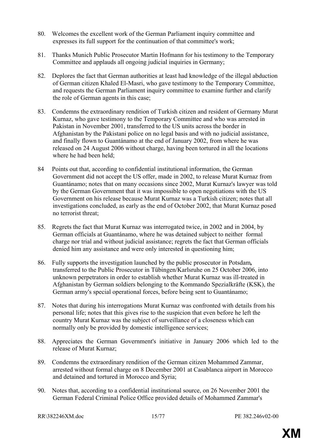- 80. Welcomes the excellent work of the German Parliament inquiry committee and expresses its full support for the continuation of that committee's work;
- 81. Thanks Munich Public Prosecutor Martin Hofmann for his testimony to the Temporary Committee and applauds all ongoing judicial inquiries in Germany;
- 82. Deplores the fact that German authorities at least had knowledge of the illegal abduction of German citizen Khaled El-Masri, who gave testimony to the Temporary Committee, and requests the German Parliament inquiry committee to examine further and clarify the role of German agents in this case;
- 83. Condemns the extraordinary rendition of Turkish citizen and resident of Germany Murat Kurnaz, who gave testimony to the Temporary Committee and who was arrested in Pakistan in November 2001, transferred to the US units across the border in Afghanistan by the Pakistani police on no legal basis and with no judicial assistance, and finally flown to Guantánamo at the end of January 2002, from where he was released on 24 August 2006 without charge, having been tortured in all the locations where he had been held;
- 84 Points out that, according to confidential institutional information, the German Government did not accept the US offer, made in 2002, to release Murat Kurnaz from Guantánamo; notes that on many occasions since 2002, Murat Kurnaz's lawyer was told by the German Government that it was impossible to open negotiations with the US Government on his release because Murat Kurnaz was a Turkish citizen; notes that all investigations concluded, as early as the end of October 2002, that Murat Kurnaz posed no terrorist threat;
- 85. Regrets the fact that Murat Kurnaz was interrogated twice, in 2002 and in 2004, by German officials at Guantánamo, where he was detained subject to neither formal charge nor trial and without judicial assistance; regrets the fact that German officials denied him any assistance and were only interested in questioning him;
- 86. Fully supports the investigation launched by the public prosecutor in Potsdam*,*  transferred to the Public Prosecutor in Tübingen/Karlsruhe on 25 October 2006, into unknown perpetrators in order to establish whether Murat Kurnaz was ill-treated in Afghanistan by German soldiers belonging to the Kommando Spezialkräfte (KSK), the German army's special operational forces, before being sent to Guantánamo;
- 87. Notes that during his interrogations Murat Kurnaz was confronted with details from his personal life; notes that this gives rise to the suspicion that even before he left the country Murat Kurnaz was the subject of surveillance of a closeness which can normally only be provided by domestic intelligence services;
- 88. Appreciates the German Government's initiative in January 2006 which led to the release of Murat Kurnaz;
- 89. Condemns the extraordinary rendition of the German citizen Mohammed Zammar, arrested without formal charge on 8 December 2001 at Casablanca airport in Morocco and detained and tortured in Morocco and Syria;
- 90. Notes that, according to a confidential institutional source, on 26 November 2001 the German Federal Criminal Police Office provided details of Mohammed Zammar's

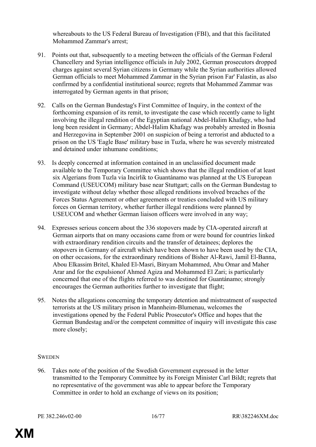whereabouts to the US Federal Bureau of Investigation (FBI), and that this facilitated Mohammed Zammar's arrest;

- 91. Points out that, subsequently to a meeting between the officials of the German Federal Chancellery and Syrian intelligence officials in July 2002, German prosecutors dropped charges against several Syrian citizens in Germany while the Syrian authorities allowed German officials to meet Mohammed Zammar in the Syrian prison Far' Falastin, as also confirmed by a confidential institutional source; regrets that Mohammed Zammar was interrogated by German agents in that prison;
- 92. Calls on the German Bundestag's First Committee of Inquiry, in the context of the forthcoming expansion of its remit, to investigate the case which recently came to light involving the illegal rendition of the Egyptian national Abdel-Halim Khafagy, who had long been resident in Germany; Abdel-Halim Khafagy was probably arrested in Bosnia and Herzegovina in September 2001 on suspicion of being a terrorist and abducted to a prison on the US 'Eagle Base' military base in Tuzla, where he was severely mistreated and detained under inhumane conditions;
- 93. Is deeply concerned at information contained in an unclassified document made available to the Temporary Committee which shows that the illegal rendition of at least six Algerians from Tuzla via Incirlik to Guantánamo was planned at the US European Command (USEUCOM) military base near Stuttgart; calls on the German Bundestag to investigate without delay whether those alleged renditions involved breaches of the Forces Status Agreement or other agreements or treaties concluded with US military forces on German territory, whether further illegal renditions were planned by USEUCOM and whether German liaison officers were involved in any way;
- 94. Expresses serious concern about the 336 stopovers made by CIA-operated aircraft at German airports that on many occasions came from or were bound for countries linked with extraordinary rendition circuits and the transfer of detainees; deplores the stopovers in Germany of aircraft which have been shown to have been used by the CIA, on other occasions, for the extraordinary renditions of Bisher Al-Rawi, Jamil El-Banna, Abou Elkassim Britel, Khaled El-Masri, Binyam Mohammed, Abu Omar and Maher Arar and for the expulsionof Ahmed Agiza and Mohammed El Zari; is particularly concerned that one of the flights referred to was destined for Guantánamo; strongly encourages the German authorities further to investigate that flight;
- 95. Notes the allegations concerning the temporary detention and mistreatment of suspected terrorists at the US military prison in Mannheim-Blumenau, welcomes the investigations opened by the Federal Public Prosecutor's Office and hopes that the German Bundestag and/or the competent committee of inquiry will investigate this case more closely;

#### **SWEDEN**

96. Takes note of the position of the Swedish Government expressed in the letter transmitted to the Temporary Committee by its Foreign Minister Carl Bildt; regrets that no representative of the government was able to appear before the Temporary Committee in order to hold an exchange of views on its position;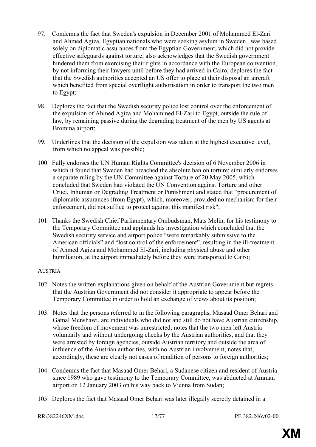- 97. Condemns the fact that Sweden's expulsion in December 2001 of Mohammed El-Zari and Ahmed Agiza, Egyptian nationals who were seeking asylum in Sweden, was based solely on diplomatic assurances from the Egyptian Government, which did not provide effective safeguards against torture; also acknowledges that the Swedish government hindered them from exercising their rights in accordance with the European convention, by not informing their lawyers until before they had arrived in Cairo; deplores the fact that the Swedish authorities accepted an US offer to place at their disposal an aircraft which benefited from special overflight authorisation in order to transport the two men to Egypt;
- 98. Deplores the fact that the Swedish security police lost control over the enforcement of the expulsion of Ahmed Agiza and Mohammed El-Zari to Egypt, outside the rule of law, by remaining passive during the degrading treatment of the men by US agents at Bromma airport;
- 99. Underlines that the decision of the expulsion was taken at the highest executive level, from which no appeal was possible;
- 100. Fully endorses the UN Human Rights Committee's decision of 6 November 2006 in which it found that Sweden had breached the absolute ban on torture; similarly endorses a separate ruling by the UN Committee against Torture of 20 May 2005, which concluded that Sweden had violated the UN Convention against Torture and other Cruel, Inhuman or Degrading Treatment or Punishment and stated that "procurement of diplomatic assurances (from Egypt), which, moreover, provided no mechanism for their enforcement, did not suffice to protect against this manifest risk";
- 101. Thanks the Swedish Chief Parliamentary Ombudsman, Mats Melin, for his testimony to the Temporary Committee and applauds his investigation which concluded that the Swedish security service and airport police "were remarkably submissive to the American officials" and "lost control of the enforcement", resulting in the ill-treatment of Ahmed Agiza and Mohammed El-Zari, including physical abuse and other humiliation, at the airport immediately before they were transported to Cairo;

## **AUSTRIA**

- 102. Notes the written explanations given on behalf of the Austrian Government but regrets that the Austrian Government did not consider it appropriate to appear before the Temporary Committee in order to hold an exchange of views about its position;
- 103. Notes that the persons referred to in the following paragraphs, Masaad Omer Behari and Gamal Menshawi, are individuals who did not and still do not have Austrian citizenship, whose freedom of movement was unrestricted; notes that the two men left Austria voluntarily and without undergoing checks by the Austrian authorities, and that they were arrested by foreign agencies, outside Austrian territory and outside the area of influence of the Austrian authorities, with no Austrian involvement; notes that, accordingly, these are clearly not cases of rendition of persons to foreign authorities;
- 104. Condemns the fact that Masaad Omer Behari, a Sudanese citizen and resident of Austria since 1989 who gave testimony to the Temporary Committee, was abducted at Amman airport on 12 January 2003 on his way back to Vienna from Sudan;
- 105. Deplores the fact that Masaad Omer Behari was later illegally secretly detained in a

```
RR\382246XM doc 17/77 PE 382.246v02-00
```
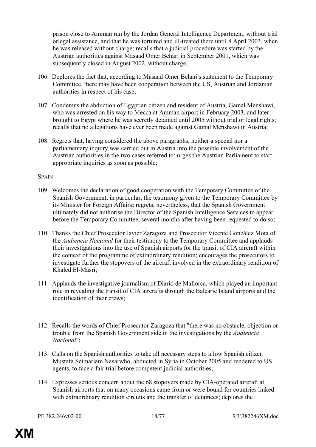prison close to Amman run by the Jordan General Intelligence Department, without trial orlegal assistance, and that he was tortured and ill-treated there until 8 April 2003, when he was released without charge; recalls that a judicial procedure was started by the Austrian authorities against Masaad Omer Behari in September 2001, which was subsequently closed in August 2002, without charge;

- 106. Deplores the fact that, according to Masaad Omer Behari's statement to the Temporary Committee, there may have been cooperation between the US, Austrian and Jordanian authorities in respect of his case;
- 107. Condemns the abduction of Egyptian citizen and resident of Austria, Gamal Menshawi, who was arrested on his way to Mecca at Amman airport in February 2003, and later brought to Egypt where he was secretly detained until 2005 without trial or legal rights; recalls that no allegations have ever been made against Gamal Menshawi in Austria;
- 108. Regrets that, having considered the above paragraphs, neither a special nor a parliamentary inquiry was carried out in Austria into the possible involvement of the Austrian authorities in the two cases referred to; urges the Austrian Parliament to start appropriate inquiries as soon as possible;

#### **SPAIN**

- 109. Welcomes the declaration of good cooperation with the Temporary Committee of the Spanish Government**,** in particular, the testimony given to the Temporary Committee by its Minister for Foreign Affairs**;** regrets, nevertheless, that the Spanish Government ultimately did not authorise the Director of the Spanish Intelligence Services to appear before the Temporary Committee, several months after having been requested to do so;
- 110. Thanks the Chief Prosecutor Javier Zaragoza and Prosecutor Vicente González Mota of the *Audiencia Nacional* for their testimony to the Temporary Committee and applauds their investigations into the use of Spanish airports for the transit of CIA aircraft within the context of the programme of extraordinary rendition; encourages the prosecutors to investigate further the stopovers of the aircraft involved in the extraordinary rendition of Khaled El-Masri;
- 111. Applauds the investigative journalism of Diario de Mallorca, which played an important role in revealing the transit of CIA aircrafts through the Balearic Island airports and the identification of their crews;
- 112. Recalls the words of Chief Prosecutor Zaragoza that "there was no obstacle, objection or trouble from the Spanish Government side in the investigations by the *Audiencia Nacional*";
- 113. Calls on the Spanish authorities to take all necessary steps to allow Spanish citizen Mustafa Setmariam Nasarwho, abducted in Syria in October 2005 and rendered to US agents, to face a fair trial before competent judicial authorities;
- 114. Expresses serious concern about the 68 stopovers made by CIA-operated aircraft at Spanish airports that on many occasions came from or were bound for countries linked with extraordinary rendition circuits and the transfer of detainees; deplores the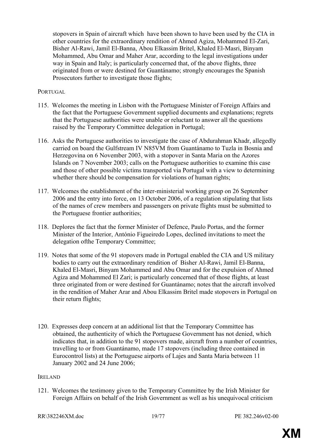stopovers in Spain of aircraft which have been shown to have been used by the CIA in other countries for the extraordinary rendition of Ahmed Agiza, Mohammed El-Zari, Bisher Al-Rawi, Jamil El-Banna, Abou Elkassim Britel, Khaled El-Masri, Binyam Mohammed, Abu Omar and Maher Arar, according to the legal investigations under way in Spain and Italy; is particularly concerned that, of the above flights, three originated from or were destined for Guantánamo; strongly encourages the Spanish Prosecutors further to investigate those flights;

## **PORTUGAL**

- 115. Welcomes the meeting in Lisbon with the Portuguese Minister of Foreign Affairs and the fact that the Portuguese Government supplied documents and explanations; regrets that the Portuguese authorities were unable or reluctant to answer all the questions raised by the Temporary Committee delegation in Portugal;
- 116. Asks the Portuguese authorities to investigate the case of Abdurahman Khadr, allegedly carried on board the Gulfstream IV N85VM from Guantánamo to Tuzla in Bosnia and Herzegovina on 6 November 2003, with a stopover in Santa Maria on the Azores Islands on 7 November 2003; calls on the Portuguese authorities to examine this case and those of other possible victims transported via Portugal with a view to determining whether there should be compensation for violations of human rights:
- 117. Welcomes the establishment of the inter-ministerial working group on 26 September 2006 and the entry into force, on 13 October 2006, of a regulation stipulating that lists of the names of crew members and passengers on private flights must be submitted to the Portuguese frontier authorities;
- 118. Deplores the fact that the former Minister of Defence, Paulo Portas, and the former Minister of the Interior, António Figueiredo Lopes, declined invitations to meet the delegation ofthe Temporary Committee;
- 119. Notes that some of the 91 stopovers made in Portugal enabled the CIA and US military bodies to carry out the extraordinary rendition of Bisher Al-Rawi, Jamil El-Banna, Khaled El-Masri, Binyam Mohammed and Abu Omar and for the expulsion of Ahmed Agiza and Mohammed El Zari; is particularly concerned that of those flights, at least three originated from or were destined for Guantánamo; notes that the aircraft involved in the rendition of Maher Arar and Abou Elkassim Britel made stopovers in Portugal on their return flights;
- 120. Expresses deep concern at an additional list that the Temporary Committee has obtained, the authenticity of which the Portuguese Government has not denied, which indicates that, in addition to the 91 stopovers made, aircraft from a number of countries, travelling to or from Guantánamo, made 17 stopovers (including three contained in Eurocontrol lists) at the Portuguese airports of Lajes and Santa Maria between 11 January 2002 and 24 June 2006;

#### IRELAND

121. Welcomes the testimony given to the Temporary Committee by the Irish Minister for Foreign Affairs on behalf of the Irish Government as well as his unequivocal criticism

```
RR\382246XM doc 19/77 PE 382.246v02-00
```
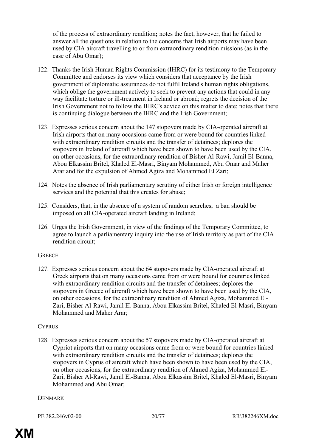of the process of extraordinary rendition**;** notes the fact, however, that he failed to answer all the questions in relation to the concerns that Irish airports may have been used by CIA aircraft travelling to or from extraordinary rendition missions (as in the case of Abu Omar);

- 122. Thanks the Irish Human Rights Commission (IHRC) for its testimony to the Temporary Committee and endorses its view which considers that acceptance by the Irish government of diplomatic assurances do not fulfil Ireland's human rights obligations, which oblige the government actively to seek to prevent any actions that could in any way facilitate torture or ill-treatment in Ireland or abroad; regrets the decision of the Irish Government not to follow the IHRC's advice on this matter to date; notes that there is continuing dialogue between the IHRC and the Irish Government;
- 123. Expresses serious concern about the 147 stopovers made by CIA-operated aircraft at Irish airports that on many occasions came from or were bound for countries linked with extraordinary rendition circuits and the transfer of detainees; deplores the stopovers in Ireland of aircraft which have been shown to have been used by the CIA, on other occasions, for the extraordinary rendition of Bisher Al-Rawi, Jamil El-Banna, Abou Elkassim Britel, Khaled El-Masri, Binyam Mohammed, Abu Omar and Maher Arar and for the expulsion of Ahmed Agiza and Mohammed El Zari;
- 124. Notes the absence of Irish parliamentary scrutiny of either Irish or foreign intelligence services and the potential that this creates for abuse;
- 125. Considers, that, in the absence of a system of random searches, a ban should be imposed on all CIA-operated aircraft landing in Ireland;
- 126. Urges the Irish Government, in view of the findings of the Temporary Committee, to agree to launch a parliamentary inquiry into the use of Irish territory as part of the CIA rendition circuit;

## **GREECE**

127. Expresses serious concern about the 64 stopovers made by CIA-operated aircraft at Greek airports that on many occasions came from or were bound for countries linked with extraordinary rendition circuits and the transfer of detainees; deplores the stopovers in Greece of aircraft which have been shown to have been used by the CIA, on other occasions, for the extraordinary rendition of Ahmed Agiza, Mohammed El-Zari, Bisher Al-Rawi, Jamil El-Banna, Abou Elkassim Britel, Khaled El-Masri, Binyam Mohammed and Maher Arar;

## **CYPRUS**

128. Expresses serious concern about the 57 stopovers made by CIA-operated aircraft at Cypriot airports that on many occasions came from or were bound for countries linked with extraordinary rendition circuits and the transfer of detainees; deplores the stopovers in Cyprus of aircraft which have been shown to have been used by the CIA, on other occasions, for the extraordinary rendition of Ahmed Agiza, Mohammed El-Zari, Bisher Al-Rawi, Jamil El-Banna, Abou Elkassim Britel, Khaled El-Masri, Binyam Mohammed and Abu Omar;

#### **DENMARK**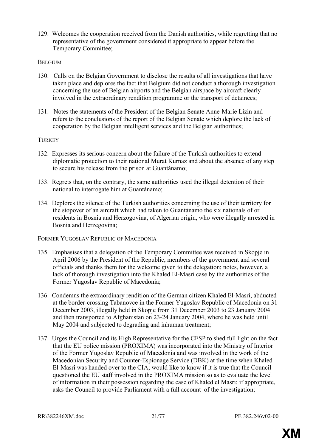129. Welcomes the cooperation received from the Danish authorities, while regretting that no representative of the government considered it appropriate to appear before the Temporary Committee;

## **BELGIUM**

- 130. Calls on the Belgian Government to disclose the results of all investigations that have taken place and deplores the fact that Belgium did not conduct a thorough investigation concerning the use of Belgian airports and the Belgian airspace by aircraft clearly involved in the extraordinary rendition programme or the transport of detainees;
- 131. Notes the statements of the President of the Belgian Senate Anne-Marie Lizin and refers to the conclusions of the report of the Belgian Senate which deplore the lack of cooperation by the Belgian intelligent services and the Belgian authorities;

## **TURKEY**

- 132. Expresses its serious concern about the failure of the Turkish authorities to extend diplomatic protection to their national Murat Kurnaz and about the absence of any step to secure his release from the prison at Guantánamo;
- 133. Regrets that, on the contrary, the same authorities used the illegal detention of their national to interrogate him at Guantánamo;
- 134. Deplores the silence of the Turkish authorities concerning the use of their territory for the stopover of an aircraft which had taken to Guantánamo the six nationals of or residents in Bosnia and Herzogovina, of Algerian origin, who were illegally arrested in Bosnia and Herzegovina;

## FORMER YUGOSLAV REPUBLIC OF MACEDONIA

- 135. Emphasises that a delegation of the Temporary Committee was received in Skopje in April 2006 by the President of the Republic, members of the government and several officials and thanks them for the welcome given to the delegation; notes, however, a lack of thorough investigation into the Khaled El-Masri case by the authorities of the Former Yugoslav Republic of Macedonia;
- 136. Condemns the extraordinary rendition of the German citizen Khaled El-Masri, abducted at the border-crossing Tabanovce in the Former Yugoslav Republic of Macedonia on 31 December 2003, illegally held in Skopje from 31 December 2003 to 23 January 2004 and then transported to Afghanistan on 23-24 January 2004, where he was held until May 2004 and subjected to degrading and inhuman treatment;
- 137. Urges the Council and its High Representative for the CFSP to shed full light on the fact that the EU police mission (PROXIMA) was incorporated into the Ministry of Interior of the Former Yugoslav Republic of Macedonia and was involved in the work of the Macedonian Security and Counter-Espionage Service (DBK) at the time when Khaled El-Masri was handed over to the CIA; would like to know if it is true that the Council questioned the EU staff involved in the PROXIMA mission so as to evaluate the level of information in their possession regarding the case of Khaled el Masri; if appropriate, asks the Council to provide Parliament with a full account of the investigation;

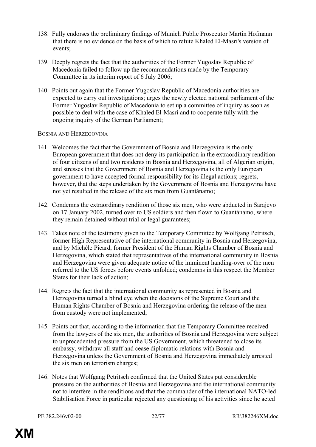- 138. Fully endorses the preliminary findings of Munich Public Prosecutor Martin Hofmann that there is no evidence on the basis of which to refute Khaled El-Masri's version of events;
- 139. Deeply regrets the fact that the authorities of the Former Yugoslav Republic of Macedonia failed to follow up the recommendations made by the Temporary Committee in its interim report of 6 July 2006;
- 140. Points out again that the Former Yugoslav Republic of Macedonia authorities are expected to carry out investigations; urges the newly elected national parliament of the Former Yugoslav Republic of Macedonia to set up a committee of inquiry as soon as possible to deal with the case of Khaled El-Masri and to cooperate fully with the ongoing inquiry of the German Parliament;

#### BOSNIA AND HERZEGOVINA

- 141. Welcomes the fact that the Government of Bosnia and Herzegovina is the only European government that does not deny its participation in the extraordinary rendition of four citizens of and two residents in Bosnia and Herzegovina, all of Algerian origin, and stresses that the Government of Bosnia and Herzegovina is the only European government to have accepted formal responsibility for its illegal actions; regrets, however, that the steps undertaken by the Government of Bosnia and Herzegovina have not yet resulted in the release of the six men from Guantánamo;
- 142. Condemns the extraordinary rendition of those six men, who were abducted in Sarajevo on 17 January 2002, turned over to US soldiers and then flown to Guantánamo, where they remain detained without trial or legal guarantees;
- 143. Takes note of the testimony given to the Temporary Committee by Wolfgang Petritsch, former High Representative of the international community in Bosnia and Herzegovina, and by Michèle Picard, former President of the Human Rights Chamber of Bosnia and Herzegovina, which stated that representatives of the international community in Bosnia and Herzegovina were given adequate notice of the imminent handing-over of the men referred to the US forces before events unfolded; condemns in this respect the Member States for their lack of action;
- 144. Regrets the fact that the international community as represented in Bosnia and Herzegovina turned a blind eye when the decisions of the Supreme Court and the Human Rights Chamber of Bosnia and Herzegovina ordering the release of the men from custody were not implemented;
- 145. Points out that, according to the information that the Temporary Committee received from the lawyers of the six men, the authorities of Bosnia and Herzegovina were subject to unprecedented pressure from the US Government, which threatened to close its embassy, withdraw all staff and cease diplomatic relations with Bosnia and Herzegovina unless the Government of Bosnia and Herzegovina immediately arrested the six men on terrorism charges;
- 146. Notes that Wolfgang Petritsch confirmed that the United States put considerable pressure on the authorities of Bosnia and Herzegovina and the international community not to interfere in the renditions and that the commander of the international NATO-led Stabilisation Force in particular rejected any questioning of his activities since he acted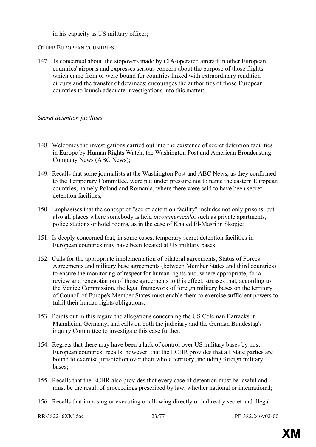in his capacity as US military officer;

#### OTHER EUROPEAN COUNTRIES

147. Is concerned aboutthe stopovers made by CIA-operated aircraft in other European countries' airports and expresses serious concern about the purpose of those flights which came from or were bound for countries linked with extraordinary rendition circuits and the transfer of detainees; encourages the authorities of those European countries to launch adequate investigations into this matter;

### *Secret detention facilities*

- 148. Welcomes the investigations carried out into the existence of secret detention facilities in Europe by Human Rights Watch, the Washington Post and American Broadcasting Company News (ABC News);
- 149. Recalls that some journalists at the Washington Post and ABC News, as they confirmed to the Temporary Committee, were put under pressure not to name the eastern European countries, namely Poland and Romania, where there were said to have been secret detention facilities;
- 150. Emphasises that the concept of "secret detention facility" includes not only prisons, but also all places where somebody is held *incommunicado*, such as private apartments, police stations or hotel rooms, as in the case of Khaled El-Masri in Skopje;
- 151. Is deeply concerned that, in some cases, temporary secret detention facilities in European countries may have been located at US military bases;
- 152. Calls for the appropriate implementation of bilateral agreements, Status of Forces Agreements and military base agreements (between Member States and third countries) to ensure the monitoring of respect for human rights and, where appropriate, for a review and renegotiation of those agreements to this effect; stresses that, according to the Venice Commission, the legal framework of foreign military bases on the territory of Council of Europe's Member States must enable them to exercise sufficient powers to fulfil their human rights obligations;
- 153. Points out in this regard the allegations concerning the US Coleman Barracks in Mannheim, Germany, and calls on both the judiciary and the German Bundestag's inquiry Committee to investigate this case further;
- 154. Regrets that there may have been a lack of control over US military bases by host European countries; recalls, however, that the ECHR provides that all State parties are bound to exercise jurisdiction over their whole territory, including foreign military bases;
- 155. Recalls that the ECHR also provides that every case of detention must be lawful and must be the result of proceedings prescribed by law, whether national or international;
- 156. Recalls that imposing or executing or allowing directly or indirectly secret and illegal

RR\382246XM doc 23/77 PE 382.246x02-00

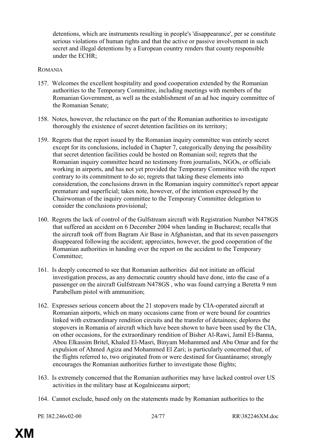detentions, which are instruments resulting in people's 'disappearance', per se constitute serious violations of human rights and that the active or passive involvement in such secret and illegal detentions by a European country renders that county responsible under the ECHR;

#### ROMANIA

- 157. Welcomes the excellent hospitality and good cooperation extended by the Romanian authorities to the Temporary Committee, including meetings with members of the Romanian Government, as well as the establishment of an ad hoc inquiry committee of the Romanian Senate;
- 158. Notes, however, the reluctance on the part of the Romanian authorities to investigate thoroughly the existence of secret detention facilities on its territory;
- 159. Regrets that the report issued by the Romanian inquiry committee was entirely secret except for its conclusions, included in Chapter 7, categorically denying the possibility that secret detention facilities could be hosted on Romanian soil; regrets that the Romanian inquiry committee heard no testimony from journalists, NGOs, or officials working in airports, and has not yet provided the Temporary Committee with the report contrary to its commitment to do so; regrets that taking these elements into consideration, the conclusions drawn in the Romanian inquiry committee's report appear premature and superficial; takes note, however, of the intention expressed by the Chairwoman of the inquiry committee to the Temporary Committee delegation to consider the conclusions provisional;
- 160. Regrets the lack of control of the Gulfstream aircraft with Registration Number N478GS that suffered an accident on 6 December 2004 when landing in Bucharest; recalls that the aircraft took off from Bagram Air Base in Afghanistan, and that its seven passengers disappeared following the accident; appreciates, however, the good cooperation of the Romanian authorities in handing over the report on the accident to the Temporary Committee;
- 161. Is deeply concerned to see that Romanian authorities did not initiate an official investigation process, as any democratic country should have done, into the case of a passenger on the aircraft Gulfstream N478GS , who was found carrying a Beretta 9 mm Parabellum pistol with ammunition;
- 162. Expresses serious concern about the 21 stopovers made by CIA-operated aircraft at Romanian airports, which on many occasions came from or were bound for countries linked with extraordinary rendition circuits and the transfer of detainees; deplores the stopovers in Romania of aircraft which have been shown to have been used by the CIA, on other occasions, for the extraordinary rendition of Bisher Al-Rawi, Jamil El-Banna, Abou Elkassim Britel, Khaled El-Masri, Binyam Mohammed and Abu Omar and for the expulsion of Ahmed Agiza and Mohammed El Zari; is particularly concerned that, of the flights referred to, two originated from or were destined for Guantánamo; strongly encourages the Romanian authorities further to investigate those flights;
- 163. Is extremely concerned that the Romanian authorities may have lacked control over US activities in the military base at Kogalniceanu airport;
- 164. Cannot exclude, based only on the statements made by Romanian authorities to the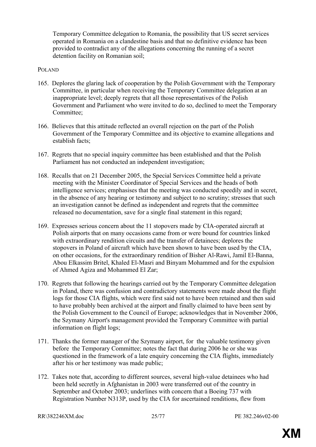Temporary Committee delegation to Romania, the possibility that US secret services operated in Romania on a clandestine basis and that no definitive evidence has been provided to contradict any of the allegations concerning the running of a secret detention facility on Romanian soil;

#### POLAND

- 165. Deplores the glaring lack of cooperation by the Polish Government with the Temporary Committee, in particular when receiving the Temporary Committee delegation at an inappropriate level; deeply regrets that all those representatives of the Polish Government and Parliament who were invited to do so, declined to meet the Temporary Committee;
- 166. Believes that this attitude reflected an overall rejection on the part of the Polish Government of the Temporary Committee and its objective to examine allegations and establish facts;
- 167. Regrets that no special inquiry committee has been established and that the Polish Parliament has not conducted an independent investigation;
- 168. Recalls that on 21 December 2005, the Special Services Committee held a private meeting with the Minister Coordinator of Special Services and the heads of both intelligence services; emphasises that the meeting was conducted speedily and in secret, in the absence of any hearing or testimony and subject to no scrutiny; stresses that such an investigation cannot be defined as independent and regrets that the committee released no documentation, save for a single final statement in this regard;
- 169. Expresses serious concern about the 11 stopovers made by CIA-operated aircraft at Polish airports that on many occasions came from or were bound for countries linked with extraordinary rendition circuits and the transfer of detainees; deplores the stopovers in Poland of aircraft which have been shown to have been used by the CIA, on other occasions, for the extraordinary rendition of Bisher Al-Rawi, Jamil El-Banna, Abou Elkassim Britel, Khaled El-Masri and Binyam Mohammed and for the expulsion of Ahmed Agiza and Mohammed El Zar;
- 170. Regrets that following the hearings carried out by the Temporary Committee delegation in Poland, there was confusion and contradictory statements were made about the flight logs for those CIA flights, which were first said not to have been retained and then said to have probably been archived at the airport and finally claimed to have been sent by the Polish Government to the Council of Europe; acknowledges that in November 2006, the Szymany Airport's management provided the Temporary Committee with partial information on flight logs;
- 171. Thanks the former manager of the Szymany airport, for the valuable testimony given before the Temporary Committee; notes the fact that during 2006 he or she was questioned in the framework of a late enquiry concerning the CIA flights, immediately after his or her testimony was made public;
- 172. Takes note that, according to different sources, several high-value detainees who had been held secretly in Afghanistan in 2003 were transferred out of the country in September and October 2003; underlines with concern that a Boeing 737 with Registration Number N313P, used by the CIA for ascertained renditions, flew from

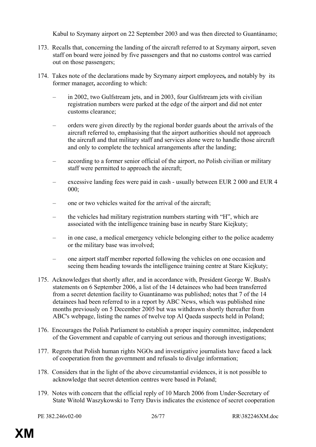Kabul to Szymany airport on 22 September 2003 and was then directed to Guantánamo;

- 173. Recalls that, concerning the landing of the aircraft referred to at Szymany airport, seven staff on board were joined by five passengers and that no customs control was carried out on those passengers;
- 174. Takes note of the declarations made by Szymany airport employees*,* and notably byits former manager*,* according to which:
	- in 2002, two Gulfstream jets, and in 2003, four Gulfstream jets with civilian registration numbers were parked at the edge of the airport and did not enter customs clearance;
	- orders were given directly by the regional border guards about the arrivals of the aircraft referred to, emphasising that the airport authorities should not approach the aircraft and that military staff and services alone were to handle those aircraft and only to complete the technical arrangements after the landing;
	- according to a former senior official of the airport, no Polish civilian or military staff were permitted to approach the aircraft;
	- excessive landing fees were paid in cash usually between EUR 2 000 and EUR 4 000;
	- one or two vehicles waited for the arrival of the aircraft;
	- the vehicles had military registration numbers starting with "H", which are associated with the intelligence training base in nearby Stare Kiejkuty;
	- in one case, a medical emergency vehicle belonging either to the police academy or the military base was involved;
	- one airport staff member reported following the vehicles on one occasion and seeing them heading towards the intelligence training centre at Stare Kiejkuty;
- 175. Acknowledges that shortly after, and in accordance with, President George W. Bush's statements on 6 September 2006, a list of the 14 detainees who had been transferred from a secret detention facility to Guantánamo was published; notes that 7 of the 14 detainees had been referred to in a report by ABC News, which was published nine months previously on 5 December 2005 but was withdrawn shortly thereafter from ABC's webpage, listing the names of twelve top Al Qaeda suspects held in Poland;
- 176. Encourages the Polish Parliament to establish a proper inquiry committee, independent of the Government and capable of carrying out serious and thorough investigations;
- 177. Regrets that Polish human rights NGOs and investigative journalists have faced a lack of cooperation from the government and refusals to divulge information;
- 178. Considers that in the light of the above circumstantial evidences, it is not possible to acknowledge that secret detention centres were based in Poland;
- 179. Notes with concern that the official reply of 10 March 2006 from Under-Secretary of State Witold Waszykowski to Terry Davis indicates the existence of secret cooperation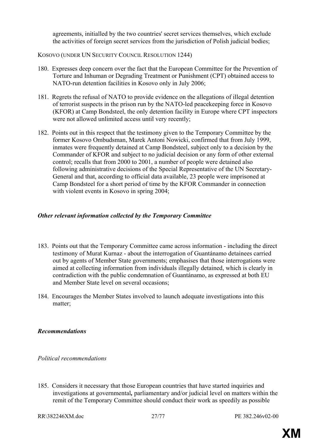agreements, initialled by the two countries' secret services themselves, which exclude the activities of foreign secret services from the jurisdiction of Polish judicial bodies;

## KOSOVO (UNDER UN SECURITY COUNCIL RESOLUTION 1244)

- 180. Expresses deep concern over the fact that the European Committee for the Prevention of Torture and Inhuman or Degrading Treatment or Punishment (CPT) obtained access to NATO-run detention facilities in Kosovo only in July 2006;
- 181. Regrets the refusal of NATO to provide evidence on the allegations of illegal detention of terrorist suspects in the prison run by the NATO-led peacekeeping force in Kosovo (KFOR) at Camp Bondsteel, the only detention facility in Europe where CPT inspectors were not allowed unlimited access until very recently;
- 182. Points out in this respect that the testimony given to the Temporary Committee by the former Kosovo Ombudsman, Marek Antoni Nowicki, confirmed that from July 1999, inmates were frequently detained at Camp Bondsteel, subject only to a decision by the Commander of KFOR and subject to no judicial decision or any form of other external control; recalls that from 2000 to 2001, a number of people were detained also following administrative decisions of the Special Representative of the UN Secretary-General and that, according to official data available, 23 people were imprisoned at Camp Bondsteel for a short period of time by the KFOR Commander in connection with violent events in Kosovo in spring 2004;

## *Other relevant information collected by the Temporary Committee*

- 183. Points out that the Temporary Committee came across information including the direct testimony of Murat Kurnaz - about the interrogation of Guantánamo detainees carried out by agents of Member State governments; emphasises that those interrogations were aimed at collecting information from individuals illegally detained, which is clearly in contradiction with the public condemnation of Guantánamo, as expressed at both EU and Member State level on several occasions;
- 184. Encourages the Member States involved to launch adequate investigations into this matter;

## *Recommendations*

## *Political recommendations*

185. Considers it necessary that those European countries that have started inquiries and investigations at governmental*,* parliamentary and/or judicial level on matters within the remit of the Temporary Committee should conduct their work as speedily as possible

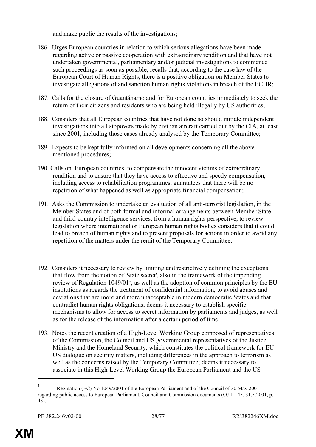and make public the results of the investigations;

- 186. Urges European countries in relation to which serious allegations have been made regarding active or passive cooperation with extraordinary rendition and that have not undertaken governmental, parliamentary and/or judicial investigations to commence such proceedings as soon as possible; recalls that, according to the case law of the European Court of Human Rights, there is a positive obligation on Member States to investigate allegations of and sanction human rights violations in breach of the ECHR;
- 187. Calls for the closure of Guantánamo and for European countries immediately to seek the return of their citizens and residents who are being held illegally by US authorities;
- 188. Considers that all European countries that have not done so should initiate independent investigations into all stopovers made by civilian aircraft carried out by the CIA, at least since 2001, including those cases already analysed by the Temporary Committee;
- 189. Expects to be kept fully informed on all developments concerning all the abovementioned procedures;
- 190. Calls on European countries to compensate the innocent victims of extraordinary rendition and to ensure that they have access to effective and speedy compensation, including access to rehabilitation programmes, guarantees that there will be no repetition of what happened as well as appropriate financial compensation;
- 191. Asks the Commission to undertake an evaluation of all anti-terrorist legislation, in the Member States and of both formal and informal arrangements between Member State and third-country intelligence services, from a human rights perspective, to review legislation where international or European human rights bodies considers that it could lead to breach of human rights and to present proposals for actions in order to avoid any repetition of the matters under the remit of the Temporary Committee;
- 192. Considers it necessary to review by limiting and restrictively defining the exceptions that flow from the notion of 'State secret', also in the framework of the impending review of Regulation  $1049/01<sup>1</sup>$ , as well as the adoption of common principles by the EU institutions as regards the treatment of confidential information, to avoid abuses and deviations that are more and more unacceptable in modern democratic States and that contradict human rights obligations; deems it necessary to establish specific mechanisms to allow for access to secret information by parliaments and judges, as well as for the release of the information after a certain period of time;
- 193. Notes the recent creation of a High-Level Working Group composed of representatives of the Commission, the Council and US governmental representatives of the Justice Ministry and the Homeland Security, which constitutes the political framework for EU-US dialogue on security matters, including differences in the approach to terrorism as well as the concerns raised by the Temporary Committee; deems it necessary to associate in this High-Level Working Group the European Parliament and the US

 $\overline{a}$ 

<sup>1</sup> Regulation (EC) No 1049/2001 of the European Parliament and of the Council of 30 May 2001 regarding public access to European Parliament, Council and Commission documents (OJ L 145, 31.5.2001, p. 43).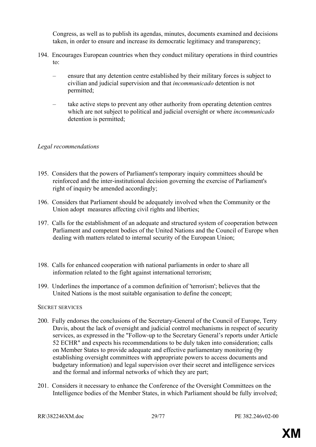Congress, as well as to publish its agendas, minutes, documents examined and decisions taken, in order to ensure and increase its democratic legitimacy and transparency;

- 194. Encourages European countries when they conduct military operations in third countries to:
	- ensure that any detention centre established by their military forces is subject to civilian and judicial supervision and that *incommunicado* detention is not permitted;
	- take active steps to prevent any other authority from operating detention centres which are not subject to political and judicial oversight or where *incommunicado* detention is permitted;

## *Legal recommendations*

- 195. Considers that the powers of Parliament's temporary inquiry committees should be reinforced and the inter-institutional decision governing the exercise of Parliament's right of inquiry be amended accordingly;
- 196. Considers that Parliament should be adequately involved when the Community or the Union adopt measures affecting civil rights and liberties;
- 197. Calls for the establishment of an adequate and structured system of cooperation between Parliament and competent bodies of the United Nations and the Council of Europe when dealing with matters related to internal security of the European Union;
- 198. Calls for enhanced cooperation with national parliaments in order to share all information related to the fight against international terrorism;
- 199. Underlines the importance of a common definition of 'terrorism'; believes that the United Nations is the most suitable organisation to define the concept;

#### SECRET SERVICES

- 200. Fully endorses the conclusions of the Secretary-General of the Council of Europe, Terry Davis, about the lack of oversight and judicial control mechanisms in respect of security services, as expressed in the "Follow-up to the Secretary General's reports under Article 52 ECHR" and expects his recommendations to be duly taken into consideration; calls on Member States to provide adequate and effective parliamentary monitoring (by establishing oversight committees with appropriate powers to access documents and budgetary information) and legal supervision over their secret and intelligence services and the formal and informal networks of which they are part;
- 201. Considers it necessary to enhance the Conference of the Oversight Committees on the Intelligence bodies of the Member States, in which Parliament should be fully involved;

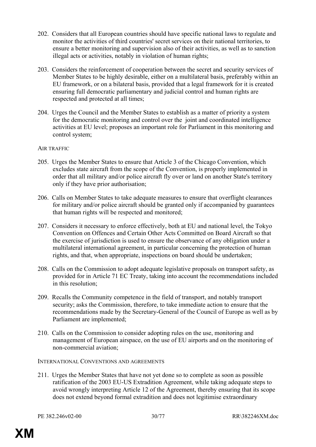- 202. Considers that all European countries should have specific national laws to regulate and monitor the activities of third countries' secret services on their national territories, to ensure a better monitoring and supervision also of their activities, as well as to sanction illegal acts or activities, notably in violation of human rights;
- 203. Considers the reinforcement of cooperation between the secret and security services of Member States to be highly desirable, either on a multilateral basis, preferably within an EU framework, or on a bilateral basis, provided that a legal framework for it is created ensuring full democratic parliamentary and judicial control and human rights are respected and protected at all times;
- 204. Urges the Council and the Member States to establish as a matter of priority a system for the democratic monitoring and control over the joint and coordinated intelligence activities at EU level; proposes an important role for Parliament in this monitoring and control system;

### AIR TRAFFIC

- 205. Urges the Member States to ensure that Article 3 of the Chicago Convention, which excludes state aircraft from the scope of the Convention, is properly implemented in order that all military and/or police aircraft fly over or land on another State's territory only if they have prior authorisation;
- 206. Calls on Member States to take adequate measures to ensure that overflight clearances for military and/or police aircraft should be granted only if accompanied by guarantees that human rights will be respected and monitored;
- 207. Considers it necessary to enforce effectively, both at EU and national level, the Tokyo Convention on Offences and Certain Other Acts Committed on Board Aircraft so that the exercise of jurisdiction is used to ensure the observance of any obligation under a multilateral international agreement, in particular concerning the protection of human rights, and that, when appropriate, inspections on board should be undertaken;
- 208. Calls on the Commission to adopt adequate legislative proposals on transport safety, as provided for in Article 71 EC Treaty, taking into account the recommendations included in this resolution;
- 209. Recalls the Community competence in the field of transport, and notably transport security; asks the Commission, therefore, to take immediate action to ensure that the recommendations made by the Secretary-General of the Council of Europe as well as by Parliament are implemented;
- 210. Calls on the Commission to consider adopting rules on the use, monitoring and management of European airspace, on the use of EU airports and on the monitoring of non-commercial aviation;

#### INTERNATIONAL CONVENTIONS AND AGREEMENTS

211. Urges the Member States that have not yet done so to complete as soon as possible ratification of the 2003 EU-US Extradition Agreement, while taking adequate steps to avoid wrongly interpreting Article 12 of the Agreement, thereby ensuring that its scope does not extend beyond formal extradition and does not legitimise extraordinary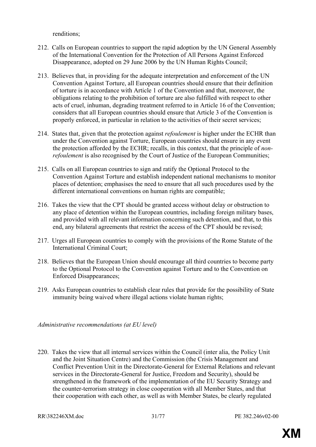renditions;

- 212. Calls on European countries to support the rapid adoption by the UN General Assembly of the International Convention for the Protection of All Persons Against Enforced Disappearance, adopted on 29 June 2006 by the UN Human Rights Council;
- 213. Believes that, in providing for the adequate interpretation and enforcement of the UN Convention Against Torture, all European countries should ensure that their definition of torture is in accordance with Article 1 of the Convention and that, moreover, the obligations relating to the prohibition of torture are also fulfilled with respect to other acts of cruel, inhuman, degrading treatment referred to in Article 16 of the Convention; considers that all European countries should ensure that Article 3 of the Convention is properly enforced, in particular in relation to the activities of their secret services;
- 214. States that, given that the protection against *refoulement* is higher under the ECHR than under the Convention against Torture, European countries should ensure in any event the protection afforded by the ECHR; recalls, in this context, that the principle of *nonrefoulement* is also recognised by the Court of Justice of the European Communities;
- 215. Calls on all European countries to sign and ratify the Optional Protocol to the Convention Against Torture and establish independent national mechanisms to monitor places of detention; emphasises the need to ensure that all such procedures used by the different international conventions on human rights are compatible;
- 216. Takes the view that the CPT should be granted access without delay or obstruction to any place of detention within the European countries, including foreign military bases, and provided with all relevant information concerning such detention, and that, to this end, any bilateral agreements that restrict the access of the CPT should be revised;
- 217. Urges all European countries to comply with the provisions of the Rome Statute of the International Criminal Court;
- 218. Believes that the European Union should encourage all third countries to become party to the Optional Protocol to the Convention against Torture and to the Convention on Enforced Disappearances;
- 219. Asks European countries to establish clear rules that provide for the possibility of State immunity being waived where illegal actions violate human rights;

*Administrative recommendations (at EU level)*

220. Takes the view that all internal services within the Council (inter alia, the Policy Unit and the Joint Situation Centre) and the Commission (the Crisis Management and Conflict Prevention Unit in the Directorate-General for External Relations and relevant services in the Directorate-General for Justice, Freedom and Security), should be strengthened in the framework of the implementation of the EU Security Strategy and the counter-terrorism strategy in close cooperation with all Member States, and that their cooperation with each other, as well as with Member States, be clearly regulated

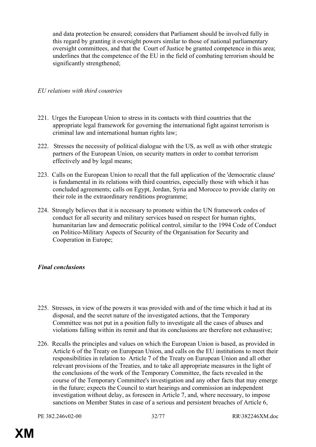and data protection be ensured; considers that Parliament should be involved fully in this regard by granting it oversight powers similar to those of national parliamentary oversight committees, and that the Court of Justice be granted competence in this area; underlines that the competence of the EU in the field of combating terrorism should be significantly strengthened;

### *EU relations with third countries*

- 221. Urges the European Union to stress in its contacts with third countries that the appropriate legal framework for governing the international fight against terrorism is criminal law and international human rights law;
- 222. Stresses the necessity of political dialogue with the US, as well as with other strategic partners of the European Union, on security matters in order to combat terrorism effectively and by legal means;
- 223. Calls on the European Union to recall that the full application of the 'democratic clause' is fundamental in its relations with third countries, especially those with which it has concluded agreements; calls on Egypt, Jordan, Syria and Morocco to provide clarity on their role in the extraordinary renditions programme;
- 224. Strongly believes that it is necessary to promote within the UN framework codes of conduct for all security and military services based on respect for human rights, humanitarian law and democratic political control, similar to the 1994 Code of Conduct on Politico-Military Aspects of Security of the Organisation for Security and Cooperation in Europe;

## *Final conclusions*

- 225. Stresses, in view of the powers it was provided with and of the time which it had at its disposal, and the secret nature of the investigated actions, that the Temporary Committee was not put in a position fully to investigate all the cases of abuses and violations falling within its remit and that its conclusions are therefore not exhaustive;
- 226. Recalls the principles and values on which the European Union is based, as provided in Article 6 of the Treaty on European Union, and calls on the EU institutions to meet their responsibilities in relation to Article 7 of the Treaty on European Union and all other relevant provisions of the Treaties, and to take all appropriate measures in the light of the conclusions of the work of the Temporary Committee, the facts revealed in the course of the Temporary Committee's investigation and any other facts that may emerge in the future; expects the Council to start hearings and commission an independent investigation without delay, as foreseen in Article 7, and, where necessary, to impose sanctions on Member States in case of a serious and persistent breaches of Article 6,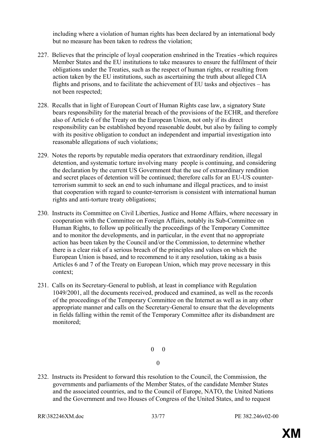including where a violation of human rights has been declared by an international body but no measure has been taken to redress the violation;

- 227. Believes that the principle of loyal cooperation enshrined in the Treaties -which requires Member States and the EU institutions to take measures to ensure the fulfilment of their obligations under the Treaties, such as the respect of human rights, or resulting from action taken by the EU institutions, such as ascertaining the truth about alleged CIA flights and prisons, and to facilitate the achievement of EU tasks and objectives – has not been respected;
- 228. Recalls that in light of European Court of Human Rights case law, a signatory State bears responsibility for the material breach of the provisions of the ECHR, and therefore also of Article 6 of the Treaty on the European Union, not only if its direct responsibility can be established beyond reasonable doubt, but also by failing to comply with its positive obligation to conduct an independent and impartial investigation into reasonable allegations of such violations;
- 229. Notes the reports by reputable media operators that extraordinary rendition, illegal detention, and systematic torture involving many people is continuing, and considering the declaration by the current US Government that the use of extraordinary rendition and secret places of detention will be continued; therefore calls for an EU-US counterterrorism summit to seek an end to such inhumane and illegal practices, and to insist that cooperation with regard to counter-terrorism is consistent with international human rights and anti-torture treaty obligations;
- 230. Instructs its Committee on Civil Liberties, Justice and Home Affairs, where necessary in cooperation with the Committee on Foreign Affairs, notably its Sub-Committee on Human Rights, to follow up politically the proceedings of the Temporary Committee and to monitor the developments, and in particular, in the event that no appropriate action has been taken by the Council and/or the Commission, to determine whether there is a clear risk of a serious breach of the principles and values on which the European Union is based, and to recommend to it any resolution, taking as a basis Articles 6 and 7 of the Treaty on European Union, which may prove necessary in this context;
- 231. Calls on its Secretary-General to publish, at least in compliance with Regulation 1049/2001, all the documents received, produced and examined, as well as the records of the proceedings of the Temporary Committee on the Internet as well as in any other appropriate manner and calls on the Secretary-General to ensure that the developments in fields falling within the remit of the Temporary Committee after its disbandment are monitored;

0 0

- 0
- 232. Instructs its President to forward this resolution to the Council, the Commission, the governments and parliaments of the Member States, of the candidate Member States and the associated countries, and to the Council of Europe, NATO, the United Nations and the Government and two Houses of Congress of the United States, and to request

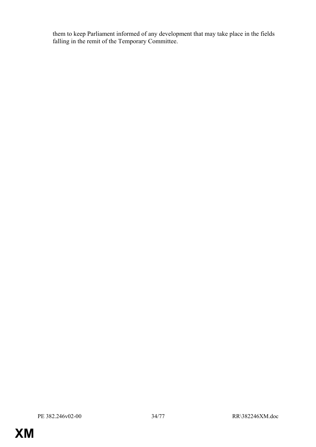them to keep Parliament informed of any development that may take place in the fields falling in the remit of the Temporary Committee.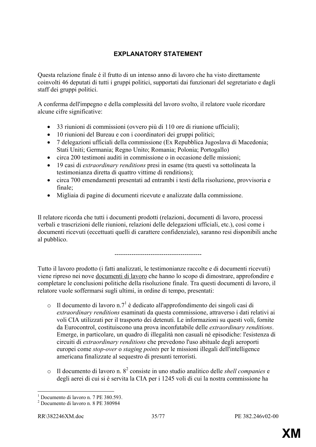## **EXPLANATORY STATEMENT**

Questa relazione finale é il frutto di un intenso anno di lavoro che ha visto direttamente coinvolti 46 deputati di tutti i gruppi politici, supportati dai funzionari del segretariato e dagli staff dei gruppi politici.

A conferma dell'impegno e della complessità del lavoro svolto, il relatore vuole ricordare alcune cifre significative:

- 33 riunioni di commissioni (ovvero più di 110 ore di riunione ufficiali);
- 10 riunioni del Bureau e con i coordinatori dei gruppi politici;
- 7 delegazioni ufficiali della commissione (Ex Repubblica Jugoslava di Macedonia; Stati Uniti; Germania; Regno Unito; Romania; Polonia; Portogallo)
- circa 200 testimoni auditi in commissione o in occasione delle missioni;
- 19 casi di *extraordinary renditions* presi in esame (tra questi va sottolineata la testimonianza diretta di quattro vittime di renditions);
- circa 700 emendamenti presentati ad entrambi i testi della risoluzione, provvisoria e finale;
- Migliaia di pagine di documenti ricevute e analizzate dalla commissione.

Il relatore ricorda che tutti i documenti prodotti (relazioni, documenti di lavoro, processi verbali e trascrizioni delle riunioni, relazioni delle delegazioni ufficiali, etc.), così come i documenti ricevuti (eccettuati quelli di carattere confidenziale), saranno resi disponibili anche al pubblico.

-----------------------------------------

Tutto il lavoro prodotto (i fatti analizzati, le testimonianze raccolte e di documenti ricevuti) viene ripreso nei nove documenti di lavoro che hanno lo scopo di dimostrare, approfondire e completare le conclusioni politiche della risoluzione finale. Tra questi documenti di lavoro, il relatore vuole soffermarsi sugli ultimi, in ordine di tempo, presentati:

- $\circ$  Il documento di lavoro n.7<sup>1</sup> è dedicato all'approfondimento dei singoli casi di *extraordinary renditions* esaminati da questa commissione, attraverso i dati relativi ai voli CIA utilizzati per il trasporto dei detenuti. Le informazioni su questi voli, fornite da Eurocontrol, costituiscono una prova inconfutabile delle *extraordinary renditions*. Emerge, in particolare, un quadro di illegalità non casuali né episodiche: l'esistenza di circuiti di *extraordinary renditions* che prevedono l'uso abituale degli aeroporti europei come *stop-over* o *staging points* per le missioni illegali dell'intelligence americana finalizzate al sequestro di presunti terroristi.
- $\circ$  Il documento di lavoro n.  $8^2$  consiste in uno studio analitico delle *shell companies* e degli aerei di cui si è servita la CIA per i 1245 voli di cui la nostra commissione ha



 $\overline{a}$ 1 Documento di lavoro n. 7 PE 380.593.

<sup>2</sup> Documento di lavoro n. 8 PE 380984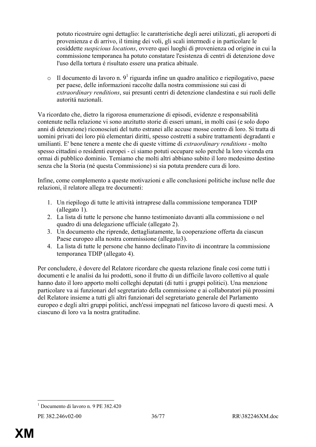potuto ricostruire ogni dettaglio: le caratteristiche degli aerei utilizzati, gli aeroporti di provenienza e di arrivo, il timing dei voli, gli scali intermedi e in particolare le cosiddette *suspicious locations*, ovvero quei luoghi di provenienza od origine in cui la commissione temporanea ha potuto constatare l'esistenza di centri di detenzione dove l'uso della tortura é risultato essere una pratica abituale.

 $\circ$  Il documento di lavoro n. 9<sup>1</sup> riguarda infine un quadro analitico e riepilogativo, paese per paese, delle informazioni raccolte dalla nostra commissione sui casi di *extraordinary renditions*, sui presunti centri di detenzione clandestina e sui ruoli delle autoritá nazionali.

Va ricordato che, dietro la rigorosa enumerazione di episodi, evidenze e responsabilità contenute nella relazione vi sono anzitutto storie di esseri umani, in molti casi (e solo dopo anni di detenzione) riconosciuti del tutto estranei alle accuse mosse contro di loro. Si tratta di uomini privati dei loro più elementari diritti, spesso costretti a subire trattamenti degradanti e umilianti. E' bene tenere a mente che di queste vittime di *extraordinary renditions* - molto spesso cittadini o residenti europei - ci siamo potuti occupare solo perché la loro vicenda era ormai di pubblico dominio. Temiamo che molti altri abbiano subito il loro medesimo destino senza che la Storia (né questa Commissione) si sia potuta prendere cura di loro.

Infine, come complemento a queste motivazioni e alle conclusioni politiche incluse nelle due relazioni, il relatore allega tre documenti:

- 1. Un riepilogo di tutte le attività intraprese dalla commissione temporanea TDIP (allegato 1).
- 2. La lista di tutte le persone che hanno testimoniato davanti alla commissione o nel quadro di una delegazione ufficiale (allegato 2).
- 3. Un documento che riprende, dettagliatamente, la cooperazione offerta da ciascun Paese europeo alla nostra commissione (allegato3).
- 4. La lista di tutte le persone che hanno declinato l'invito di incontrare la commissione temporanea TDIP (allegato 4).

Per concludere, è dovere del Relatore ricordare che questa relazione finale cosí come tutti i documenti e le analisi da lui prodotti, sono il frutto di un difficile lavoro collettivo al quale hanno dato il loro apporto molti colleghi deputati (di tutti i gruppi politici). Una menzione particolare va ai funzionari del segretariato della commissione e ai collaboratori più prossimi del Relatore insieme a tutti gli altri funzionari del segretariato generale del Parlamento europeo e degli altri gruppi politici, anch'essi impegnati nel faticoso lavoro di questi mesi. A ciascuno di loro va la nostra gratitudine.

 $\overline{a}$ 

<sup>1</sup> Documento di lavoro n. 9 PE 382.420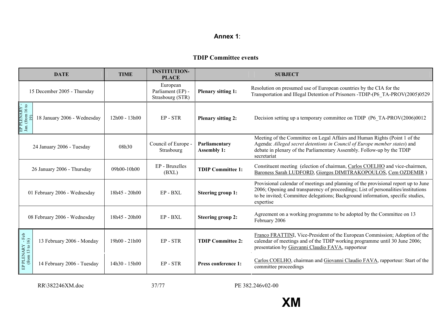#### **Annex 1**:

#### **TDIP Committee events**

|                                     | <b>DATE</b>                 | <b>TIME</b>     | <b>INSTITUTION-</b><br><b>PLACE</b>               |                                     | <b>SUBJECT</b>                                                                                                                                                                                                                                                          |
|-------------------------------------|-----------------------------|-----------------|---------------------------------------------------|-------------------------------------|-------------------------------------------------------------------------------------------------------------------------------------------------------------------------------------------------------------------------------------------------------------------------|
|                                     | 15 December 2005 - Thursday |                 | European<br>Parliament (EP) -<br>Strasbourg (STR) | <b>Plenary sitting 1:</b>           | Resolution on presumed use of European countries by the CIA for the<br>Transportation and Illegal Detention of Prisoners -TDIP-(P6 TA-PROV(2005)0529                                                                                                                    |
| EP PLENARY -<br>Jan. (from 16 to    | 18 January 2006 - Wednesday | 12h00 - 13h00   | EP-STR                                            | <b>Plenary sitting 2:</b>           | Decision setting up a temporary committee on TDIP (P6 TA-PROV(2006)0012                                                                                                                                                                                                 |
| 24 January 2006 - Tuesday           |                             | 08h30           | Council of Europe<br>Strasbourg                   | Parliamentary<br><b>Assembly 1:</b> | Meeting of the Committee on Legal Affairs and Human Rights (Point 1 of the<br>Agenda: Alleged secret detentions in Council of Europe member states) and<br>debate in plenary of the Parliamentary Assembly. Follow-up by the TDIP<br>secretariat                        |
| 26 January 2006 - Thursday          |                             | 09h00-10h00     | EP - Bruxelles<br>(BXL)                           | <b>TDIP Committee 1:</b>            | Constituent meeting (election of chairman, Carlos COELHO and vice-chairmen,<br>Baroness Sarah LUDFORD, Giorgos DIMITRAKOPOULOS, Cem OZDEMIR                                                                                                                             |
| 01 February 2006 - Wednesday        |                             | $18h45 - 20h00$ | EP - BXL                                          | <b>Steering group 1:</b>            | Provisional calendar of meetings and planning of the provisional report up to June<br>2006; Opening and transparency of proceedings; List of personalities/institutions<br>to be invited; Committee delegations; Background information, specific studies,<br>expertise |
| 08 February 2006 - Wednesday        |                             | $18h45 - 20h00$ | $EP - BXI$                                        | <b>Steering group 2:</b>            | Agreement on a working programme to be adopted by the Committee on 13<br>February 2006                                                                                                                                                                                  |
| EP PLENARY - Feb<br>(from 13 to 16) | 13 February 2006 - Monday   | 19h00 - 21h00   | EP-STR                                            | <b>TDIP Committee 2:</b>            | Franco FRATTINI, Vice-President of the European Commission; Adoption of the<br>calendar of meetings and of the TDIP working programme until 30 June 2006;<br>presentation by Giovanni Claudio FAVA, rapporteur                                                          |
|                                     | 14 February 2006 - Tuesday  | 14h30 - 15h00   | EP-STR                                            | Press conference 1:                 | Carlos COELHO, chairman and Giovanni Claudio FAVA, rapporteur: Start of the<br>committee proceedings                                                                                                                                                                    |

RR\382246XM.doc 37/77

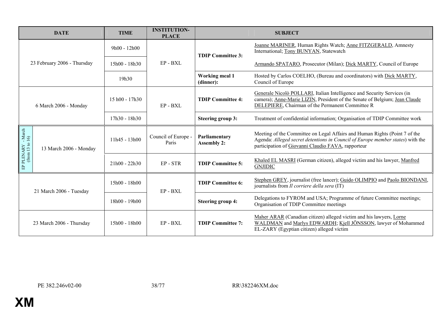|                                       | <b>DATE</b>                 | <b>TIME</b>     | <b>INSTITUTION-</b><br><b>PLACE</b> |                                     | <b>SUBJECT</b>                                                                                                                                                                                                     |
|---------------------------------------|-----------------------------|-----------------|-------------------------------------|-------------------------------------|--------------------------------------------------------------------------------------------------------------------------------------------------------------------------------------------------------------------|
|                                       |                             | $9h00 - 12h00$  |                                     | <b>TDIP Committee 3:</b>            | Joanne MARINER, Human Rights Watch; Anne FITZGERALD, Amnesty<br>International; Tony BUNYAN, Statewatch                                                                                                             |
|                                       | 23 February 2006 - Thursday | 15h00 - 18h30   | EP - BXL                            |                                     | Armando SPATARO, Prosecutor (Milan); Dick MARTY, Council of Europe                                                                                                                                                 |
|                                       |                             | 19h30           |                                     | <b>Working meal 1</b><br>(dinner):  | Hosted by Carlos COELHO, (Bureau and coordinators) with Dick MARTY,<br>Council of Europe                                                                                                                           |
| 6 March 2006 - Monday                 |                             | 15 h00 - 17h30  | EP - BXL                            | <b>TDIP Committee 4:</b>            | Generale Nicolò POLLARI, Italian Intelligence and Security Services (in<br>camera); Anne-Marie LIZIN, President of the Senate of Belgium; Jean Claude<br>DELEPIERE, Chairman of the Permanent Committee R          |
|                                       |                             | $17h30 - 18h30$ |                                     | <b>Steering group 3:</b>            | Treatment of confidential information; Organisation of TDIP Committee work                                                                                                                                         |
| EP PLENARY - March<br>(from 13 to 16) | 13 March 2006 - Monday      | $11h45 - 13h00$ | Council of Europe -<br>Paris        | Parliamentary<br><b>Assembly 2:</b> | Meeting of the Committee on Legal Affairs and Human Rights (Point 7 of the<br>Agenda: Alleged secret detentions in Council of Europe member states) with the<br>participation of Giovanni Claudio FAVA, rapporteur |
|                                       |                             | $21h00 - 22h30$ | EP-STR                              | <b>TDIP Committee 5:</b>            | Khaled EL MASRI (German citizen), alleged victim and his lawyer, Manfred<br><b>GNJIDIC</b>                                                                                                                         |
| 21 March 2006 - Tuesday               |                             | 15h00 - 18h00   | EP-BXL                              | <b>TDIP Committee 6:</b>            | Stephen GREY, journalist (free lancer); Guido OLIMPIO and Paolo BIONDANI.<br>journalists from <i>Il corriere della sera</i> (IT)                                                                                   |
|                                       |                             | 18h00 - 19h00   |                                     | <b>Steering group 4:</b>            | Delegations to FYROM and USA; Programme of future Committee meetings;<br>Organisation of TDIP Committee meetings                                                                                                   |
| 23 March 2006 - Thursday              |                             | $15h00 - 18h00$ | $EP - BXI$                          | <b>TDIP Committee 7:</b>            | Maher ARAR (Canadian citizen) alleged victim and his lawyers, Lorne<br>WALDMAN and Marlys EDWARDH; Kjell JÖNSSON, lawyer of Mohammed<br>EL-ZARY (Egyptian citizen) alleged victim                                  |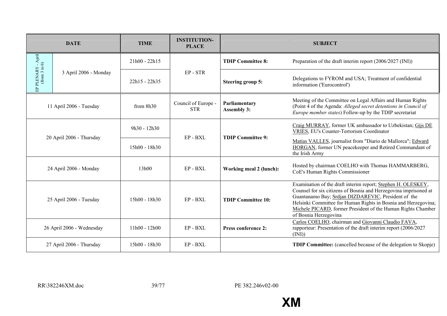|                                     | <b>DATE</b>               | <b>TIME</b>     | <b>INSTITUTION-</b><br><b>PLACE</b> |                                     | <b>SUBJECT</b>                                                                                                                                                                                                                                                                                                                                     |
|-------------------------------------|---------------------------|-----------------|-------------------------------------|-------------------------------------|----------------------------------------------------------------------------------------------------------------------------------------------------------------------------------------------------------------------------------------------------------------------------------------------------------------------------------------------------|
|                                     |                           | $21h00 - 22h15$ |                                     | <b>TDIP Committee 8:</b>            | Preparation of the draft interim report (2006/2027 (INI))                                                                                                                                                                                                                                                                                          |
| EP PLENARY - April<br>(from 3 to 6) | 3 April 2006 - Monday     | 22h15 - 22h35   | EP-STR                              | <b>Steering group 5:</b>            | Delegations to FYROM and USA; Treatment of confidential<br>information ('Eurocontrol')                                                                                                                                                                                                                                                             |
| 11 April 2006 - Tuesday             |                           | from $8h30$     | Council of Europe -<br><b>STR</b>   | Parliamentary<br><b>Assembly 3:</b> | Meeting of the Committee on Legal Affairs and Human Rights<br>(Point 4 of the Agenda: Alleged secret detentions in Council of<br><i>Europe member states</i> ) Follow-up by the TDIP secretariat                                                                                                                                                   |
|                                     |                           | 9h30 - 12h30    |                                     | <b>TDIP Committee 9:</b>            | Craig MURRAY, former UK ambassador to Uzbekistan; Gijs DE<br><b>VRIES, EU's Counter-Terrorism Coordinator</b>                                                                                                                                                                                                                                      |
|                                     | 20 April 2006 - Thursday  | 15h00 - 18h30   | EP-BXL                              |                                     | Matías VALLES, journalist from "Diario de Mallorca"; Edward<br>HORGAN, former UN peacekeeper and Retired Commandant of<br>the Irish Army                                                                                                                                                                                                           |
|                                     | 24 April 2006 - Monday    | 13h00           | EP-BXL                              | Working meal 2 (lunch):             | Hosted by chairman COELHO with Thomas HAMMARBERG,<br>CoE's Human Rights Commissioner                                                                                                                                                                                                                                                               |
|                                     | 25 April 2006 - Tuesday   | 15h00 - 18h30   | EP-BXL                              | <b>TDIP Committee 10:</b>           | Examination of the draft interim report; Stephen H. OLESKEY,<br>Counsel for six citizens of Bosnia and Herzegovina imprisoned at<br>Guantanamo Bay; Srdjan DIZDAREVIC, President of the<br>Helsinki Committee for Human Rights in Bosnia and Herzegovina;<br>Michele PICARD, former President of the Human Rights Chamber<br>of Bosnia Herzegovina |
|                                     | 26 April 2006 - Wednesday | $11h00 - 12h00$ | EP-BXL                              | <b>Press conference 2:</b>          | Carlos COELHO, chairman and Giovanni Claudio FAVA,<br>rapporteur: Presentation of the draft interim report (2006/2027<br>(INI)                                                                                                                                                                                                                     |
|                                     | 27 April 2006 - Thursday  | 15h00 - 18h30   | EP - BXL                            |                                     | <b>TDIP Committee:</b> (cancelled because of the delegation to Skopje)                                                                                                                                                                                                                                                                             |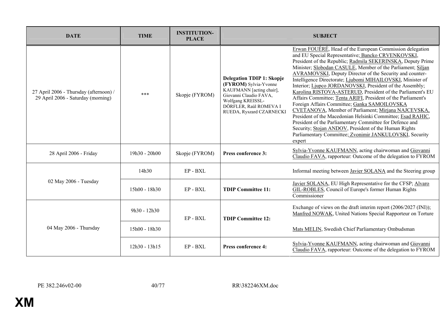| <b>DATE</b>                                                                  | <b>TIME</b>     | <b>INSTITUTION-</b><br><b>PLACE</b> |                                                                                                                                                                                            | <b>SUBJECT</b>                                                                                                                                                                                                                                                                                                                                                                                                                                                                                                                                                                                                                                                                                                                                                                                                                                                                                                                    |
|------------------------------------------------------------------------------|-----------------|-------------------------------------|--------------------------------------------------------------------------------------------------------------------------------------------------------------------------------------------|-----------------------------------------------------------------------------------------------------------------------------------------------------------------------------------------------------------------------------------------------------------------------------------------------------------------------------------------------------------------------------------------------------------------------------------------------------------------------------------------------------------------------------------------------------------------------------------------------------------------------------------------------------------------------------------------------------------------------------------------------------------------------------------------------------------------------------------------------------------------------------------------------------------------------------------|
| 27 April 2006 - Thursday (afternoon) /<br>29 April 2006 - Saturday (morning) | ***             | Skopje (FYROM)                      | <b>Delegation TDIP 1: Skopje</b><br>(FYROM) Sylvia-Yvonne<br>KAUFMANN [acting chair],<br>Giovanni Claudio FAVA,<br>Wolfgang KREISSL-<br>DÖRFLER, Raül ROMEVA I<br>RUEDA, Ryszard CZARNECKI | Erwan FOUÉRÉ, Head of the European Commission delegation<br>and EU Special Representative; Bancko CRVENKOVSKI,<br>President of the Republic; Radmila SEKERINSKA, Deputy Prime<br>Minister; Slobodan CASULE, Member of the Parliament; Siljan<br>AVRAMOVSKI, Deputy Director of the Security and counter-<br>Intelligence Directorate; Liubomi MIHAILOVSKI, Minister of<br>Interior; Ljupco JORDANOVSKI, President of the Assembly;<br>Karolina RISTOVA-ASTERUD, President of the Parliament's EU<br>Affairs Committee; Tenta ARIFI, President of the Parliament's<br>Foreign Affairs Committee; Ganka SAMOILOVSKA<br>CVETANOVA, Member of Parliament; Mirjana NAJCEVSKA,<br>President of the Macedonian Helsinki Committee; Esad RAHIC,<br>President of the Parliamentary Committee for Defence and<br>Security; Stojan ANDOV, President of the Human Rights<br>Parliamentary Committee; Zvonimir JANKULOVSKI, Security<br>expert |
| 28 April 2006 - Friday                                                       | $19h30 - 20h00$ | Skopje (FYROM)                      | <b>Press conference 3:</b>                                                                                                                                                                 | Sylvia-Yvonne KAUFMANN, acting chairwoman and Giovanni<br>Claudio FAVA, rapporteur: Outcome of the delegation to FYROM                                                                                                                                                                                                                                                                                                                                                                                                                                                                                                                                                                                                                                                                                                                                                                                                            |
|                                                                              | 14h30           | EP-BXL                              |                                                                                                                                                                                            | Informal meeting between Javier SOLANA and the Steering group                                                                                                                                                                                                                                                                                                                                                                                                                                                                                                                                                                                                                                                                                                                                                                                                                                                                     |
| 02 May 2006 - Tuesday                                                        | 15h00 - 18h30   | EP-BXL                              | <b>TDIP Committee 11:</b>                                                                                                                                                                  | Javier SOLANA, EU High Representative for the CFSP; Alvaro<br><b>GIL-ROBLES</b> , Council of Europe's former Human Rights<br>Commissioner                                                                                                                                                                                                                                                                                                                                                                                                                                                                                                                                                                                                                                                                                                                                                                                         |
|                                                                              | $9h30 - 12h30$  | EP-BXL                              | <b>TDIP Committee 12:</b>                                                                                                                                                                  | Exchange of views on the draft interim report $(2006/2027 \text{ (INI)});$<br>Manfred NOWAK, United Nations Special Rapporteur on Torture                                                                                                                                                                                                                                                                                                                                                                                                                                                                                                                                                                                                                                                                                                                                                                                         |
| 04 May 2006 - Thursday                                                       | 15h00 - 18h30   |                                     |                                                                                                                                                                                            | Mats MELIN, Swedish Chief Parliamentary Ombudsman                                                                                                                                                                                                                                                                                                                                                                                                                                                                                                                                                                                                                                                                                                                                                                                                                                                                                 |
|                                                                              | 12h30 - 13h15   | EP-BXL                              | Press conference 4:                                                                                                                                                                        | Sylvia-Yvonne KAUFMANN, acting chairwoman and Giovanni<br>Claudio FAVA, rapporteur: Outcome of the delegation to FYROM                                                                                                                                                                                                                                                                                                                                                                                                                                                                                                                                                                                                                                                                                                                                                                                                            |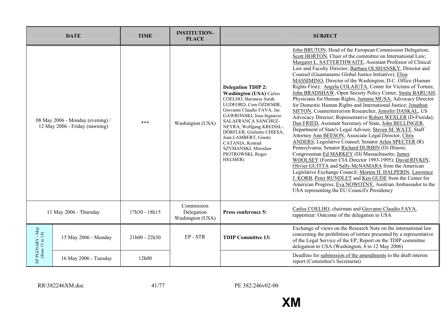|                                                                    | <b>DATE</b>           | <b>TIME</b>     | <b>INSTITUTION-</b><br><b>PLACE</b>          |                                                                                                                                                                                                                                                                                                                                                             | <b>SUBJECT</b>                                                                                                                                                                                                                                                                                                                                                                                                                                                                                                                                                                                                                                                                                                                                                                                                                                                                                                                                                                                                                                                                                                                                                                                                                                                                                                                                                                                                                                                                |
|--------------------------------------------------------------------|-----------------------|-----------------|----------------------------------------------|-------------------------------------------------------------------------------------------------------------------------------------------------------------------------------------------------------------------------------------------------------------------------------------------------------------------------------------------------------------|-------------------------------------------------------------------------------------------------------------------------------------------------------------------------------------------------------------------------------------------------------------------------------------------------------------------------------------------------------------------------------------------------------------------------------------------------------------------------------------------------------------------------------------------------------------------------------------------------------------------------------------------------------------------------------------------------------------------------------------------------------------------------------------------------------------------------------------------------------------------------------------------------------------------------------------------------------------------------------------------------------------------------------------------------------------------------------------------------------------------------------------------------------------------------------------------------------------------------------------------------------------------------------------------------------------------------------------------------------------------------------------------------------------------------------------------------------------------------------|
| 08 May 2006 - Monday (evening) /<br>12 May 2006 - Friday (morning) |                       | $***$           | Washington (USA)                             | <b>Delegation TDIP 2:</b><br><b>Washington (USA) Carlos</b><br>COELHO, Baroness Sarah<br>LUDFORD, Cem ÖZDEMIR,<br>Giovanni Claudio FAVA, Jas<br>GAWRONSKI, Jose-Ingnacio<br>SALAFRANCA SÁNCHEZ-<br>NEYRA, Wolfgang KREISSL-<br>DÖRFLER, Giulietto CHIESA,<br>Jean LAMBERT, Giusto<br>CATANIA, Konrad<br>SZYMANSKI, Miroslaw<br>PIOTROWSKI, Roger<br>HELMER) | John BRUTON, Head of the European Commission Delegation;<br>Scott HORTON, Chair of the committee on International Law;<br>Margaret L. SATTERTHWAITE, Assistant Professor of Clinical<br>Law and Faculty Director; Barbara OLSHANSKY, Director and<br>Counsel (Guantanamo Global Justice Initiative); Elisa<br>MASSIMINO, Director of the Washington, D.C. Office (Human<br>Rights First); Angela COLAIUTA, Center for Victims of Torture,<br>John BRADSHAW, Open Society Policy Center, Smita BARUAH,<br>Physicians for Human Rights, Jumana MUSA, Advocacy Director<br>for Domestic Human Rights and International Justice; Jonathan<br>SIFTON, Counterterrorism Researcher, Jennifer DASKAL, US<br>Advocacy Director; Representative Robert WEXLER (D-Florida);<br>Dan FRIED, Assistant Secretary of State, John BELLINGER,<br>Department of State's Legal Adviser; Steven M. WATT, Staff<br>Attorney Ann BEESON, Associate Legal Director, Chris<br>ANDERS, Legislative Counsel; Senator Arlen SPECTER (R)<br>Pennsylvania; Senator Richard DURBIN (D) Illinois;<br>Congressman Ed MARKEY (D) Massachusetts; James<br>WOOLSEY (Former CIA Director 1993-1995); David RIVKIN,<br>Olivier GUITTA and Sally McNAMARA from the American<br>Legislative Exchange Council; Morton H. HALPERIN, Lawrence<br>J. KORB, Peter RUNDLET and Ken GUDE from the Center for<br>American Progress; Eva NOWOTNY, Austrian Ambassador to the<br>USA representing the EU Council's Presidency |
| 11 May 2006 - Thursday                                             |                       | 17h30 - 18h15   | Commission<br>Delegation<br>Washington (USA) | Press conference 5:                                                                                                                                                                                                                                                                                                                                         | Carlos COELHO, chairman and Giovanni Claudio FAVA,<br>rapporteur: Outcome of the delegation to USA                                                                                                                                                                                                                                                                                                                                                                                                                                                                                                                                                                                                                                                                                                                                                                                                                                                                                                                                                                                                                                                                                                                                                                                                                                                                                                                                                                            |
| EP PLENARY - May<br>(from 15 to 18)                                | 15 May 2006 - Monday  | $21h00 - 22h30$ | EP-STR                                       | <b>TDIP Committee 13:</b>                                                                                                                                                                                                                                                                                                                                   | Exchange of views on the Research Note on the international law<br>concerning the prohibition of torture presented by a representative<br>of the Legal Service of the EP; Report on the TDIP committee<br>delegation to USA (Washington, 8 to 12 May 2006)                                                                                                                                                                                                                                                                                                                                                                                                                                                                                                                                                                                                                                                                                                                                                                                                                                                                                                                                                                                                                                                                                                                                                                                                                    |
|                                                                    | 16 May 2006 - Tuesday | 12h00           |                                              |                                                                                                                                                                                                                                                                                                                                                             | Deadline for submission of the amendments to the draft interim<br>report (Committee's Secretariat)                                                                                                                                                                                                                                                                                                                                                                                                                                                                                                                                                                                                                                                                                                                                                                                                                                                                                                                                                                                                                                                                                                                                                                                                                                                                                                                                                                            |

RR\382246XM.doc 41/77

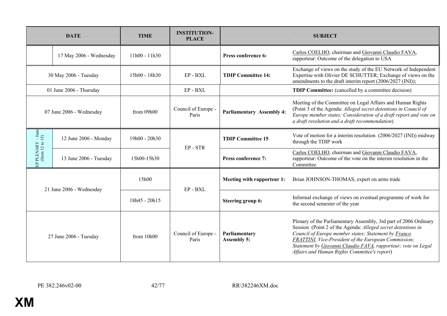|                                      | <b>DATE</b>              | <b>TIME</b>     | <b>INSTITUTION-</b><br><b>PLACE</b> |                                     | <b>SUBJECT</b>                                                                                                                                                                                                                                                                                                                                                    |
|--------------------------------------|--------------------------|-----------------|-------------------------------------|-------------------------------------|-------------------------------------------------------------------------------------------------------------------------------------------------------------------------------------------------------------------------------------------------------------------------------------------------------------------------------------------------------------------|
|                                      | 17 May 2006 - Wednesday  | $11h00 - 11h30$ |                                     | Press conference 6:                 | Carlos COELHO, chairman and Giovanni Claudio FAVA,<br>rapporteur: Outcome of the delegation to USA                                                                                                                                                                                                                                                                |
|                                      | 30 May 2006 - Tuesday    | 15h00 - 18h30   | EP-BXL                              | <b>TDIP Committee 14:</b>           | Exchange of views on the study of the EU Network of Independent<br>Expertise with Olivier DE SCHUTTER; Exchange of views on the<br>amendments to the draft interim report (2006/2027 (INI));                                                                                                                                                                      |
|                                      | 01 June 2006 - Thursday  |                 | EP-BXL                              |                                     | <b>TDIP Committee:</b> (cancelled by a committee decision)                                                                                                                                                                                                                                                                                                        |
| 07 June 2006 - Wednesday             |                          | from 09h00      | Council of Europe -<br>Paris        | <b>Parliamentary Assembly 4:</b>    | Meeting of the Committee on Legal Affairs and Human Rights<br>(Point 3 of the Agenda: Alleged secret detentions in Council of<br>Europe member states: Consideration of a draft report and vote on<br>a draft resolution and a draft recommendation)                                                                                                              |
|                                      | 12 June 2006 - Monday    | 19h00 - 20h30   | EP-STR                              | <b>TDIP Committee 15</b>            | Vote of motion for a interim resolution (2006/2027 (INI)) midway<br>through the TDIP work                                                                                                                                                                                                                                                                         |
| EP PLENARY - June<br>(from 12 to 15) | 13 June 2006 - Tuesday   | 15h00-15h30     |                                     | Press conference 7:                 | Carlos COELHO, chairman and Giovanni Claudio FAVA,<br>rapporteur: Outcome of the vote on the interim resolution in the<br>Committee                                                                                                                                                                                                                               |
|                                      | 21 June 2006 - Wednesday | 15h00           | EP-BXL                              | Meeting with rapporteur 1:          | Brian JOHNSON-THOMAS, expert on arms trade                                                                                                                                                                                                                                                                                                                        |
|                                      |                          | 18h45 - 20h15   |                                     | <b>Steering group 6:</b>            | Informal exchange of views on eventual programme of work for<br>the second semester of the year                                                                                                                                                                                                                                                                   |
| 27 June 2006 - Tuesday               |                          | from $10h00$    | Council of Europe -<br>Paris        | Parliamentary<br><b>Assembly 5:</b> | Plenary of the Parliamentary Assembly, 3rd part of 2006 Ordinary<br>Session (Point 2 of the Agenda: Alleged secret detentions in<br>Council of Europe member states; Statement by Franco<br>FRATTINI, Vice-President of the European Commission;<br>Statement by Giovanni Claudio FAVA, rapporteur; vote on Legal<br>Affairs and Human Rights Committee's report) |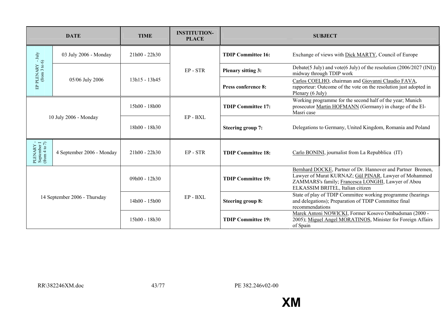|                                                                                              | <b>DATE</b>               | <b>TIME</b>     | <b>INSTITUTION-</b><br><b>PLACE</b> |                            | <b>SUBJECT</b>                                                                                                                                                                                                 |
|----------------------------------------------------------------------------------------------|---------------------------|-----------------|-------------------------------------|----------------------------|----------------------------------------------------------------------------------------------------------------------------------------------------------------------------------------------------------------|
|                                                                                              | 03 July 2006 - Monday     | $21h00 - 22h30$ |                                     | <b>TDIP Committee 16:</b>  | Exchange of views with Dick MARTY, Council of Europe                                                                                                                                                           |
| EP PLENARY $\,$ - July (from 3 to 6)                                                         |                           |                 | EP-STR                              | <b>Plenary sitting 3:</b>  | Debate(5 July) and vote(6 July) of the resolution (2006/2027 (INI))<br>midway through TDIP work                                                                                                                |
|                                                                                              | 05/06 July 2006           | 13h15 - 13h45   |                                     | <b>Press conference 8:</b> | Carlos COELHO, chairman and Giovanni Claudio FAVA,<br>rapporteur: Outcome of the vote on the resolution just adopted in<br>Plenary (6 July)                                                                    |
| 10 July 2006 - Monday                                                                        |                           | 15h00 - 18h00   |                                     | <b>TDIP Committee 17:</b>  | Working programme for the second half of the year; Munich<br>prosecutor Martin HOFMANN (Germany) in charge of the El-<br>Masri case                                                                            |
|                                                                                              |                           | 18h00 - 18h30   | EP-BXL                              | <b>Steering group 7:</b>   | Delegations to Germany, United Kingdom, Romania and Poland                                                                                                                                                     |
| $\begin{array}{ll} \text{PLENARY} \\ \text{September I} \\ \text{(from 4 to 7)} \end{array}$ | 4 September 2006 - Monday | $21h00 - 22h30$ | EP-STR                              | <b>TDIP Committee 18:</b>  | Carlo BONINI, journalist from La Repubblica (IT)                                                                                                                                                               |
| 14 September 2006 - Thursday                                                                 |                           | 09h00 - 12h30   |                                     | <b>TDIP Committee 19:</b>  | Bernhard DOCKE, Partner of Dr. Hannover and Partner Bremen,<br>Lawyer of Murat KURNAZ; Gül PINAR, Lawyer of Mohammed<br>ZAMMARS's family; Francesca LONGHI, Lawyer of Abou<br>ELKASSIM BRITEL, Italian citizen |
|                                                                                              |                           | 14h00 - 15h00   | EP-BXL                              | <b>Steering group 8:</b>   | State of play of TDIP Committee working programme (hearings<br>and delegations); Preparation of TDIP Committee final<br>recommendations                                                                        |
|                                                                                              |                           | $15h00 - 18h30$ |                                     | <b>TDIP Committee 19:</b>  | Marek Antoni NOWICKI, Former Kosovo Ombudsman (2000 -<br>2005); Miguel Angel MORATINOS, Minister for Foreign Affairs<br>of Spain                                                                               |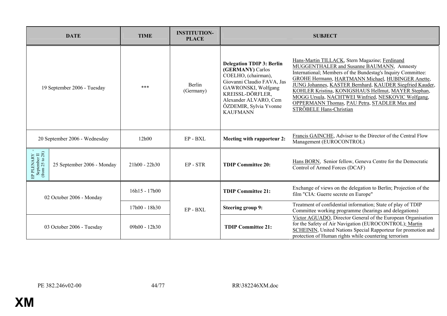| <b>DATE</b>                                                  |                               | <b>TIME</b>     | <b>INSTITUTION-</b><br><b>PLACE</b> | <b>SUBJECT</b>                                                                                                                                                                                                             |                                                                                                                                                                                                                                                                                                                                                                                                                                                                      |  |
|--------------------------------------------------------------|-------------------------------|-----------------|-------------------------------------|----------------------------------------------------------------------------------------------------------------------------------------------------------------------------------------------------------------------------|----------------------------------------------------------------------------------------------------------------------------------------------------------------------------------------------------------------------------------------------------------------------------------------------------------------------------------------------------------------------------------------------------------------------------------------------------------------------|--|
| 19 September 2006 - Tuesday                                  |                               | ***             | Berlin<br>(Germany)                 | <b>Delegation TDIP 3: Berlin</b><br>(GERMANY) Carlos<br>COELHO, (chairman),<br>Giovanni Claudio FAVA, Jas<br>GAWRONSKI, Wolfgang<br>KREISSL-DÖRFLER,<br>Alexander ALVARO, Cem<br>ÖZDEMIR, Sylvia Yvonne<br><b>KAUFMANN</b> | Hans-Martin TILLACK, Stern Magazine; Ferdinand<br>MUGGENTHALER and Susanne BAUMANN, Amnesty<br>International; Members of the Bundestag's Inquiry Committee:<br>GROHE Hermann, HARTMANN Michael, HUBINGER Anette,<br>JUNG Johannes, KASTER Bernhard, KAUDER Siegfried Kauder,<br>KOHLER Kristina, KONIGSHAUS Hellmut, MAYER Stephan,<br>MOGG Ursula, NACHTWEI Winfried, NESKOVIC Wolfgang,<br>OPPERMANN Thomas, PAU Petra, STADLER Max and<br>STRÖBELE Hans-Christian |  |
|                                                              | 20 September 2006 - Wednesday | 12h00           | EP-BXL                              | Meeting with rapporteur 2:                                                                                                                                                                                                 | Francis GAINCHE, Adviser to the Director of the Central Flow<br>Management (EUROCONTROL)                                                                                                                                                                                                                                                                                                                                                                             |  |
| EP PLENARY - September II<br>September II<br>(from 25 to 28) | 25 September 2006 - Monday    | $21h00 - 22h30$ | EP-STR                              | <b>TDIP Committee 20:</b>                                                                                                                                                                                                  | Hans BORN, Senior fellow, Geneva Centre for the Democratic<br>Control of Armed Forces (DCAF)                                                                                                                                                                                                                                                                                                                                                                         |  |
| 02 October 2006 - Monday<br>03 October 2006 - Tuesday        |                               | 16h15 - 17h00   |                                     | <b>TDIP Committee 21:</b>                                                                                                                                                                                                  | Exchange of views on the delegation to Berlin; Projection of the<br>film "CIA: Guerre secrete en Europe"                                                                                                                                                                                                                                                                                                                                                             |  |
|                                                              |                               | 17h00 - 18h30   | EP-BXL                              | <b>Steering group 9:</b>                                                                                                                                                                                                   | Treatment of confidential information; State of play of TDIP<br>Committee working programme (hearings and delegations)                                                                                                                                                                                                                                                                                                                                               |  |
|                                                              |                               | 09h00 - 12h30   |                                     | <b>TDIP Committee 21:</b>                                                                                                                                                                                                  | Víctor AGUADO, Director General of the European Organisation<br>for the Safety of Air Navigation (EUROCONTROL); Martin<br><b>SCHEININ</b> , United Nations Special Rapporteur for promotion and<br>protection of Human rights while countering terrorism                                                                                                                                                                                                             |  |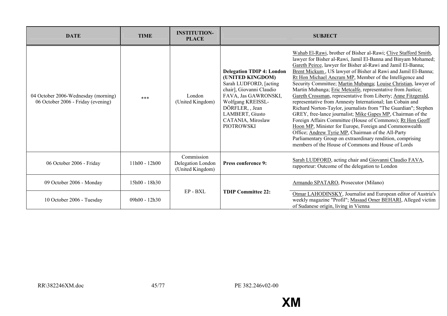| <b>DATE</b>                                                               | <b>TIME</b>   | <b>INSTITUTION-</b><br><b>PLACE</b>                 |                                                                                                                                                                                                                                          | <b>SUBJECT</b>                                                                                                                                                                                                                                                                                                                                                                                                                                                                                                                                                                                                                                                                                                                                                                                                                                                                                                                                                                                                                     |
|---------------------------------------------------------------------------|---------------|-----------------------------------------------------|------------------------------------------------------------------------------------------------------------------------------------------------------------------------------------------------------------------------------------------|------------------------------------------------------------------------------------------------------------------------------------------------------------------------------------------------------------------------------------------------------------------------------------------------------------------------------------------------------------------------------------------------------------------------------------------------------------------------------------------------------------------------------------------------------------------------------------------------------------------------------------------------------------------------------------------------------------------------------------------------------------------------------------------------------------------------------------------------------------------------------------------------------------------------------------------------------------------------------------------------------------------------------------|
| 04 October 2006-Wednesday (morning)<br>06 October 2006 - Friday (evening) | ***           | London<br>(United Kingdom)                          | <b>Delegation TDIP 4: London</b><br>(UNITED KINGDOM)<br>Sarah LUDFORD, [acting]<br>chair], Giovanni Claudio<br>FAVA, Jas GAWRONSKI,<br>Wolfgang KREISSL-<br>DÖRFLER, , Jean<br>LAMBERT, Giusto<br>CATANIA, Miroslaw<br><b>PIOTROWSKI</b> | Wahab El-Rawi, brother of Bisher al-Rawi; Clive Stafford Smith,<br>lawyer for Bisher al-Rawi, Jamil El-Banna and Binyam Mohamed;<br>Gareth Peirce, lawyer for Bisher al-Rawi and Jamil El-Banna;<br>Brent Mickum, US lawyer of Bisher al Rawi and Jamil El-Banna;<br>Rt Hon Michael Ancram MP, Member of the Intelligence and<br>Security Committee; Martin Mubanga; Louise Christian, lawyer of<br>Martin Mubanga; Eric Metcalfe, representative from Justice;<br>Gareth Crossman, representative from Liberty; Anne Fitzgerald,<br>representative from Amnesty International; Ian Cobain and<br>Richard Norton-Taylor, journalists from "The Guardian"; Stephen<br>GREY, free-lance journalist; Mike Gapes MP, Chairman of the<br>Foreign Affairs Committee (House of Commons); Rt Hon Geoff<br>Hoon MP, Minister for Europe, Foreign and Commonwealth<br>Office; Andrew Tyrie MP, Chairman of the All-Party<br>Parliamentary Group on extraordinary rendition, comprising<br>members of the House of Commons and House of Lords |
| 06 October 2006 - Friday                                                  | 11h00 - 12h00 | Commission<br>Delegation London<br>(United Kingdom) | Press conference 9:                                                                                                                                                                                                                      | Sarah LUDFORD, acting chair and Giovanni Claudio FAVA,<br>rapporteur: Outcome of the delegation to London                                                                                                                                                                                                                                                                                                                                                                                                                                                                                                                                                                                                                                                                                                                                                                                                                                                                                                                          |
| 09 October 2006 - Monday                                                  | 15h00 - 18h30 |                                                     |                                                                                                                                                                                                                                          | Armando SPATARO, Prosecutor (Milano)                                                                                                                                                                                                                                                                                                                                                                                                                                                                                                                                                                                                                                                                                                                                                                                                                                                                                                                                                                                               |
| 10 October 2006 - Tuesday                                                 | 09h00 - 12h30 | EP-BXL                                              | <b>TDIP Committee 22:</b>                                                                                                                                                                                                                | Otmar LAHODINSKY, Journalist and European editor of Austria's<br>weekly magazine "Profil"; Masaad Omer BEHARI, Alleged victim<br>of Sudanese origin, living in Vienna                                                                                                                                                                                                                                                                                                                                                                                                                                                                                                                                                                                                                                                                                                                                                                                                                                                              |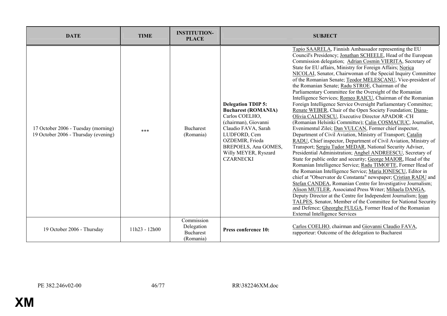| <b>DATE</b>                                                                 | <b>TIME</b>     | <b>INSTITUTION-</b><br><b>PLACE</b>                       |                                                                                                                                                                                                                                 | <b>SUBJECT</b>                                                                                                                                                                                                                                                                                                                                                                                                                                                                                                                                                                                                                                                                                                                                                                                                                                                                                                                                                                                                                                                                                                                                                                                                                                                                                                                                                                                                                                                                                                                                                                                                                                                                                                                                                                               |
|-----------------------------------------------------------------------------|-----------------|-----------------------------------------------------------|---------------------------------------------------------------------------------------------------------------------------------------------------------------------------------------------------------------------------------|----------------------------------------------------------------------------------------------------------------------------------------------------------------------------------------------------------------------------------------------------------------------------------------------------------------------------------------------------------------------------------------------------------------------------------------------------------------------------------------------------------------------------------------------------------------------------------------------------------------------------------------------------------------------------------------------------------------------------------------------------------------------------------------------------------------------------------------------------------------------------------------------------------------------------------------------------------------------------------------------------------------------------------------------------------------------------------------------------------------------------------------------------------------------------------------------------------------------------------------------------------------------------------------------------------------------------------------------------------------------------------------------------------------------------------------------------------------------------------------------------------------------------------------------------------------------------------------------------------------------------------------------------------------------------------------------------------------------------------------------------------------------------------------------|
| 17 October 2006 - Tuesday (morning)<br>19 October 2006 - Thursday (evening) | $***$           | <b>Bucharest</b><br>(Romania)                             | <b>Delegation TDIP 5:</b><br><b>Bucharest (ROMANIA)</b><br>Carlos COELHO.<br>(chairman), Giovanni<br>Claudio FAVA, Sarah<br>LUDFORD, Cem<br>OZDEMIR, Frieda<br>BREPOELS, Ana GOMES,<br>Willy MEYER, Ryszard<br><b>CZARNECKI</b> | Tapio SAARELA, Finnish Ambassador representing the EU<br>Council's Presidency; Jonathan SCHEELE, Head of the European<br>Commission delegation; Adrian Cosmin VIERITA, Secretary of<br>State for EU affairs, Ministry for Foreign Affairs; Norica<br>NICOLAI, Senator, Chairwoman of the Special Inquiry Committee<br>of the Romanian Senate; Teodor MELESCANU, Vice-president of<br>the Romanian Senate; Radu STROE, Chairman of the<br>Parliamentary Committee for the Oversight of the Romanian<br>Intelligence Services; Romeo RAICU, Chairman of the Romanian<br>Foreign Intelligence Service Oversight Parliamentary Committee;<br>Renate WEBER, Chair of the Open Society Foundation; Diana-<br>Olivia CALINESCU, Executive Director APADOR -CH<br>(Romanian Helsinki Committee); Calin COSMACIUC, Journalist,<br>Evenimentul Zilei; Dan VULCAN, Former chief inspector,<br>Department of Civil Aviation, Ministry of Transport; Catalin<br>RADU, Chief inspector, Department of Civil Aviation, Ministry of<br>Transport; Sergiu Tudor MEDAR, National Security Adviser,<br>Presidential Administration; Anghel ANDREESCU, Secretary of<br>State for public order and security; George MAIOR, Head of the<br>Romanian Intelligence Service; Radu TIMOFTE, Former Head of<br>the Romanian Intelligence Service; Maria IONESCU, Editor in<br>chief at "Observator de Constanta" newspaper; Cristian RADU and<br>Stefan CANDEA, Romanian Centre for Investigative Journalism;<br>Alison MUTLER, Associated Press Writer; Mihaela DANGA,<br>Deputy Director at the Centre for Independent Journalism; <i>Ioan</i><br>TALPES, Senator, Member of the Committee for National Security<br>and Defence; Gheorghe FULGA, Former Head of the Romanian<br><b>External Intelligence Services</b> |
| 19 October 2006 - Thursday                                                  | $11h23 - 12h00$ | Commission<br>Delegation<br><b>Bucharest</b><br>(Romania) | Press conference 10:                                                                                                                                                                                                            | Carlos COELHO, chairman and Giovanni Claudio FAVA,<br>rapporteur: Outcome of the delegation to Bucharest                                                                                                                                                                                                                                                                                                                                                                                                                                                                                                                                                                                                                                                                                                                                                                                                                                                                                                                                                                                                                                                                                                                                                                                                                                                                                                                                                                                                                                                                                                                                                                                                                                                                                     |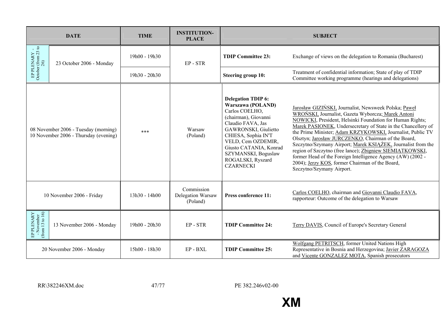|                                             | <b>DATE</b>                                                                   | <b>TIME</b>   | <b>INSTITUTION-</b><br><b>PLACE</b>         |                                                                                                                                                                                                                                                                              | <b>SUBJECT</b>                                                                                                                                                                                                                                                                                                                                                                                                                                                                                                                                                                                                                                    |
|---------------------------------------------|-------------------------------------------------------------------------------|---------------|---------------------------------------------|------------------------------------------------------------------------------------------------------------------------------------------------------------------------------------------------------------------------------------------------------------------------------|---------------------------------------------------------------------------------------------------------------------------------------------------------------------------------------------------------------------------------------------------------------------------------------------------------------------------------------------------------------------------------------------------------------------------------------------------------------------------------------------------------------------------------------------------------------------------------------------------------------------------------------------------|
| EP PLENARY - October (from 23 to $26$ )     | 23 October 2006 - Monday                                                      | 19h00 - 19h30 | EP-STR                                      | <b>TDIP Committee 23:</b>                                                                                                                                                                                                                                                    | Exchange of views on the delegation to Romania (Bucharest)                                                                                                                                                                                                                                                                                                                                                                                                                                                                                                                                                                                        |
|                                             |                                                                               | 19h30 - 20h30 |                                             | <b>Steering group 10:</b>                                                                                                                                                                                                                                                    | Treatment of confidential information; State of play of TDIP<br>Committee working programme (hearings and delegations)                                                                                                                                                                                                                                                                                                                                                                                                                                                                                                                            |
|                                             | 08 November 2006 - Tuesday (morning)<br>10 November 2006 - Thursday (evening) | ***           | Warsaw<br>(Poland)                          | <b>Delegation TDIP 6:</b><br>Warszawa (POLAND)<br>Carlos COELHO,<br>(chairman), Giovanni<br>Claudio FAVA, Jas<br>GAWRONSKI, Giulietto<br>CHIESA, Sophia IN'T<br>VELD, Cem OZDEMIR,<br>Giusto CATANIA, Konrad<br>SZYMANSKI, Boguslaw<br>ROGALSKI, Ryszard<br><b>CZARNECKI</b> | Jarosław GIZIŃSKI, Journalist, Newsweek Polska; Paweł<br><b>WROŃSKI</b> , Journalist, Gazeta Wyborcza; Marek Antoni<br>NOWICKI, President, Helsinki Foundation for Human Rights;<br>Marek PASIONEK, Undersecretary of State in the Chancellery of<br>the Prime Minister; Adam KRZYKOWSKI, Journalist, Public TV<br>Olsztyn; Jarosław JURCZENKO, Chairman of the Board,<br>Szczytno/Szymany Airport; Marek KSIAŻEK, Journalist from the<br>region of Szczytno (free lance); Zbigniew SIEMIATKOWSKI,<br>former Head of the Foreign Intelligence Agency (AW) (2002 -<br>2004); Jerzy KOS, former Chairman of the Board,<br>Szczytno/Szymany Airport. |
|                                             | 10 November 2006 - Friday                                                     | 13h30 - 14h00 | Commission<br>Delegation Warsaw<br>(Poland) | Press conference 11:                                                                                                                                                                                                                                                         | Carlos COELHO, chairman and Giovanni Claudio FAVA,<br>rapporteur: Outcome of the delegation to Warsaw                                                                                                                                                                                                                                                                                                                                                                                                                                                                                                                                             |
| EP PLENARY<br>- November<br>(from 13 to 16) | 13 November 2006 - Monday                                                     | 19h00 - 20h30 | $EP - STR$                                  | <b>TDIP Committee 24:</b>                                                                                                                                                                                                                                                    | Terry DAVIS, Council of Europe's Secretary General                                                                                                                                                                                                                                                                                                                                                                                                                                                                                                                                                                                                |
|                                             | 20 November 2006 - Monday                                                     | 15h00 - 18h30 | EP-BXL                                      | <b>TDIP Committee 25:</b>                                                                                                                                                                                                                                                    | Wolfgang PETRITSCH, former United Nations High<br>Representative in Bosnia and Herzegovina; Javier ZARAGOZA<br>and Vicente GONZALEZ MOTA, Spanish prosecutors                                                                                                                                                                                                                                                                                                                                                                                                                                                                                     |

RR\382246XM.doc 47/77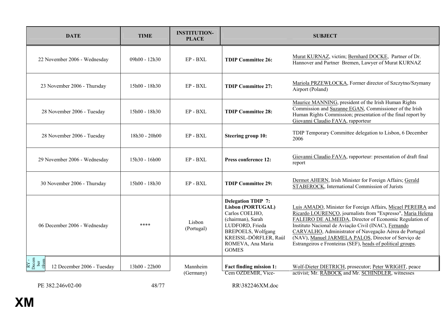| <b>DATE</b>                                                 | <b>TIME</b>     | <b>INSTITUTION-</b><br><b>PLACE</b> |                                                                                                                                                                                                     | <b>SUBJECT</b>                                                                                                                                                                                                                                                                                                                                                                                                                |
|-------------------------------------------------------------|-----------------|-------------------------------------|-----------------------------------------------------------------------------------------------------------------------------------------------------------------------------------------------------|-------------------------------------------------------------------------------------------------------------------------------------------------------------------------------------------------------------------------------------------------------------------------------------------------------------------------------------------------------------------------------------------------------------------------------|
| 22 November 2006 - Wednesday                                | 09h00 - 12h30   | EP - BXL                            | <b>TDIP Committee 26:</b>                                                                                                                                                                           | Murat KURNAZ, victim; Bernhard DOCKE, Partner of Dr.<br>Hannover and Partner Bremen, Lawyer of Murat KURNAZ                                                                                                                                                                                                                                                                                                                   |
| 23 November 2006 - Thursday                                 | $15h00 - 18h30$ | $EP - BXL$                          | <b>TDIP Committee 27:</b>                                                                                                                                                                           | Mariola PRZEWŁOCKA, Former director of Szczytno/Szymany<br>Airport (Poland)                                                                                                                                                                                                                                                                                                                                                   |
| 28 November 2006 - Tuesday                                  | 15h00 - 18h30   | EP - BXL                            | <b>TDIP Committee 28:</b>                                                                                                                                                                           | Maurice MANNING, president of the Irish Human Rights<br>Commission and Suzanne EGAN, Commissioner of the Irish<br>Human Rights Commission; presentation of the final report by<br>Giovanni Claudio FAVA, rapporteur                                                                                                                                                                                                           |
| 28 November 2006 - Tuesday                                  | 18h30 - 20h00   | EP-BXL                              | <b>Steering group 10:</b>                                                                                                                                                                           | TDIP Temporary Committee delegation to Lisbon, 6 December<br>2006                                                                                                                                                                                                                                                                                                                                                             |
| 29 November 2006 - Wednesday                                | $15h30 - 16h00$ | $EP - BXL$                          | <b>Press conference 12:</b>                                                                                                                                                                         | Giovanni Claudio FAVA, rapporteur: presentation of draft final<br>report                                                                                                                                                                                                                                                                                                                                                      |
| 30 November 2006 - Thursday                                 | 15h00 - 18h30   | EP-BXL                              | <b>TDIP Committee 29:</b>                                                                                                                                                                           | Dermot AHERN, Irish Minister for Foreign Affairs; Gerald<br>STABEROCK, International Commission of Jurists                                                                                                                                                                                                                                                                                                                    |
| 06 December 2006 - Wednesday                                | ****            | Lisbon<br>(Portugal)                | <b>Delegation TDIP 7:</b><br><b>Lisbon (PORTUGAL)</b><br>Carlos COELHO,<br>(chairman), Sarah<br>LUDFORD, Frieda<br>BREPOELS, Wolfgang<br>KREISSL-DÖRFLER, Raúl<br>ROMEVA, Ana Maria<br><b>GOMES</b> | Luis AMADO, Minister for Foreign Affairs, Micael PEREIRA and<br>Ricardo LOURENCO, journalists from "Expresso", Maria Helena<br>FALEIRO DE ALMEIDA, Director of Economic Regulation of<br>Instituto Nacional de Aviação Civil (INAC), Fernando<br>CARVALHO, Administrator of Navegação Aérea de Portugal<br>(NAV), Manuel JARMELA PALOS, Director of Serviço de<br>Estrangeiros e Fronteiras (SEF), heads of political groups. |
| RY -<br>Decem<br>ber<br>(from<br>12 December 2006 - Tuesday | $13h00 - 22h00$ | Mannheim<br>(Germany)               | <b>Fact finding mission 1:</b><br>Cem OZDEMIR, Vice-                                                                                                                                                | Wolf-Dieter DIETRICH, prosecutor; Peter WRIGHT, peace<br>activist; Mr. RÄBOCK and Mr. SCHINDLER, witnesses                                                                                                                                                                                                                                                                                                                    |

PE 382.246v02-00 48/77 RR\382246XM.doc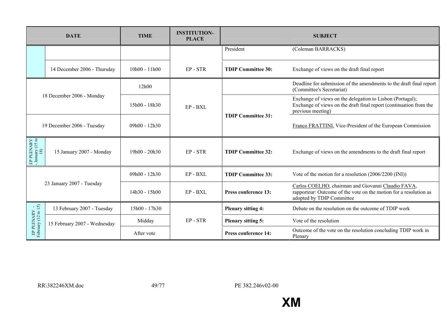|                                       | <b>DATE</b>                  | <b>TIME</b>     | <b>INSTITUTION-</b><br><b>PLACE</b> |                             | <b>SUBJECT</b>                                                                                                                                       |
|---------------------------------------|------------------------------|-----------------|-------------------------------------|-----------------------------|------------------------------------------------------------------------------------------------------------------------------------------------------|
|                                       |                              |                 |                                     | President                   | (Coleman BARRACKS)                                                                                                                                   |
|                                       | 14 December 2006 - Thursday  | $10h00 - 11h00$ | EP-STR                              | <b>TDIP Committee 30:</b>   | Exchange of views on the draft final report                                                                                                          |
|                                       |                              | 12h00           |                                     |                             | Deadline for submission of the amendments to the draft final report<br>(Committee's Secretariat)                                                     |
|                                       | 18 December 2006 - Monday    | 15h00 - 18h30   | EP-BXL                              |                             | Exchange of views on the delegation to Lisbon (Portugal);<br>Exchange of views on the draft final report (continuation from the<br>previous meeting) |
| 19 December 2006 - Tuesday            |                              | 09h00 - 12h30   |                                     | <b>TDIP Committee 31:</b>   | Franco FRATTINI, Vice-President of the European Commission                                                                                           |
| EP PLENARY<br>- January (15 to<br>18) | 15 January 2007 - Monday     | $19h00 - 20h30$ | EP-STR                              | <b>TDIP Committee 32:</b>   | Exchange of views on the amendments to the draft final report                                                                                        |
|                                       |                              | 09h00 - 12h30   | $EP - BXL$                          | <b>TDIP Committee 33:</b>   | Vote of the motion for a resolution (2006/2200 (INI))                                                                                                |
|                                       | 23 January 2007 - Tuesday    | $14h30 - 15h00$ | EP-BXL                              | Press conference 13:        | Carlos COELHO, chairman and Giovanni Claudio FAVA,<br>rapporteur: Outcome of the vote on the motion for a resolution as<br>adopted by TDIP Committee |
|                                       | 13 February 2007 - Tuesday   | 15h00 - 17h30   |                                     | <b>Plenary sitting 4:</b>   | Debate on the resolution on the outcome of TDIP work                                                                                                 |
| EP PLENARY -<br>February (12 to 15)   | 15 February 2007 - Wednesday | Midday          | EP-STR                              | <b>Plenary sitting 5:</b>   | Vote of the resolution                                                                                                                               |
|                                       |                              | After vote      |                                     | <b>Press conference 14:</b> | Outcome of the vote on the resolution concluding TDIP work in<br>Plenary                                                                             |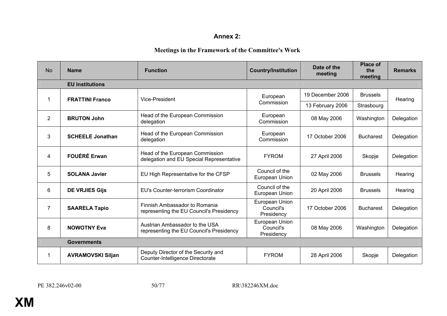#### **Annex 2:**

## **Meetings in the Framework of the Committee's Work**

| <b>No</b>      | <b>Name</b>              | <b>Function</b>                                                             | <b>Country/Institution</b>                | Date of the<br>meeting | <b>Place of</b><br>the<br>meeting | <b>Remarks</b> |
|----------------|--------------------------|-----------------------------------------------------------------------------|-------------------------------------------|------------------------|-----------------------------------|----------------|
|                | <b>EU Institutions</b>   |                                                                             |                                           |                        |                                   |                |
|                | <b>FRATTINI Franco</b>   | Vice-President                                                              | European                                  | 19 December 2006       | <b>Brussels</b>                   | Hearing        |
|                |                          |                                                                             | Commission                                | 13 February 2006       | Strasbourg                        |                |
| $\overline{2}$ | <b>BRUTON John</b>       | Head of the European Commission<br>delegation                               | European<br>Commission                    | 08 May 2006            | Washington                        | Delegation     |
| 3              | <b>SCHEELE Jonathan</b>  | Head of the European Commission<br>delegation                               | European<br>Commission                    | 17 October 2006        | <b>Bucharest</b>                  | Delegation     |
| 4              | <b>FOUÉRÉ Erwan</b>      | Head of the European Commission<br>delegation and EU Special Representative | <b>FYROM</b>                              | 27 April 2006          | Skopje                            | Delegation     |
| 5              | <b>SOLANA Javier</b>     | EU High Representative for the CFSP                                         | Council of the<br>European Union          | 02 May 2006            | <b>Brussels</b>                   | Hearing        |
| 6              | <b>DE VRJIES Gijs</b>    | EU's Counter-terrorism Coordinator                                          | Council of the<br>European Union          | 20 April 2006          | <b>Brussels</b>                   | Hearing        |
| 7              | <b>SAARELA Tapio</b>     | Finnish Ambassador to Romania<br>representing the EU Council's Presidency   | European Union<br>Council's<br>Presidency | 17 October 2006        | <b>Bucharest</b>                  | Delegation     |
| 8              | <b>NOWOTNY Eva</b>       | Austrian Ambassador to the USA<br>representing the EU Council's Presidency  | European Union<br>Council's<br>Presidency | 08 May 2006            | Washington                        | Delegation     |
|                | <b>Governments</b>       |                                                                             |                                           |                        |                                   |                |
|                | <b>AVRAMOVSKI Siljan</b> | Deputy Director of the Security and<br>Counter-Intelligence Directorate     | <b>FYROM</b>                              | 28 April 2006          | Skopje                            | Delegation     |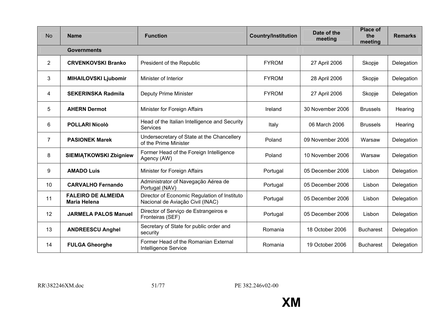| <b>No</b>       | <b>Name</b>                                      | <b>Function</b>                                                                  | <b>Country/Institution</b> | Date of the<br>meeting | <b>Place of</b><br>the<br>meeting | <b>Remarks</b> |
|-----------------|--------------------------------------------------|----------------------------------------------------------------------------------|----------------------------|------------------------|-----------------------------------|----------------|
|                 | <b>Governments</b>                               |                                                                                  |                            |                        |                                   |                |
| $\overline{2}$  | <b>CRVENKOVSKI Branko</b>                        | President of the Republic                                                        | <b>FYROM</b>               | 27 April 2006          | Skopje                            | Delegation     |
| 3               | <b>MIHAILOVSKI Ljubomir</b>                      | Minister of Interior                                                             | <b>FYROM</b>               | 28 April 2006          | Skopje                            | Delegation     |
| 4               | <b>SEKERINSKA Radmila</b>                        | Deputy Prime Minister                                                            | <b>FYROM</b>               | 27 April 2006          | Skopje                            | Delegation     |
| 5               | <b>AHERN Dermot</b>                              | Minister for Foreign Affairs                                                     | Ireland                    | 30 November 2006       | <b>Brussels</b>                   | Hearing        |
| 6               | <b>POLLARI Nicolò</b>                            | Head of the Italian Intelligence and Security<br>Services                        | Italy                      | 06 March 2006          | <b>Brussels</b>                   | Hearing        |
| 7               | <b>PASIONEK Marek</b>                            | Undersecretary of State at the Chancellery<br>of the Prime Minister              | Poland                     | 09 November 2006       | Warsaw                            | Delegation     |
| 8               | <b>SIEMIĄTKOWSKI Zbigniew</b>                    | Former Head of the Foreign Intelligence<br>Agency (AW)                           | Poland                     | 10 November 2006       | Warsaw                            | Delegation     |
| 9               | <b>AMADO Luis</b>                                | Minister for Foreign Affairs                                                     | Portugal                   | 05 December 2006       | Lisbon                            | Delegation     |
| 10 <sup>°</sup> | <b>CARVALHO Fernando</b>                         | Administrator of Navegação Aérea de<br>Portugal (NAV)                            | Portugal                   | 05 December 2006       | Lisbon                            | Delegation     |
| 11              | <b>FALEIRO DE ALMEIDA</b><br><b>Maria Helena</b> | Director of Economic Regulation of Instituto<br>Nacional de Aviação Civil (INAC) | Portugal                   | 05 December 2006       | Lisbon                            | Delegation     |
| 12              | <b>JARMELA PALOS Manuel</b>                      | Director of Serviço de Estrangeiros e<br>Fronteiras (SEF)                        | Portugal                   | 05 December 2006       | Lisbon                            | Delegation     |
| 13              | <b>ANDREESCU Anghel</b>                          | Secretary of State for public order and<br>security                              | Romania                    | 18 October 2006        | <b>Bucharest</b>                  | Delegation     |
| 14              | <b>FULGA Gheorghe</b>                            | Former Head of the Romanian External<br><b>Intelligence Service</b>              | Romania                    | 19 October 2006        | <b>Bucharest</b>                  | Delegation     |

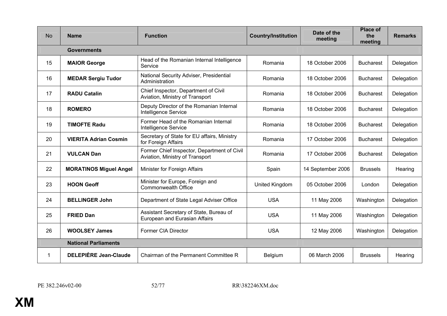| <b>No</b> | <b>Name</b>                   | <b>Function</b>                                                                | <b>Country/Institution</b> | Date of the<br>meeting | <b>Place of</b><br>the<br>meeting | <b>Remarks</b> |
|-----------|-------------------------------|--------------------------------------------------------------------------------|----------------------------|------------------------|-----------------------------------|----------------|
|           | <b>Governments</b>            |                                                                                |                            |                        |                                   |                |
| 15        | <b>MAIOR George</b>           | Head of the Romanian Internal Intelligence<br>Service                          | Romania                    | 18 October 2006        | <b>Bucharest</b>                  | Delegation     |
| 16        | <b>MEDAR Sergiu Tudor</b>     | National Security Adviser, Presidential<br>Administration                      | Romania                    | 18 October 2006        | <b>Bucharest</b>                  | Delegation     |
| 17        | <b>RADU Catalin</b>           | Chief Inspector, Department of Civil<br>Aviation, Ministry of Transport        | Romania                    | 18 October 2006        | <b>Bucharest</b>                  | Delegation     |
| 18        | <b>ROMERO</b>                 | Deputy Director of the Romanian Internal<br>Intelligence Service               | Romania                    | 18 October 2006        | <b>Bucharest</b>                  | Delegation     |
| 19        | <b>TIMOFTE Radu</b>           | Former Head of the Romanian Internal<br>Intelligence Service                   | Romania                    | 18 October 2006        | <b>Bucharest</b>                  | Delegation     |
| 20        | <b>VIERITA Adrian Cosmin</b>  | Secretary of State for EU affairs, Ministry<br>for Foreign Affairs             | Romania                    | 17 October 2006        | <b>Bucharest</b>                  | Delegation     |
| 21        | <b>VULCAN Dan</b>             | Former Chief Inspector, Department of Civil<br>Aviation, Ministry of Transport | Romania                    | 17 October 2006        | <b>Bucharest</b>                  | Delegation     |
| 22        | <b>MORATINOS Miguel Angel</b> | Minister for Foreign Affairs                                                   | Spain                      | 14 September 2006      | <b>Brussels</b>                   | Hearing        |
| 23        | <b>HOON Geoff</b>             | Minister for Europe, Foreign and<br><b>Commonwealth Office</b>                 | United Kingdom             | 05 October 2006        | London                            | Delegation     |
| 24        | <b>BELLINGER John</b>         | Department of State Legal Adviser Office                                       | <b>USA</b>                 | 11 May 2006            | Washington                        | Delegation     |
| 25        | <b>FRIED Dan</b>              | Assistant Secretary of State, Bureau of<br>European and Eurasian Affairs       | <b>USA</b>                 | 11 May 2006            | Washington                        | Delegation     |
| 26        | <b>WOOLSEY James</b>          | Former CIA Director                                                            | <b>USA</b>                 | 12 May 2006            | Washington                        | Delegation     |
|           | <b>National Parliaments</b>   |                                                                                |                            |                        |                                   |                |
| 1         | <b>DELEPIÈRE Jean-Claude</b>  | Chairman of the Permanent Committee R                                          | Belgium                    | 06 March 2006          | <b>Brussels</b>                   | Hearing        |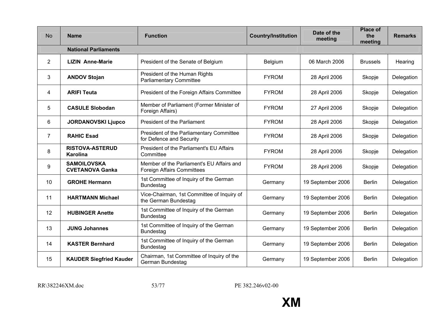| <b>No</b>       | <b>Name</b>                                  | <b>Function</b>                                                                | <b>Country/Institution</b> | Date of the<br>meeting | <b>Place of</b><br>the<br>meeting | <b>Remarks</b> |
|-----------------|----------------------------------------------|--------------------------------------------------------------------------------|----------------------------|------------------------|-----------------------------------|----------------|
|                 | <b>National Parliaments</b>                  |                                                                                |                            |                        |                                   |                |
| $\overline{2}$  | <b>LIZIN Anne-Marie</b>                      | President of the Senate of Belgium                                             | Belgium                    | 06 March 2006          | <b>Brussels</b>                   | Hearing        |
| 3               | <b>ANDOV Stojan</b>                          | President of the Human Rights<br><b>Parliamentary Committee</b>                | <b>FYROM</b>               | 28 April 2006          | Skopje                            | Delegation     |
| 4               | <b>ARIFI Teuta</b>                           | President of the Foreign Affairs Committee                                     | <b>FYROM</b>               | 28 April 2006          | Skopje                            | Delegation     |
| 5               | <b>CASULE Slobodan</b>                       | Member of Parliament (Former Minister of<br>Foreign Affairs)                   | <b>FYROM</b>               | 27 April 2006          | Skopje                            | Delegation     |
| 6               | <b>JORDANOVSKI Ljupco</b>                    | President of the Parliament                                                    | <b>FYROM</b>               | 28 April 2006          | Skopje                            | Delegation     |
| $\overline{7}$  | <b>RAHIC Esad</b>                            | President of the Parliamentary Committee<br>for Defence and Security           | <b>FYROM</b>               | 28 April 2006          | Skopje                            | Delegation     |
| 8               | <b>RISTOVA-ASTERUD</b><br><b>Karolina</b>    | President of the Parliament's EU Affairs<br>Committee                          | <b>FYROM</b>               | 28 April 2006          | Skopje                            | Delegation     |
| 9               | <b>SAMOILOVSKA</b><br><b>CVETANOVA Ganka</b> | Member of the Parliament's EU Affairs and<br><b>Foreign Affairs Committees</b> | <b>FYROM</b>               | 28 April 2006          | Skopje                            | Delegation     |
| 10              | <b>GROHE Hermann</b>                         | 1st Committee of Inquiry of the German<br><b>Bundestag</b>                     | Germany                    | 19 September 2006      | <b>Berlin</b>                     | Delegation     |
| 11              | <b>HARTMANN Michael</b>                      | Vice-Chairman, 1st Committee of Inquiry of<br>the German Bundestag             | Germany                    | 19 September 2006      | <b>Berlin</b>                     | Delegation     |
| 12 <sup>2</sup> | <b>HUBINGER Anette</b>                       | 1st Committee of Inquiry of the German<br><b>Bundestag</b>                     | Germany                    | 19 September 2006      | <b>Berlin</b>                     | Delegation     |
| 13              | <b>JUNG Johannes</b>                         | 1st Committee of Inquiry of the German<br><b>Bundestag</b>                     | Germany                    | 19 September 2006      | <b>Berlin</b>                     | Delegation     |
| 14              | <b>KASTER Bernhard</b>                       | 1st Committee of Inquiry of the German<br><b>Bundestag</b>                     | Germany                    | 19 September 2006      | <b>Berlin</b>                     | Delegation     |
| 15              | <b>KAUDER Siegfried Kauder</b>               | Chairman, 1st Committee of Inquiry of the<br>German Bundestag                  | Germany                    | 19 September 2006      | <b>Berlin</b>                     | Delegation     |

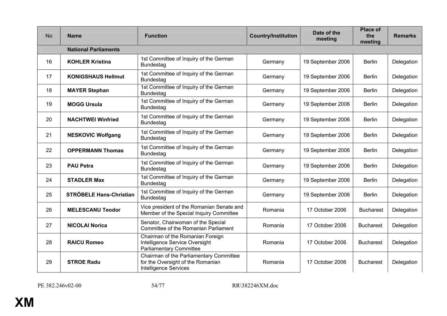| <b>No</b> | <b>Name</b>                    | <b>Function</b>                                                                                              | <b>Country/Institution</b> | Date of the<br>meeting | <b>Place of</b><br>the<br>meeting | <b>Remarks</b> |
|-----------|--------------------------------|--------------------------------------------------------------------------------------------------------------|----------------------------|------------------------|-----------------------------------|----------------|
|           | <b>National Parliaments</b>    |                                                                                                              |                            |                        |                                   |                |
| 16        | <b>KOHLER Kristina</b>         | 1st Committee of Inquiry of the German<br><b>Bundestag</b>                                                   | Germany                    | 19 September 2006      | <b>Berlin</b>                     | Delegation     |
| 17        | <b>KONIGSHAUS Hellmut</b>      | 1st Committee of Inquiry of the German<br><b>Bundestag</b>                                                   | Germany                    | 19 September 2006      | <b>Berlin</b>                     | Delegation     |
| 18        | <b>MAYER Stephan</b>           | 1st Committee of Inquiry of the German<br><b>Bundestag</b>                                                   | Germany                    | 19 September 2006      | <b>Berlin</b>                     | Delegation     |
| 19        | <b>MOGG Ursula</b>             | 1st Committee of Inquiry of the German<br><b>Bundestag</b>                                                   | Germany                    | 19 September 2006      | <b>Berlin</b>                     | Delegation     |
| 20        | <b>NACHTWEI Winfried</b>       | 1st Committee of Inquiry of the German<br><b>Bundestag</b>                                                   | Germany                    | 19 September 2006      | <b>Berlin</b>                     | Delegation     |
| 21        | <b>NESKOVIC Wolfgang</b>       | 1st Committee of Inquiry of the German<br><b>Bundestag</b>                                                   | Germany                    | 19 September 2006      | <b>Berlin</b>                     | Delegation     |
| 22        | <b>OPPERMANN Thomas</b>        | 1st Committee of Inquiry of the German<br><b>Bundestag</b>                                                   | Germany                    | 19 September 2006      | <b>Berlin</b>                     | Delegation     |
| 23        | <b>PAU Petra</b>               | 1st Committee of Inquiry of the German<br><b>Bundestag</b>                                                   | Germany                    | 19 September 2006      | <b>Berlin</b>                     | Delegation     |
| 24        | <b>STADLER Max</b>             | 1st Committee of Inquiry of the German<br><b>Bundestag</b>                                                   | Germany                    | 19 September 2006      | <b>Berlin</b>                     | Delegation     |
| 25        | <b>STRÖBELE Hans-Christian</b> | 1st Committee of Inquiry of the German<br><b>Bundestag</b>                                                   | Germany                    | 19 September 2006      | <b>Berlin</b>                     | Delegation     |
| 26        | <b>MELESCANU Teodor</b>        | Vice president of the Romanian Senate and<br>Member of the Special Inquiry Committee                         | Romania                    | 17 October 2006        | <b>Bucharest</b>                  | Delegation     |
| 27        | <b>NICOLAI Norica</b>          | Senator, Chairwoman of the Special<br>Committee of the Romanian Parliament                                   | Romania                    | 17 October 2006        | <b>Bucharest</b>                  | Delegation     |
| 28        | <b>RAICU Romeo</b>             | Chairman of the Romanian Foreign<br>Intelligence Service Oversight<br><b>Parliamentary Committee</b>         | Romania                    | 17 October 2006        | <b>Bucharest</b>                  | Delegation     |
| 29        | <b>STROE Radu</b>              | Chairman of the Parliamentary Committee<br>for the Oversight of the Romanian<br><b>Intelligence Services</b> | Romania                    | 17 October 2006        | <b>Bucharest</b>                  | Delegation     |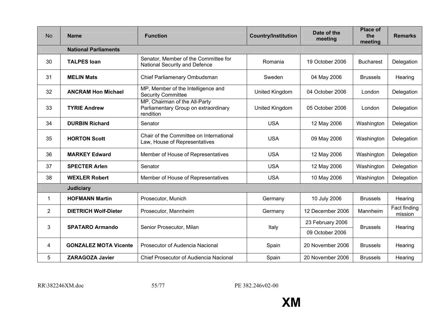| <b>No</b>      | <b>Name</b>                  | <b>Function</b>                                                                    | <b>Country/Institution</b> | Date of the<br>meeting | <b>Place of</b><br>the<br>meeting | <b>Remarks</b>          |
|----------------|------------------------------|------------------------------------------------------------------------------------|----------------------------|------------------------|-----------------------------------|-------------------------|
|                | <b>National Parliaments</b>  |                                                                                    |                            |                        |                                   |                         |
| 30             | <b>TALPES loan</b>           | Senator, Member of the Committee for<br>National Security and Defence              | Romania                    | 19 October 2006        | <b>Bucharest</b>                  | Delegation              |
| 31             | <b>MELIN Mats</b>            | Chief Parliamenary Ombudsman                                                       | Sweden                     | 04 May 2006            | <b>Brussels</b>                   | Hearing                 |
| 32             | <b>ANCRAM Hon Michael</b>    | MP, Member of the Intelligence and<br><b>Security Committee</b>                    | United Kingdom             | 04 October 2006        | London                            | Delegation              |
| 33             | <b>TYRIE Andrew</b>          | MP, Chairman of the All-Party<br>Parliamentary Group on extraordinary<br>rendition | United Kingdom             | 05 October 2006        | London                            | Delegation              |
| 34             | <b>DURBIN Richard</b>        | Senator                                                                            | <b>USA</b>                 | 12 May 2006            | Washington                        | Delegation              |
| 35             | <b>HORTON Scott</b>          | Chair of the Committee on International<br>Law, House of Representatives           | <b>USA</b>                 | 09 May 2006            | Washington                        | Delegation              |
| 36             | <b>MARKEY Edward</b>         | Member of House of Representatives                                                 | <b>USA</b>                 | 12 May 2006            | Washington                        | Delegation              |
| 37             | <b>SPECTER Arlen</b>         | Senator                                                                            | <b>USA</b>                 | 12 May 2006            | Washington                        | Delegation              |
| 38             | <b>WEXLER Robert</b>         | Member of House of Representatives                                                 | <b>USA</b>                 | 10 May 2006            | Washington                        | Delegation              |
|                | <b>Judiciary</b>             |                                                                                    |                            |                        |                                   |                         |
| 1              | <b>HOFMANN Martin</b>        | Prosecutor, Munich                                                                 | Germany                    | 10 July 2006           | <b>Brussels</b>                   | Hearing                 |
| $\overline{2}$ | <b>DIETRICH Wolf-Dieter</b>  | Prosecutor, Mannheim                                                               | Germany                    | 12 December 2006       | Mannheim                          | Fact finding<br>mission |
|                |                              |                                                                                    |                            | 23 February 2006       |                                   |                         |
| 3              | <b>SPATARO Armando</b>       | Senior Prosecutor, Milan                                                           | Italy                      | 09 October 2006        | <b>Brussels</b>                   | Hearing                 |
| 4              | <b>GONZALEZ MOTA Vicente</b> | Prosecutor of Audencia Nacional                                                    | Spain                      | 20 November 2006       | <b>Brussels</b>                   | Hearing                 |
| 5              | <b>ZARAGOZA Javier</b>       | <b>Chief Prosecutor of Audiencia Nacional</b>                                      | Spain                      | 20 November 2006       | <b>Brussels</b>                   | Hearing                 |

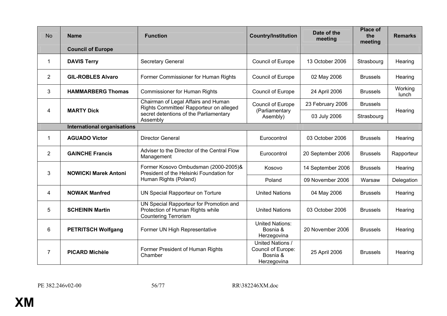| <b>No</b>                          | <b>Name</b>                 | <b>Function</b>                                                                                                                      | <b>Country/Institution</b>                                               | Date of the<br>meeting | <b>Place of</b><br>the<br>meeting | <b>Remarks</b>   |  |  |
|------------------------------------|-----------------------------|--------------------------------------------------------------------------------------------------------------------------------------|--------------------------------------------------------------------------|------------------------|-----------------------------------|------------------|--|--|
|                                    | <b>Council of Europe</b>    |                                                                                                                                      |                                                                          |                        |                                   |                  |  |  |
| 1                                  | <b>DAVIS Terry</b>          | <b>Secretary General</b>                                                                                                             | Council of Europe                                                        | 13 October 2006        | Strasbourg                        | Hearing          |  |  |
| $\overline{2}$                     | <b>GIL-ROBLES Alvaro</b>    | Former Commissioner for Human Rights                                                                                                 | Council of Europe                                                        | 02 May 2006            | <b>Brussels</b>                   | Hearing          |  |  |
| 3                                  | <b>HAMMARBERG Thomas</b>    | <b>Commissioner for Human Rights</b>                                                                                                 | Council of Europe                                                        | 24 April 2006          | <b>Brussels</b>                   | Working<br>lunch |  |  |
| 4                                  |                             | Chairman of Legal Affairs and Human<br>Rights Committee/ Rapporteur on alleged<br>secret detentions of the Parliamentary<br>Assembly | Council of Europe                                                        | 23 February 2006       | <b>Brussels</b>                   |                  |  |  |
|                                    | <b>MARTY Dick</b>           |                                                                                                                                      | (Parliamentary<br>Asembly)                                               | 03 July 2006           | Strasbourg                        | Hearing          |  |  |
| <b>International organisations</b> |                             |                                                                                                                                      |                                                                          |                        |                                   |                  |  |  |
| 1                                  | <b>AGUADO Victor</b>        | <b>Director General</b>                                                                                                              | Eurocontrol                                                              | 03 October 2006        | <b>Brussels</b>                   | Hearing          |  |  |
| $\overline{2}$                     | <b>GAINCHE Francis</b>      | Adviser to the Director of the Central Flow<br>Management                                                                            | Eurocontrol                                                              | 20 September 2006      | <b>Brussels</b>                   | Rapporteur       |  |  |
| 3                                  | <b>NOWICKI Marek Antoni</b> | Former Kosovo Ombudsman (2000-2005)&<br>President of the Helsinki Foundation for                                                     | Kosovo                                                                   | 14 September 2006      | <b>Brussels</b>                   | Hearing          |  |  |
|                                    |                             | Human Rights (Poland)                                                                                                                | Poland                                                                   | 09 November 2006       | Warsaw                            | Delegation       |  |  |
| 4                                  | <b>NOWAK Manfred</b>        | UN Special Rapporteur on Torture                                                                                                     | <b>United Nations</b>                                                    | 04 May 2006            | <b>Brussels</b>                   | Hearing          |  |  |
| 5                                  | <b>SCHEININ Martin</b>      | UN Special Rapporteur for Promotion and<br>Protection of Human Rights while<br><b>Countering Terrorism</b>                           | <b>United Nations</b>                                                    | 03 October 2006        | <b>Brussels</b>                   | Hearing          |  |  |
| 6                                  | <b>PETRITSCH Wolfgang</b>   | Former UN High Representative                                                                                                        | <b>United Nations:</b><br>Bosnia &<br>Herzegovina                        | 20 November 2006       | <b>Brussels</b>                   | Hearing          |  |  |
| $\overline{7}$                     | <b>PICARD Michèle</b>       | Former President of Human Rights<br>Chamber                                                                                          | <b>United Nations /</b><br>Council of Europe:<br>Bosnia &<br>Herzegovina | 25 April 2006          | <b>Brussels</b>                   | Hearing          |  |  |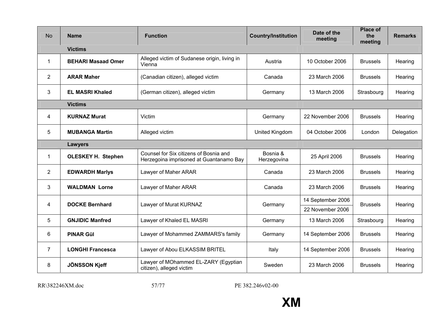| <b>No</b>      | <b>Name</b>               | <b>Function</b>                                                                   | <b>Country/Institution</b> | Date of the<br>meeting | <b>Place of</b><br>the<br>meeting | <b>Remarks</b> |
|----------------|---------------------------|-----------------------------------------------------------------------------------|----------------------------|------------------------|-----------------------------------|----------------|
|                | <b>Victims</b>            |                                                                                   |                            |                        |                                   |                |
| $\mathbf 1$    | <b>BEHARI Masaad Omer</b> | Alleged victim of Sudanese origin, living in<br>Vienna                            | Austria                    | 10 October 2006        | <b>Brussels</b>                   | Hearing        |
| $\overline{2}$ | <b>ARAR Maher</b>         | (Canadian citizen), alleged victim                                                | Canada                     | 23 March 2006          | <b>Brussels</b>                   | Hearing        |
| 3              | <b>EL MASRI Khaled</b>    | (German citizen), alleged victim                                                  | Germany                    | 13 March 2006          | Strasbourg                        | Hearing        |
|                | <b>Victims</b>            |                                                                                   |                            |                        |                                   |                |
| 4              | <b>KURNAZ Murat</b>       | Victim                                                                            | Germany                    | 22 November 2006       | <b>Brussels</b>                   | Hearing        |
| 5              | <b>MUBANGA Martin</b>     | Alleged victim                                                                    | United Kingdom             | 04 October 2006        | London                            | Delegation     |
|                | <b>Lawyers</b>            |                                                                                   |                            |                        |                                   |                |
| 1              | <b>OLESKEY H. Stephen</b> | Counsel for Six citizens of Bosnia and<br>Herzegoina imprisoned at Guantanamo Bay | Bosnia &<br>Herzegovina    | 25 April 2006          | <b>Brussels</b>                   | Hearing        |
| $\overline{2}$ | <b>EDWARDH Marlys</b>     | Lawyer of Maher ARAR                                                              | Canada                     | 23 March 2006          | <b>Brussels</b>                   | Hearing        |
| 3              | <b>WALDMAN Lorne</b>      | Lawyer of Maher ARAR                                                              | Canada                     | 23 March 2006          | <b>Brussels</b>                   | Hearing        |
| 4              | <b>DOCKE Bernhard</b>     | Lawyer of Murat KURNAZ                                                            | Germany                    | 14 September 2006      | <b>Brussels</b>                   | Hearing        |
|                |                           |                                                                                   |                            | 22 November 2006       |                                   |                |
| 5              | <b>GNJIDIC Manfred</b>    | Lawyer of Khaled EL MASRI                                                         | Germany                    | 13 March 2006          | Strasbourg                        | Hearing        |
| 6              | <b>PINAR Gül</b>          | Lawyer of Mohammed ZAMMARS's family                                               | Germany                    | 14 September 2006      | <b>Brussels</b>                   | Hearing        |
| $\overline{7}$ | <b>LONGHI Francesca</b>   | Lawyer of Abou ELKASSIM BRITEL                                                    | Italy                      | 14 September 2006      | <b>Brussels</b>                   | Hearing        |
| 8              | <b>JÖNSSON Kjeff</b>      | Lawyer of MOhammed EL-ZARY (Egyptian<br>citizen), alleged victim                  | Sweden                     | 23 March 2006          | <b>Brussels</b>                   | Hearing        |

RR\382246XM.doc 57/77

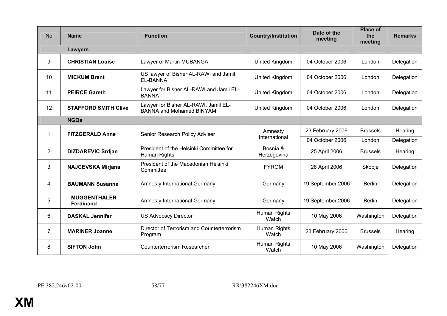| <b>No</b>      | <b>Name</b>                             | <b>Function</b>                                                         | <b>Country/Institution</b> | Date of the<br>meeting | <b>Place of</b><br>the<br>meeting | <b>Remarks</b> |
|----------------|-----------------------------------------|-------------------------------------------------------------------------|----------------------------|------------------------|-----------------------------------|----------------|
|                | <b>Lawyers</b>                          |                                                                         |                            |                        |                                   |                |
| 9              | <b>CHRISTIAN Louise</b>                 | Lawyer of Martin MUBANGA                                                | United Kingdom             | 04 October 2006        | London                            | Delegation     |
| 10             | <b>MICKUM Brent</b>                     | US lawyer of Bisher AL-RAWI and Jamil<br>EL-BANNA                       | United Kingdom             | 04 October 2006        | London                            | Delegation     |
| 11             | <b>PEIRCE Gareth</b>                    | Lawyer for Bisher AL-RAWI and Jamil EL-<br><b>BANNA</b>                 | United Kingdom             | 04 October 2006        | London                            | Delegation     |
| 12             | <b>STAFFORD SMITH Clive</b>             | Lawyer for Bisher AL-RAWI, Jamil EL-<br><b>BANNA and Mohamed BINYAM</b> | United Kingdom             | 04 October 2006        | London                            | Delegation     |
|                | <b>NGOs</b>                             |                                                                         |                            |                        |                                   |                |
| 1              | <b>FITZGERALD Anne</b>                  | Senior Research Policy Adviser                                          | Amnesty                    | 23 February 2006       | <b>Brussels</b>                   | Hearing        |
|                |                                         |                                                                         | International              | 04 October 2006        | London                            | Delegation     |
| $\overline{2}$ | <b>DIZDAREVIC Srdjan</b>                | President of the Helsinki Committee for<br>Human Rights                 | Bosnia &<br>Herzegovina    | 25 April 2006          | <b>Brussels</b>                   | Hearing        |
| 3              | <b>NAJCEVSKA Mirjana</b>                | President of the Macedonian Helsinki<br>Committee                       | <b>FYROM</b>               | 28 April 2006          | Skopje                            | Delegation     |
| 4              | <b>BAUMANN Susanne</b>                  | <b>Amnesty International Germany</b>                                    | Germany                    | 19 September 2006      | <b>Berlin</b>                     | Delegation     |
| 5              | <b>MUGGENTHALER</b><br><b>Ferdinand</b> | Amnesty International Germany                                           | Germany                    | 19 September 2006      | <b>Berlin</b>                     | Delegation     |
| 6              | <b>DASKAL Jennifer</b>                  | <b>US Advocacy Director</b>                                             | Human Rights<br>Watch      | 10 May 2006            | Washington                        | Delegation     |
| $\overline{7}$ | <b>MARINER Joanne</b>                   | Director of Terrorism and Counterterrorism<br>Program                   | Human Rights<br>Watch      | 23 February 2006       | <b>Brussels</b>                   | Hearing        |
| 8              | <b>SIFTON John</b>                      | <b>Counterterrorism Researcher</b>                                      | Human Rights<br>Watch      | 10 May 2006            | Washington                        | Delegation     |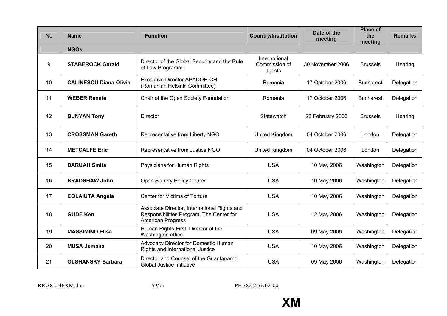| <b>No</b> | <b>Name</b>                   | <b>Function</b>                                                                                                      | <b>Country/Institution</b>                | Date of the<br>meeting | <b>Place of</b><br>the<br>meeting | <b>Remarks</b> |
|-----------|-------------------------------|----------------------------------------------------------------------------------------------------------------------|-------------------------------------------|------------------------|-----------------------------------|----------------|
|           | <b>NGOs</b>                   |                                                                                                                      |                                           |                        |                                   |                |
| 9         | <b>STABEROCK Gerald</b>       | Director of the Global Security and the Rule<br>of Law Programme                                                     | International<br>Commission of<br>Jurists | 30 November 2006       | <b>Brussels</b>                   | Hearing        |
| 10        | <b>CALINESCU Diana-Olivia</b> | <b>Executive Director APADOR-CH</b><br>(Romanian Helsinki Committee)                                                 | Romania                                   | 17 October 2006        | <b>Bucharest</b>                  | Delegation     |
| 11        | <b>WEBER Renate</b>           | Chair of the Open Society Foundation                                                                                 | Romania                                   | 17 October 2006        | <b>Bucharest</b>                  | Delegation     |
| 12        | <b>BUNYAN Tony</b>            | <b>Director</b>                                                                                                      | Statewatch                                | 23 February 2006       | <b>Brussels</b>                   | Hearing        |
| 13        | <b>CROSSMAN Gareth</b>        | Representative from Liberty NGO                                                                                      | United Kingdom                            | 04 October 2006        | London                            | Delegation     |
| 14        | <b>METCALFE Eric</b>          | Representative from Justice NGO                                                                                      | United Kingdom                            | 04 October 2006        | London                            | Delegation     |
| 15        | <b>BARUAH Smita</b>           | Physicians for Human Rights                                                                                          | <b>USA</b>                                | 10 May 2006            | Washington                        | Delegation     |
| 16        | <b>BRADSHAW John</b>          | Open Society Policy Center                                                                                           | <b>USA</b>                                | 10 May 2006            | Washington                        | Delegation     |
| 17        | <b>COLAIUTA Angela</b>        | Center for Victims of Torture                                                                                        | <b>USA</b>                                | 10 May 2006            | Washington                        | Delegation     |
| 18        | <b>GUDE Ken</b>               | Associate Director, International Rights and<br>Responsibilities Program, The Center for<br><b>American Progress</b> | <b>USA</b>                                | 12 May 2006            | Washington                        | Delegation     |
| 19        | <b>MASSIMINO Elisa</b>        | Human Rights First, Director at the<br>Washington office                                                             | <b>USA</b>                                | 09 May 2006            | Washington                        | Delegation     |
| 20        | <b>MUSA Jumana</b>            | Advocacy Director for Domestic Human<br>Rights and International Justice                                             | <b>USA</b>                                | 10 May 2006            | Washington                        | Delegation     |
| 21        | <b>OLSHANSKY Barbara</b>      | Director and Counsel of the Guantanamo<br>Global Justice Initiative                                                  | <b>USA</b>                                | 09 May 2006            | Washington                        | Delegation     |

RR\382246XM.doc 59/77

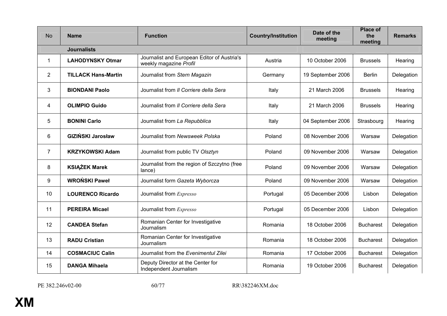| <b>No</b>      | <b>Name</b>                | <b>Function</b>                                                       | <b>Country/Institution</b> | Date of the<br>meeting | <b>Place of</b><br>the<br>meeting | <b>Remarks</b> |
|----------------|----------------------------|-----------------------------------------------------------------------|----------------------------|------------------------|-----------------------------------|----------------|
|                | <b>Journalists</b>         |                                                                       |                            |                        |                                   |                |
| 1              | <b>LAHODYNSKY Otmar</b>    | Journalist and European Editor of Austria's<br>weekly magazine Profil | Austria                    | 10 October 2006        | <b>Brussels</b>                   | Hearing        |
| $\overline{2}$ | <b>TILLACK Hans-Martin</b> | Journalist from Stern Magazin                                         | Germany                    | 19 September 2006      | <b>Berlin</b>                     | Delegation     |
| 3              | <b>BIONDANI Paolo</b>      | Journalist from Il Corriere della Sera                                | Italy                      | 21 March 2006          | <b>Brussels</b>                   | Hearing        |
| 4              | <b>OLIMPIO Guido</b>       | Journalist from Il Corriere della Sera                                | Italy                      | 21 March 2006          | <b>Brussels</b>                   | Hearing        |
| 5              | <b>BONINI Carlo</b>        | Journalist from La Repubblica                                         | Italy                      | 04 September 2006      | Strasbourg                        | Hearing        |
| 6              | <b>GIZIŃSKI Jarosław</b>   | Journalist from Newsweek Polska                                       | Poland                     | 08 November 2006       | Warsaw                            | Delegation     |
| $\overline{7}$ | <b>KRZYKOWSKI Adam</b>     | Journalist from public TV Olsztyn                                     | Poland                     | 09 November 2006       | Warsaw                            | Delegation     |
| 8              | <b>KSIAŻEK Marek</b>       | Journalist from the region of Szczytno (free<br>lance)                | Poland                     | 09 November 2006       | Warsaw                            | Delegation     |
| 9              | <b>WROŃSKI Paweł</b>       | Journalist form Gazeta Wyborcza                                       | Poland                     | 09 November 2006       | Warsaw                            | Delegation     |
| 10             | <b>LOURENCO Ricardo</b>    | Journalist from Expresso                                              | Portugal                   | 05 December 2006       | Lisbon                            | Delegation     |
| 11             | <b>PEREIRA Micael</b>      | Journalist from Expresso                                              | Portugal                   | 05 December 2006       | Lisbon                            | Delegation     |
| 12             | <b>CANDEA Stefan</b>       | Romanian Center for Investigative<br>Journalism                       | Romania                    | 18 October 2006        | <b>Bucharest</b>                  | Delegation     |
| 13             | <b>RADU Cristian</b>       | Romanian Center for Investigative<br>Journalism                       | Romania                    | 18 October 2006        | <b>Bucharest</b>                  | Delegation     |
| 14             | <b>COSMACIUC Calin</b>     | Journalist from the Evenimentul Zilei                                 | Romania                    | 17 October 2006        | <b>Bucharest</b>                  | Delegation     |
| 15             | <b>DANGA Mihaela</b>       | Deputy Director at the Center for<br>Independent Journalism           | Romania                    | 19 October 2006        | <b>Bucharest</b>                  | Delegation     |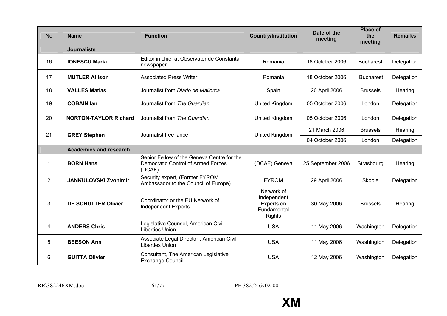| <b>No</b>      | <b>Name</b>                   | <b>Function</b>                                                                                   | <b>Country/Institution</b>                                              | Date of the<br>meeting | <b>Place of</b><br>the<br>meeting | <b>Remarks</b> |  |  |
|----------------|-------------------------------|---------------------------------------------------------------------------------------------------|-------------------------------------------------------------------------|------------------------|-----------------------------------|----------------|--|--|
|                | <b>Journalists</b>            |                                                                                                   |                                                                         |                        |                                   |                |  |  |
| 16             | <b>IONESCU Maria</b>          | Editor in chief at Observator de Constanta<br>newspaper                                           | Romania                                                                 | 18 October 2006        | <b>Bucharest</b>                  | Delegation     |  |  |
| 17             | <b>MUTLER Allison</b>         | <b>Associated Press Writer</b>                                                                    | Romania                                                                 | 18 October 2006        | <b>Bucharest</b>                  | Delegation     |  |  |
| 18             | <b>VALLES Matias</b>          | Journalist from Diario de Mallorca                                                                | Spain                                                                   | 20 April 2006          | <b>Brussels</b>                   | Hearing        |  |  |
| 19             | <b>COBAIN Ian</b>             | Journalist from The Guardian                                                                      | United Kingdom                                                          | 05 October 2006        | London                            | Delegation     |  |  |
| 20             | <b>NORTON-TAYLOR Richard</b>  | Journalist from The Guardian                                                                      | United Kingdom                                                          | 05 October 2006        | London                            | Delegation     |  |  |
| 21             | <b>GREY Stephen</b>           | Journalist free lance                                                                             | United Kingdom                                                          | 21 March 2006          | <b>Brussels</b>                   | Hearing        |  |  |
|                |                               |                                                                                                   |                                                                         | 04 October 2006        | London                            | Delegation     |  |  |
|                | <b>Academics and research</b> |                                                                                                   |                                                                         |                        |                                   |                |  |  |
| 1              | <b>BORN Hans</b>              | Senior Fellow of the Geneva Centre for the<br><b>Democratic Control of Armed Forces</b><br>(DCAF) | (DCAF) Geneva                                                           | 25 September 2006      | Strasbourg                        | Hearing        |  |  |
| $\overline{2}$ | <b>JANKULOVSKI Zvonimir</b>   | Security expert, (Former FYROM<br>Ambassador to the Council of Europe)                            | <b>FYROM</b>                                                            | 29 April 2006          | Skopje                            | Delegation     |  |  |
| 3              | <b>DE SCHUTTER Olivier</b>    | Coordinator or the EU Network of<br><b>Independent Experts</b>                                    | Network of<br>Independent<br>Experts on<br>Fundamental<br><b>Rights</b> | 30 May 2006            | <b>Brussels</b>                   | Hearing        |  |  |
| 4              | <b>ANDERS Chris</b>           | Legislative Counsel, American Civil<br><b>Liberties Union</b>                                     | <b>USA</b>                                                              | 11 May 2006            | Washington                        | Delegation     |  |  |
| 5              | <b>BEESON Ann</b>             | Associate Legal Director, American Civil<br><b>Liberties Union</b>                                | <b>USA</b>                                                              | 11 May 2006            | Washington                        | Delegation     |  |  |
| 6              | <b>GUITTA Olivier</b>         | Consultant, The American Legislative<br><b>Exchange Council</b>                                   | <b>USA</b>                                                              | 12 May 2006            | Washington                        | Delegation     |  |  |

RR\382246XM.doc 61/77

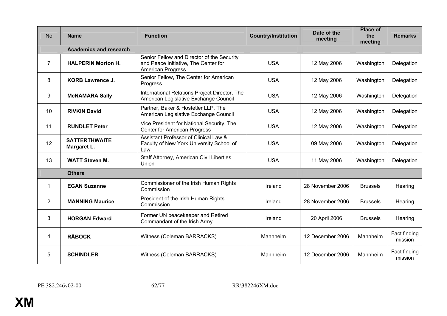| <b>No</b>      | <b>Name</b>                         | <b>Function</b>                                                                                                | <b>Country/Institution</b> | Date of the<br>meeting | <b>Place of</b><br>the<br>meeting | <b>Remarks</b>          |  |  |  |
|----------------|-------------------------------------|----------------------------------------------------------------------------------------------------------------|----------------------------|------------------------|-----------------------------------|-------------------------|--|--|--|
|                | <b>Academics and research</b>       |                                                                                                                |                            |                        |                                   |                         |  |  |  |
| 7              | <b>HALPERIN Morton H.</b>           | Senior Fellow and Director of the Security<br>and Peace Initiative, The Center for<br><b>American Progress</b> | <b>USA</b>                 | 12 May 2006            | Washington                        | Delegation              |  |  |  |
| 8              | <b>KORB Lawrence J.</b>             | Senior Fellow, The Center for American<br>Progress                                                             | <b>USA</b>                 | 12 May 2006            | Washington                        | Delegation              |  |  |  |
| 9              | <b>McNAMARA Sally</b>               | International Relations Project Director, The<br>American Legislative Exchange Council                         | <b>USA</b>                 | 12 May 2006            | Washington                        | Delegation              |  |  |  |
| 10             | <b>RIVKIN David</b>                 | Partner, Baker & Hostetler LLP, The<br>American Legislative Exchange Council                                   | <b>USA</b>                 | 12 May 2006            | Washington                        | Delegation              |  |  |  |
| 11             | <b>RUNDLET Peter</b>                | Vice President for National Security, The<br><b>Center for American Progress</b>                               | <b>USA</b>                 | 12 May 2006            | Washington                        | Delegation              |  |  |  |
| 12             | <b>SATTERTHWAITE</b><br>Margaret L. | Assistant Professor of Clinical Law &<br>Faculty of New York University School of<br>Law                       | <b>USA</b>                 | 09 May 2006            | Washington                        | Delegation              |  |  |  |
| 13             | <b>WATT Steven M.</b>               | Staff Attorney, American Civil Liberties<br>Union                                                              | <b>USA</b>                 | 11 May 2006            | Washington                        | Delegation              |  |  |  |
|                | <b>Others</b>                       |                                                                                                                |                            |                        |                                   |                         |  |  |  |
| 1              | <b>EGAN Suzanne</b>                 | Commissioner of the Irish Human Rights<br>Commission                                                           | Ireland                    | 28 November 2006       | <b>Brussels</b>                   | Hearing                 |  |  |  |
| $\overline{2}$ | <b>MANNING Maurice</b>              | President of the Irish Human Rights<br>Commission                                                              | Ireland                    | 28 November 2006       | <b>Brussels</b>                   | Hearing                 |  |  |  |
| 3              | <b>HORGAN Edward</b>                | Former UN peacekeeper and Retired<br>Commandant of the Irish Army                                              | Ireland                    | 20 April 2006          | <b>Brussels</b>                   | Hearing                 |  |  |  |
| 4              | <b>RÄBOCK</b>                       | Witness (Coleman BARRACKS)                                                                                     | Mannheim                   | 12 December 2006       | Mannheim                          | Fact finding<br>mission |  |  |  |
| 5              | <b>SCHINDLER</b>                    | Witness (Coleman BARRACKS)                                                                                     | Mannheim                   | 12 December 2006       | Mannheim                          | Fact finding<br>mission |  |  |  |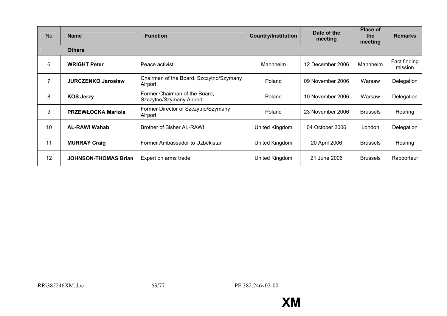| <b>No</b> | <b>Name</b>                 | <b>Function</b>                                           | <b>Country/Institution</b> | Date of the<br>meeting | <b>Place of</b><br>the<br>meeting | <b>Remarks</b>          |
|-----------|-----------------------------|-----------------------------------------------------------|----------------------------|------------------------|-----------------------------------|-------------------------|
|           | <b>Others</b>               |                                                           |                            |                        |                                   |                         |
| 6         | <b>WRIGHT Peter</b>         | Peace activist                                            | Mannheim                   | 12 December 2006       | Mannheim                          | Fact finding<br>mission |
| 7         | <b>JURCZENKO Jarosław</b>   | Chairman of the Board, Szczytno/Szymany<br>Airport        | Poland                     | 09 November 2006       | Warsaw                            | Delegation              |
| 8         | <b>KOS Jerzy</b>            | Former Chairman of the Board,<br>Szczytno/Szymany Airport | Poland                     | 10 November 2006       | Warsaw                            | Delegation              |
| 9         | <b>PRZEWŁOCKA Mariola</b>   | Former Director of Szczytno/Szymany<br>Airport            | Poland                     | 23 November 2006       | <b>Brussels</b>                   | Hearing                 |
| 10        | <b>AL-RAWI Wahab</b>        | Brother of Bisher AL-RAWI                                 | United Kingdom             | 04 October 2006        | London                            | Delegation              |
| 11        | <b>MURRAY Craig</b>         | Former Ambassador to Uzbekistan                           | United Kingdom             | 20 April 2006          | <b>Brussels</b>                   | Hearing                 |
| 12        | <b>JOHNSON-THOMAS Brian</b> | Expert on arms trade                                      | United Kingdom             | 21 June 2006           | <b>Brussels</b>                   | Rapporteur              |

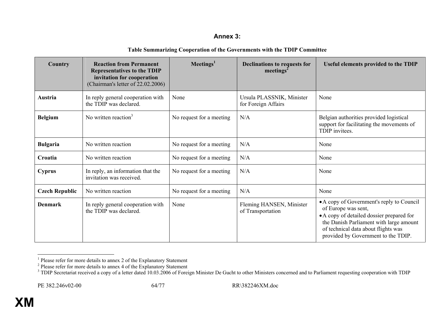### **Annex 3:**

| Table Summarizing Cooperation of the Governments with the TDIP Committee |
|--------------------------------------------------------------------------|
|--------------------------------------------------------------------------|

| Country               | <b>Reaction from Permanent</b><br><b>Representatives to the TDIP</b><br>invitation for cooperation<br>(Chairman's letter of 22.02.2006) | Meetings <sup>1</sup>    | <b>Declinations to requests for</b><br>meetings <sup>2</sup> | <b>Useful elements provided to the TDIP</b>                                                                                                                                                                                            |
|-----------------------|-----------------------------------------------------------------------------------------------------------------------------------------|--------------------------|--------------------------------------------------------------|----------------------------------------------------------------------------------------------------------------------------------------------------------------------------------------------------------------------------------------|
| Austria               | In reply general cooperation with<br>the TDIP was declared.                                                                             | None                     | Ursula PLASSNIK, Minister<br>for Foreign Affairs             | None                                                                                                                                                                                                                                   |
| <b>Belgium</b>        | No written reaction $3$                                                                                                                 | No request for a meeting | N/A                                                          | Belgian authorities provided logistical<br>support for facilitating the movements of<br>TDIP invitees.                                                                                                                                 |
| <b>Bulgaria</b>       | No written reaction                                                                                                                     | No request for a meeting | N/A                                                          | None                                                                                                                                                                                                                                   |
| Croatia               | No written reaction                                                                                                                     | No request for a meeting | N/A                                                          | None                                                                                                                                                                                                                                   |
| <b>Cyprus</b>         | In reply, an information that the<br>invitation was received.                                                                           | No request for a meeting | N/A                                                          | None                                                                                                                                                                                                                                   |
| <b>Czech Republic</b> | No written reaction                                                                                                                     | No request for a meeting | N/A                                                          | None                                                                                                                                                                                                                                   |
| <b>Denmark</b>        | In reply general cooperation with<br>the TDIP was declared.                                                                             | None                     | Fleming HANSEN, Minister<br>of Transportation                | • A copy of Government's reply to Council<br>of Europe was sent,<br>• A copy of detailed dossier prepared for<br>the Danish Parliament with large amount<br>of technical data about flights was<br>provided by Government to the TDIP. |

<sup>&</sup>lt;sup>1</sup> Please refer for more details to annex 2 of the Explanatory Statement<br><sup>2</sup> Please refer for more details to annex 4 of the Explanatory Statement<br><sup>3</sup> TDIP Secretariat received a copy of a letter dated 10.03.2006 of Fore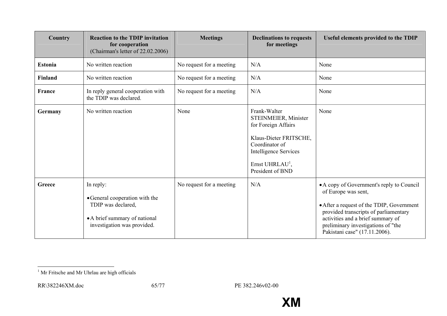| Country        | <b>Reaction to the TDIP invitation</b><br>for cooperation<br>(Chairman's letter of 22.02.2006)                                    | <b>Meetings</b>          | <b>Declinations to requests</b><br>for meetings                                                                                                                                            | Useful elements provided to the TDIP                                                                                                                                                                                                                               |
|----------------|-----------------------------------------------------------------------------------------------------------------------------------|--------------------------|--------------------------------------------------------------------------------------------------------------------------------------------------------------------------------------------|--------------------------------------------------------------------------------------------------------------------------------------------------------------------------------------------------------------------------------------------------------------------|
| <b>Estonia</b> | No written reaction                                                                                                               | No request for a meeting | N/A                                                                                                                                                                                        | None                                                                                                                                                                                                                                                               |
| <b>Finland</b> | No written reaction                                                                                                               | No request for a meeting | N/A                                                                                                                                                                                        | None                                                                                                                                                                                                                                                               |
| <b>France</b>  | In reply general cooperation with<br>the TDIP was declared.                                                                       | No request for a meeting | N/A                                                                                                                                                                                        | None                                                                                                                                                                                                                                                               |
| Germany        | No written reaction                                                                                                               | None                     | Frank-Walter<br>STEINMEIER, Minister<br>for Foreign Affairs<br>Klaus-Dieter FRITSCHE,<br>Coordinator of<br><b>Intelligence Services</b><br>Ernst UHRLAU <sup>1</sup> ,<br>President of BND | None                                                                                                                                                                                                                                                               |
| Greece         | In reply:<br>• General cooperation with the<br>TDIP was declared,<br>• A brief summary of national<br>investigation was provided. | No request for a meeting | N/A                                                                                                                                                                                        | • A copy of Government's reply to Council<br>of Europe was sent,<br>• After a request of the TDIP, Government<br>provided transcripts of parliamentary<br>activities and a brief summary of<br>preliminary investigations of "the<br>Pakistani case" (17.11.2006). |

 $^{\rm 1}$  Mr Fritsche and Mr Uhrlau are high officials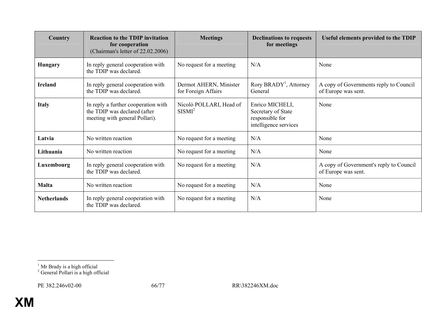| Country            | <b>Reaction to the TDIP invitation</b><br>for cooperation<br>(Chairman's letter of 22.02.2006)        | <b>Meetings</b>                               | <b>Declinations to requests</b><br>for meetings                                   | <b>Useful elements provided to the TDIP</b>                    |
|--------------------|-------------------------------------------------------------------------------------------------------|-----------------------------------------------|-----------------------------------------------------------------------------------|----------------------------------------------------------------|
| <b>Hungary</b>     | In reply general cooperation with<br>the TDIP was declared.                                           | No request for a meeting                      | N/A                                                                               | None                                                           |
| <b>Ireland</b>     | In reply general cooperation with<br>the TDIP was declared.                                           | Dermot AHERN, Minister<br>for Foreign Affairs | Rory BRADY <sup>1</sup> , Attorney<br>General                                     | A copy of Governments reply to Council<br>of Europe was sent.  |
| <b>Italy</b>       | In reply a further cooperation with<br>the TDIP was declared (after<br>meeting with general Pollari). | Nicolò POLLARI, Head of<br>SISMI <sup>2</sup> | Enrico MICHELI,<br>Secretary of State<br>responsible for<br>intelligence services | None                                                           |
| Latvia             | No written reaction                                                                                   | No request for a meeting                      | N/A                                                                               | None                                                           |
| Lithuania          | No written reaction                                                                                   | No request for a meeting                      | N/A                                                                               | None                                                           |
| Luxembourg         | In reply general cooperation with<br>the TDIP was declared.                                           | No request for a meeting                      | N/A                                                                               | A copy of Government's reply to Council<br>of Europe was sent. |
| <b>Malta</b>       | No written reaction                                                                                   | No request for a meeting                      | N/A                                                                               | None                                                           |
| <b>Netherlands</b> | In reply general cooperation with<br>the TDIP was declared.                                           | No request for a meeting                      | N/A                                                                               | None                                                           |

 $<sup>1</sup>$  Mr Brady is a high official</sup>

<sup>&</sup>lt;sup>2</sup> General Pollari is a high official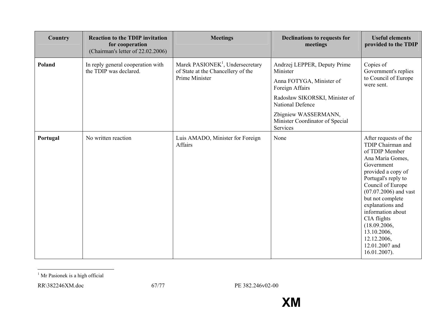| Country  | <b>Reaction to the TDIP invitation</b><br>for cooperation<br>(Chairman's letter of 22.02.2006) | <b>Meetings</b>                                                                                      | <b>Declinations to requests for</b><br>meetings                                                                                                                                                                             | <b>Useful elements</b><br>provided to the TDIP                                                                                                                                                                                                                                                                                                             |
|----------|------------------------------------------------------------------------------------------------|------------------------------------------------------------------------------------------------------|-----------------------------------------------------------------------------------------------------------------------------------------------------------------------------------------------------------------------------|------------------------------------------------------------------------------------------------------------------------------------------------------------------------------------------------------------------------------------------------------------------------------------------------------------------------------------------------------------|
| Poland   | In reply general cooperation with<br>the TDIP was declared.                                    | Marek PASIONEK <sup>1</sup> , Undersecretary<br>of State at the Chancellery of the<br>Prime Minister | Andrzej LEPPER, Deputy Prime<br>Minister<br>Anna FOTYGA, Minister of<br>Foreign Affairs<br>Radosław SIKORSKI, Minister of<br><b>National Defence</b><br>Zbigniew WASSERMANN,<br>Minister Coordinator of Special<br>Services | Copies of<br>Government's replies<br>to Council of Europe<br>were sent.                                                                                                                                                                                                                                                                                    |
| Portugal | No written reaction                                                                            | Luis AMADO, Minister for Foreign<br>Affairs                                                          | None                                                                                                                                                                                                                        | After requests of the<br>TDIP Chairman and<br>of TDIP Member<br>Ana Maria Gomes,<br>Government<br>provided a copy of<br>Portugal's reply to<br>Council of Europe<br>$(07.07.2006)$ and vast<br>but not complete<br>explanations and<br>information about<br>CIA flights<br>(18.09.2006,<br>13.10.2006,<br>12.12.2006,<br>12.01.2007 and<br>$16.01.2007$ ). |

 $^{\rm 1}$  Mr Pasionek is a high official

RR\382246XM.doc 67/77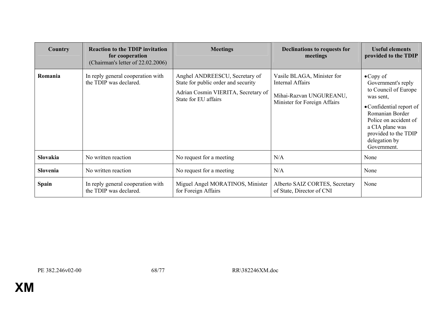| Country         | <b>Reaction to the TDIP invitation</b><br>for cooperation<br>(Chairman's letter of 22.02.2006) | <b>Meetings</b>                                                                                                                      | <b>Declinations to requests for</b><br>meetings                                                                  | <b>Useful elements</b><br>provided to the TDIP                                                                                                                                                                                  |
|-----------------|------------------------------------------------------------------------------------------------|--------------------------------------------------------------------------------------------------------------------------------------|------------------------------------------------------------------------------------------------------------------|---------------------------------------------------------------------------------------------------------------------------------------------------------------------------------------------------------------------------------|
| Romania         | In reply general cooperation with<br>the TDIP was declared.                                    | Anghel ANDREESCU, Secretary of<br>State for public order and security<br>Adrian Cosmin VIERITA, Secretary of<br>State for EU affairs | Vasile BLAGA, Minister for<br><b>Internal Affairs</b><br>Mihai-Razvan UNGUREANU,<br>Minister for Foreign Affairs | $\bullet$ Copy of<br>Government's reply<br>to Council of Europe<br>was sent,<br>• Confidential report of<br>Romanian Border<br>Police on accident of<br>a CIA plane was<br>provided to the TDIP<br>delegation by<br>Government. |
| <b>Slovakia</b> | No written reaction                                                                            | No request for a meeting                                                                                                             | N/A                                                                                                              | None                                                                                                                                                                                                                            |
| Slovenia        | No written reaction                                                                            | No request for a meeting                                                                                                             | N/A                                                                                                              | None                                                                                                                                                                                                                            |
| <b>Spain</b>    | In reply general cooperation with<br>the TDIP was declared.                                    | Miguel Angel MORATINOS, Minister<br>for Foreign Affairs                                                                              | Alberto SAIZ CORTES, Secretary<br>of State, Director of CNI                                                      | None                                                                                                                                                                                                                            |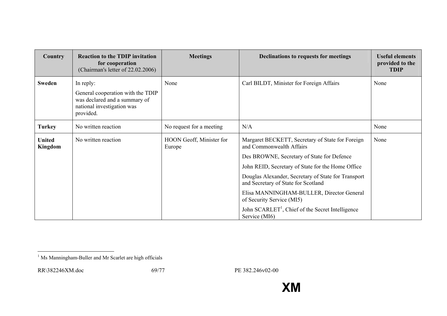| Country                  | <b>Reaction to the TDIP invitation</b><br>for cooperation<br>(Chairman's letter of 22.02.2006)                             | <b>Meetings</b>                    | Declinations to requests for meetings                                                                                                                                                                                                                                                                                                                                                                                                    | <b>Useful elements</b><br>provided to the<br><b>TDIP</b> |
|--------------------------|----------------------------------------------------------------------------------------------------------------------------|------------------------------------|------------------------------------------------------------------------------------------------------------------------------------------------------------------------------------------------------------------------------------------------------------------------------------------------------------------------------------------------------------------------------------------------------------------------------------------|----------------------------------------------------------|
| <b>Sweden</b>            | In reply:<br>General cooperation with the TDIP<br>was declared and a summary of<br>national investigation was<br>provided. | None                               | Carl BILDT, Minister for Foreign Affairs                                                                                                                                                                                                                                                                                                                                                                                                 | None                                                     |
| <b>Turkey</b>            | No written reaction                                                                                                        | No request for a meeting           | N/A                                                                                                                                                                                                                                                                                                                                                                                                                                      | None                                                     |
| <b>United</b><br>Kingdom | No written reaction                                                                                                        | HOON Geoff, Minister for<br>Europe | Margaret BECKETT, Secretary of State for Foreign<br>and Commonwealth Affairs<br>Des BROWNE, Secretary of State for Defence<br>John REID, Secretary of State for the Home Office<br>Douglas Alexander, Secretary of State for Transport<br>and Secretary of State for Scotland<br>Elisa MANNINGHAM-BULLER, Director General<br>of Security Service (MI5)<br>John SCARLET <sup>1</sup> , Chief of the Secret Intelligence<br>Service (MI6) | None                                                     |

<sup>&</sup>lt;sup>1</sup> Ms Manningham-Buller and Mr Scarlet are high officials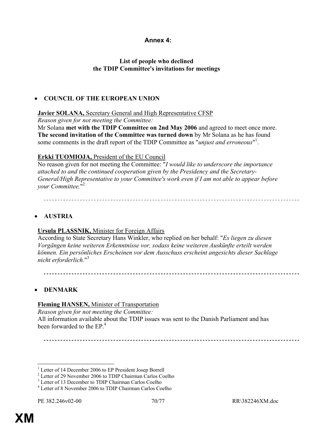### **Annex 4:**

### **List of people who declined the TDIP Committee's invitations for meetings**

### • **COUNCIL OF THE EUROPEAN UNION**

#### **Javier SOLANA,** Secretary General and High Representative CFSP

*Reason given for not meeting the Committee:* 

Mr Solana **met with the TDIP Committee on 2nd May 2006** and agreed to meet once more. **The second invitation of the Committee was turned down** by Mr Solana as he has found some comments in the draft report of the TDIP Committee as "*unjust and erroneous*" 1 .

### **Erkki TUOMIOJA,** President of the EU Council

No reason given for not meeting the Committee: "*I would like to underscore the importance attached to and the continued cooperation given by the Presidency and the Secretary-General/High Representative to your Committee's work even if I am not able to appear before your Committee.*" 2

## • **AUSTRIA**

#### **Ursula PLASSNIK,** Minister for Foreign Affairs

According to State Secretary Hans Winkler, who replied on her behalf: "*Es liegen zu diesen Vorgängen keine weiteren Erkenntnisse vor, sodass keine weiteren Auskünfte erteilt werden können. Ein persönliches Erscheinen vor dem Ausschuss erscheint angesichts dieser Sachlage nicht erforderlich.*" 3

#### • **DENMARK**

#### **Fleming HANSEN,** Minister of Transportation

*Reason given for not meeting the Committee:*  All information available about the TDIP issues was sent to the Danish Parliament and has been forwarded to the  $EP<sup>4</sup>$ 

<sup>1</sup> Letter of 14 December 2006 to EP President Josep Borrell

 $\overline{a}$ 

<sup>2</sup> Letter of 29 November 2006 to TDIP Chairman Carlos Coelho

<sup>&</sup>lt;sup>3</sup> Letter of 13 December to TDIP Chairman Carlos Coelho

<sup>4</sup> Letter of 8 November 2006 to TDIP Chairman Carlos Coelho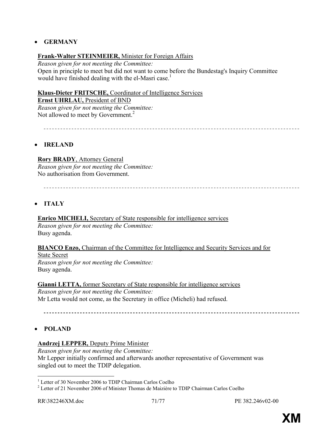### • **GERMANY**

### **Frank-Walter STEINMEIER,** Minister for Foreign Affairs

*Reason given for not meeting the Committee:*  Open in principle to meet but did not want to come before the Bundestag's Inquiry Committee would have finished dealing with the el-Masri case.<sup>1</sup>

#### **Klaus-Dieter FRITSCHE,** Coordinator of Intelligence Services

**Ernst UHRLAU, President of BND** 

*Reason given for not meeting the Committee:*  Not allowed to meet by Government.<sup>2</sup>

## • **IRELAND**

**Rory BRADY**, Attorney General *Reason given for not meeting the Committee:*  No authorisation from Government.

## • **ITALY**

**Enrico MICHELI,** Secretary of State responsible for intelligence services

*Reason given for not meeting the Committee:*  Busy agenda.

#### **BIANCO Enzo, Chairman of the Committee for Intelligence and Security Services and for**

State Secret *Reason given for not meeting the Committee:*  Busy agenda.

**Gianni LETTA,** former Secretary of State responsible for intelligence services *Reason given for not meeting the Committee:*  Mr Letta would not come, as the Secretary in office (Micheli) had refused.

## • **POLAND**

#### **Andrzej LEPPER,** Deputy Prime Minister

*Reason given for not meeting the Committee:*  Mr Lepper initially confirmed and afterwards another representative of Government was singled out to meet the TDIP delegation.

 $\overline{a}$ <sup>1</sup> Letter of 30 November 2006 to TDIP Chairman Carlos Coelho

<sup>&</sup>lt;sup>2</sup> Letter of 21 November 2006 of Minister Thomas de Maizière to TDIP Chairman Carlos Coelho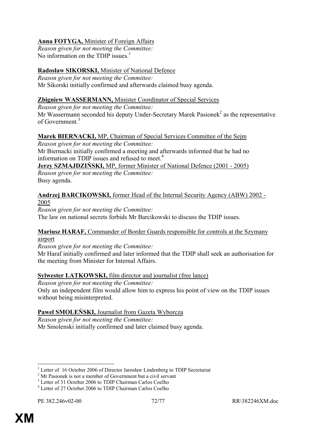## **Anna FOTYGA,** Minister of Foreign Affairs

*Reason given for not meeting the Committee:*  No information on the TDIP issues.<sup>1</sup>

## **Radosław SIKORSKI,** Minister of National Defence

*Reason given for not meeting the Committee:*  Mr Sikorski initially confirmed and afterwards claimed busy agenda.

## **Zbigniew WASSERMANN,** Minister Coordinator of Special Services

*Reason given for not meeting the Committee:* 

Mr Wassermann seconded his deputy Under-Secretary Marek Pasionek<sup>2</sup> as the representative of Government<sup>3</sup>

# **Marek BIERNACKI,** MP, Chairman of Special Services Committee of the Sejm

*Reason given for not meeting the Committee:* 

Mr Biernacki initially confirmed a meeting and afterwards informed that he had no information on TDIP issues and refused to meet.<sup>4</sup>

**Jerzy SZMAJDZIŃSKI,** MP, former Minister of National Defence (2001 - 2005) *Reason given for not meeting the Committee:*  Busy agenda.

## **Andrzej BARCIKOWSKI,** former Head of the Internal Security Agency (ABW) 2002 - 2005

*Reason given for not meeting the Committee:*  The law on national secrets forbids Mr Barcikowski to discuss the TDIP issues.

## **Mariusz HARAF,** Commander of Border Guards responsible for controls at the Szymany airport

*Reason given for not meeting the Committee:* 

Mr Haraf initially confirmed and later informed that the TDIP shall seek an authorisation for the meeting from Minister for Internal Affairs.

# **Sylwester LATKOWSKI,** film director and journalist (free lance)

*Reason given for not meeting the Committee:* 

Only an independent film would allow him to express his point of view on the TDIP issues without being misinterpreted.

# **Paweł SMOLEŃSKI,** Journalist from Gazeta Wyborcza

*Reason given for not meeting the Committee:*  Mr Smolenski initially confirmed and later claimed busy agenda.

 $\overline{a}$ 

<sup>&</sup>lt;sup>1</sup> Letter of 16 October 2006 of Director Jarosław Lindenberg to TDIP Secretariat  $2<sup>2</sup>$  Mr Besignals is not a mamber of Government by t.e. given a mamber

 $2^{\circ}$  Mr Pasionek is not a member of Government but a civil servant

<sup>&</sup>lt;sup>3</sup> Letter of 31 October 2006 to TDIP Chairman Carlos Coelho

<sup>4</sup> Letter of 27 October 2006 to TDIP Chairman Carlos Coelho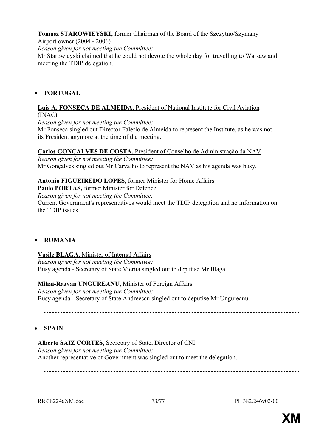## **Tomasz STAROWIEYSKI,** former Chairman of the Board of the Szczytno/Szymany

### Airport owner (2004 - 2006)

*Reason given for not meeting the Committee:* 

Mr Starowieyski claimed that he could not devote the whole day for travelling to Warsaw and meeting the TDIP delegation.

## • **PORTUGAL**

#### **Luis A. FONSECA DE ALMEIDA,** President of National Institute for Civil Aviation (INAC**)**

*Reason given for not meeting the Committee:* 

Mr Fonseca singled out Director Falerio de Almeida to represent the Institute, as he was not its President anymore at the time of the meeting.

### **Carlos GONCALVES DE COSTA,** President of Conselho de Administração da NAV

*Reason given for not meeting the Committee:*  Mr Gonçalves singled out Mr Carvalho to represent the NAV as his agenda was busy.

### **Antonio FIGUEIREDO LOPES**, former Minister for Home Affairs

**Paulo PORTAS,** former Minister for Defence

*Reason given for not meeting the Committee:* 

Current Government's representatives would meet the TDIP delegation and no information on the TDIP issues.

## • **ROMANIA**

### **Vasile BLAGA,** Minister of Internal Affairs

*Reason given for not meeting the Committee:*  Busy agenda - Secretary of State Vierita singled out to deputise Mr Blaga.

#### **Mihai-Razvan UNGUREANU,** Minister of Foreign Affairs

*Reason given for not meeting the Committee:*  Busy agenda - Secretary of State Andreescu singled out to deputise Mr Ungureanu.

### • **SPAIN**

### **Alberto SAIZ CORTES,** Secretary of State, Director of CNI

*Reason given for not meeting the Committee:* 

Another representative of Government was singled out to meet the delegation.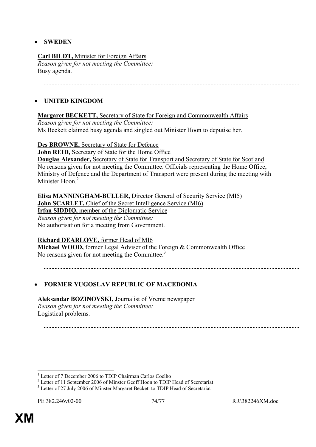## • **SWEDEN**

### **Carl BILDT,** Minister for Foreign Affairs

*Reason given for not meeting the Committee:*  Busy agenda.<sup>1</sup>

## • **UNITED KINGDOM**

## **Margaret BECKETT,** Secretary of State for Foreign and Commonwealth Affairs

*Reason given for not meeting the Committee:*  Ms Beckett claimed busy agenda and singled out Minister Hoon to deputise her.

**Des BROWNE,** Secretary of State for Defence

**John REID,** Secretary of State for the Home Office

**Douglas Alexander,** Secretary of State for Transport and Secretary of State for Scotland No reasons given for not meeting the Committee. Officials representing the Home Office, Ministry of Defence and the Department of Transport were present during the meeting with Minister Hoon<sup>2</sup>

**Elisa MANNINGHAM-BULLER,** Director General of Security Service (MI5) **John SCARLET, Chief of the Secret Intelligence Service (MI6) Irfan SIDDIQ,** member of the Diplomatic Service *Reason given for not meeting the Committee:* 

No authorisation for a meeting from Government.

### **Richard DEARLOVE,** former Head of MI6

**Michael WOOD,** former Legal Adviser of the Foreign & Commonwealth Office No reasons given for not meeting the Committee.<sup>3</sup>

## • **FORMER YUGOSLAV REPUBLIC OF MACEDONIA**

### **Aleksandar BOZINOVSKI,** Journalist of Vreme newspaper

*Reason given for not meeting the Committee:*  Logistical problems.

 $\overline{a}$ 

<sup>1</sup> Letter of 7 December 2006 to TDIP Chairman Carlos Coelho

 $2^{2}$  Letter of 11 September 2006 of Minster Geoff Hoon to TDIP Head of Secretariat

 $3$  Letter of 27 July 2006 of Minster Margaret Beckett to TDIP Head of Secretariat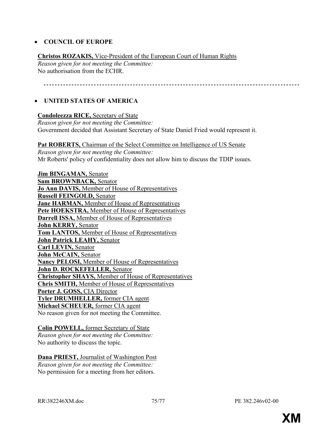#### • **COUNCIL OF EUROPE**

**Christos ROZAKIS,** Vice-President of the European Court of Human Rights *Reason given for not meeting the Committee:*  No authorisation from the ECHR.

### • **UNITED STATES OF AMERICA**

#### **Condoleezza RICE,** Secretary of State

*Reason given for not meeting the Committee:*  Government decided that Assistant Secretary of State Daniel Fried would represent it.

Pat ROBERTS, Chairman of the Select Committee on Intelligence of US Senate

*Reason given for not meeting the Committee:*  Mr Roberts' policy of confidentiality does not allow him to discuss the TDIP issues.

**Jim BINGAMAN,** Senator **Sam BROWNBACK,** Senator **Jo Ann DAVIS,** Member of House of Representatives **Russell FEINGOLD,** Senator **Jane HARMAN,** Member of House of Representatives Pete HOEKSTRA, Member of House of Representatives **Darrell ISSA,** Member of House of Representatives **John KERRY,** Senator **Tom LANTOS,** Member of House of Representatives **John Patrick LEAHY,** Senator **Carl LEVIN,** Senator **John McCAIN,** Senator **Nancy PELOSI,** Member of House of Representatives **John D. ROCKEFELLER,** Senator **Christopher SHAYS,** Member of House of Representatives **Chris SMITH,** Member of House of Representatives **Porter J. GOSS,** CIA Director **Tyler DRUMHELLER,** former CIA agent **Michael SCHEUER,** former CIA agent No reason given for not meeting the Committee.

**Colin POWELL,** former Secretary of State *Reason given for not meeting the Committee:*  No authority to discuss the topic.

**Dana PRIEST,** Journalist of Washington Post *Reason given for not meeting the Committee:*  No permission for a meeting from her editors.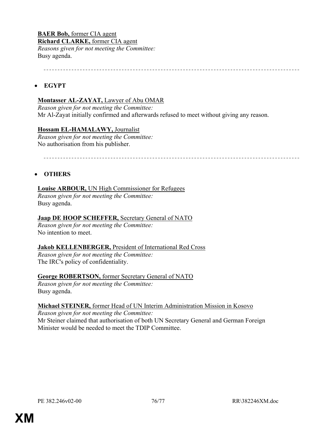**BAER Bob,** former CIA agent **Richard CLARKE,** former CIA agent *Reasons given for not meeting the Committee:*  Busy agenda.

### • **EGYPT**

#### **Montasser AL-ZAYAT,** Lawyer of Abu OMAR

*Reason given for not meeting the Committee:*  Mr Al-Zayat initially confirmed and afterwards refused to meet without giving any reason.

#### **Hossam EL-HAMALAWY,** Journalist

*Reason given for not meeting the Committee:*  No authorisation from his publisher.

#### • **OTHERS**

#### **Louise ARBOUR,** UN High Commissioner for Refugees

*Reason given for not meeting the Committee:*  Busy agenda.

#### **Jaap DE HOOP SCHEFFER,** Secretary General of NATO

*Reason given for not meeting the Committee:*  No intention to meet.

#### **Jakob KELLENBERGER,** President of International Red Cross

*Reason given for not meeting the Committee:*  The IRC's policy of confidentiality.

#### **George ROBERTSON,** former Secretary General of NATO

*Reason given for not meeting the Committee:*  Busy agenda.

#### **Michael STEINER,** former Head of UN Interim Administration Mission in Kosovo

*Reason given for not meeting the Committee:*  Mr Steiner claimed that authorisation of both UN Secretary General and German Foreign Minister would be needed to meet the TDIP Committee.